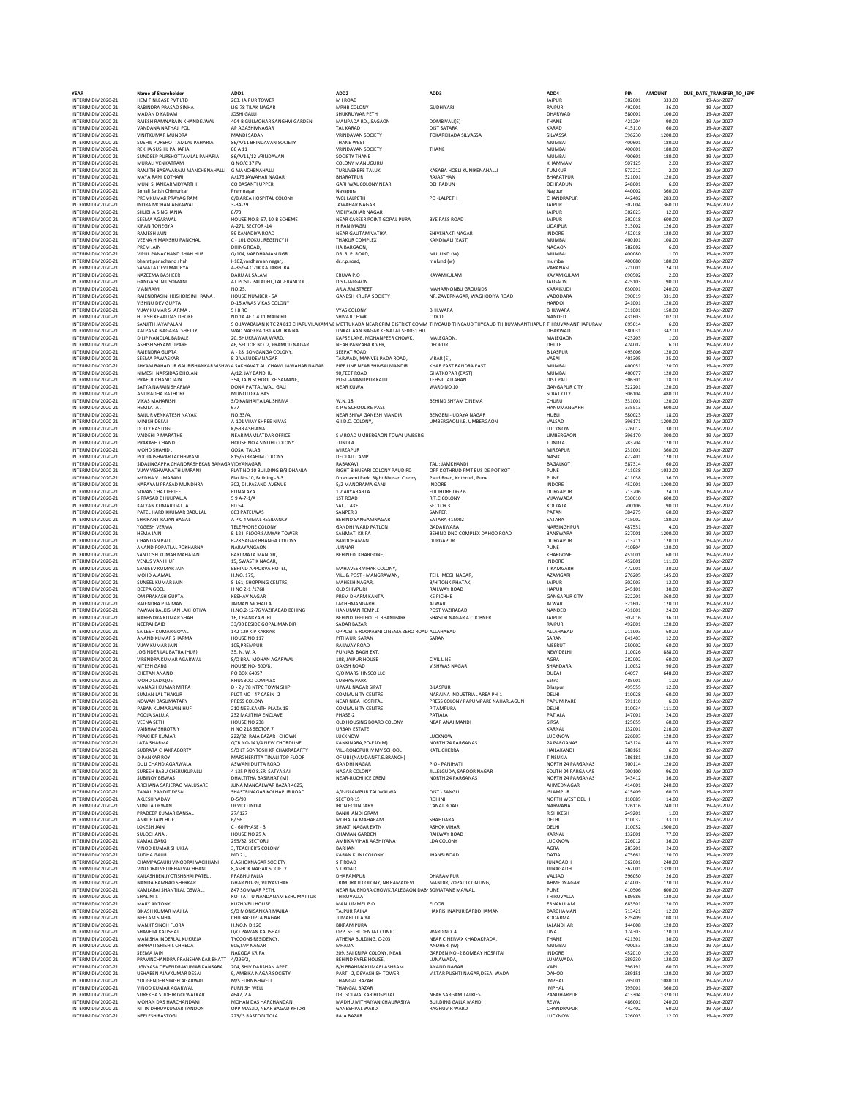## **YEAR Name of Shareholder ADD1 ADD2 ADD3 ADD4 PIN AMOUNT DUE\_DATE\_TRANSFER\_TO\_IEPF** INTERIM DIV 2020-21 HEM FINLEASE PVT LTD 203, JAIPUR TOWER M I ROAD JAIPUR 302001 333.00 19-Apr-2027 INTERM DIV.2022-21 RABINDRAPRASAD NAME VIG-78TILAKNAGAR MEHRUCONY SUNDER OUDHIYARI (PAPER PAPER PAPER PAPER PA<br>INTERM DIV.2020-21 RADAN DIXAM JOSHIGALI IOSHIGALI SHUKHUWAR PETH SHUKHUWAR PETH (PAPER PAPER PAPER PAPER PAP<br> INTERIM DIVERONA MANDISADAN MANDISADAN VEINDAVIAN SOCIETY TOKARKHADA SILVASSA SILVASSA SISEZSO 1200.00 19-Apr-2022<br>INTERIM DIVERO-21 SUSHILPUR-DIONALLPAHARIA 86(A/11.BRINDAVIAN SOCIETY THANE VEST THANE MUMBAI MUMBAI 400601 INTERIM DIV 2020-21 SUNDEEP PURSHOTTAMLAL PAHARIA 86/A/11/12 VRINDAVAN SOCIETY THANE SOCIETY THANE MUMBAI MUMBAI 400601 19-Apr-2027 INTERIM DIVERALINEN AMERILINEN NAMEN ANDESTRUM NAMERIALINE COLONY MANUGURU KASABA HOBI KUNIKENAHALLI KHAMMAM SO7125 2.00 19-Apr-2022<br>INTERIM DIV.2020-21 RANIITH BASNANGHENAHALLI GMANCHENAHALLI TURUNEKERETALINE KASABA HOBI INTERIM DIV 2020-21 MUNI SHANKAR VIDYARTHI CO BASANTI UPPER GARHWAL COLONY NEAR DEHRADUN DEHRADUN 248001 6.00 19-Apr-2027 INTERIM DIV 2020-21 SONAISMUNDAT Premnagar Premnagar Nayapura Nayapura Nagpura Nagpur 440002 360.00 19-Apr-2027<br>INTERIM DIV 2020-21 PREMKUMAR PRAYAGRAM C/8 AREA HOSPITAL COLONY WCL LALPETH PO-LALPETH PO -LALPETH PO -LALPET INTERM DIV202-21 INDRAMOHAN AGRAZY - 3-8-29 AN ANDEN AN ANAHARAGAR<br>INTERM DIV2020-21 SHUBHA SINGHANIA HOUSE NO.B-7, 10-8 YOU WINHADHARAGAR<br>INTERM DIV2020-21 SHUMA SINGHANIA HOUSE NO.B-67,10-8 SCHEME NE NEWANDARONI GOPALPU INTERIM DIV 2020-21 RAMESH JAIN 59 KANADIYA ROAD NEAR GAUTAM VATIKA SHIVSHAKTI NAGAR INDORE 452018 120.00 19-Apr-2027 INTERIM DIV 2020-21 VEENA HIMANSHU PANCHAL C - 101 GOKUL REGENCY II THAKUR COMPLEX KANDIVALI (EAST) MUMBAI 400101 108.00 19-Apr-2027 INTERIM DIV 2020-21 PREM JAIN DHING ROAD, HAIBARGAON, HAIBARGAON, NORTH PAGAON NAGAON 782002 6.00 19-Apr-2027<br>INTERIM DIV 2020-21 VIPULPANACHAND SHAH HUF G/104, VARDHAMAN NGR, DR. P. ROAD, MULUND (W) NUMBON MUMBAI 400080 1 INTERIM DIV 2020-21 VIPUL PANACHAND SHAH HUF G/104, VARDHAMAN NGR, DR. R. P. ROAD, MULUND (W) MUMBAI 400080 1.00 19-Apr-2027 INTERIM DIV 2020-21 bharat panachand shah I-102,vardhaman nagar, dr.r.p.road, mulund (w) mumbai 400080 180.00 19-Apr-2027 INTERIM DIV 2020-21 SAMATA DEVI MAURYA A-36/54 C -1K KAJJAKPURA VARANASI 221001 24.00 19-Apr-2027 INTERIM DIV 2020-21 NAZEEMA BASHEER . DARU AL SALAM ERUVA P.O KAYAMKULAM KAYAMKULAM 690502 2.00 19-Apr-2027 INTERIM DIV 2020-21 GANGA SUNIL SOMANI AT POST- PALADHI,,TAL-ERANDOL DIST-JALGAON JALGAON 425103 90.00 19-Apr-2027 INTERIM DIV 2020-21 V ABIRAMI . NO:25, AR.A.RM.STREET MAHARNONBU GROUNDS KARAIKUDI 630001 240.00 19-Apr-2027 INTERIM DIV 2020-21 RAJENDRASINH KISHORSINH RANA . HOUSE NUMBER - 5A GANESH KRUPA SOCIETY NR. ZAVERNAGAR, WAGHODIYA ROAD VADODARA 390019 331.00 19-Apr-2027 INTERIM DIV 2020-21 VISHNU DEV GUPTA D-15 AWAS VIKAS COLONY HARDOI 241001 120.00 19-Apr-2027 INTERIM DIVASOLONY BHILWARA BHILWARA BHILWARA BHILWARA BHILWARA BHILWARA BHILWARA S11001 150.00 19-Apr-2022<br>INTERIM DIVASOLON HITESH KOMA DI SA MUANG SHILWARA SHIVALIGHWARA SHIVARA NA HARA MADED ANG MADED ANG ASIGO 19-A<br>IN MTERM ON 2020-21 KILP NANDALA BADALE 2D, SHUKRAWAR WAD, UNICAL AN NAGAR KAPATAL SEOGRAFIAN DE PART-2022<br>INTERM ON 2020-21 DILP NANDLA BADALE 2D, SHUKRAWAR OLONY, KAPEL AN MALEGAON, MALEGAON, MALEGAON PART-2022<br>INTERM ON 20 INTERIM DIV 2020-21 PRAFUL CHAND JAIN 354, JAIN SCHOOL KE SAMANE, POST-ANANDPUR KALU TEHSIL JAITARAN DIST PALI 306301 18.00 19-Apr-2027 INTERIM DIV 2020-21 SATYA NARAIN SHARMA DONA PATTAL WALI GALI NEAR KUWA WARD NO.10 GANGAPUR CITY 322201 120.00 19-Apr-2027 INTERIM DIV 2020-21 ANURADHA RATHORE MUNOTO KA BAS . . SOJAT CITY 306104 480.00 19-Apr-2027 INTERIM DIV 2020-21 VIKAS MAHARISHI S/0 KANHAIYA LAL SHRMA W.N. 18 BEHIND SHYAM CINEMA CHURU 331001 120.00 19-Apr-2027 INTERIM DIV 2020-21 HEMLATA . 677 K P G SCHOOL KE PASS HANUMANGARH 335513 600.00 19-Apr-2027 INTERIM DIV 2020-21 DAILUR VENKATESH NAYAK (VO.33/A, NEAR SHIVA GANESH MANDIR BENGERI UDAYA NAGAR HANUWANGANH<br>INTERIM DIV 2020-21 DAILUR VENKATESH NAYAK A-1 A-2027<br>INTERIM DIV 2020-21 DAILUR VENKS (A-2027 A-2027 A-2027 A UMBERGAON I.E. UMBERGAON INTERIM DIV 2020-21 DOLLY RASTOGI . K/533 ASHIANA LUCKNOW 226012 30.00 19-Apr-2027 S V ROAD UMBERGAON TOWN UMBERG<br>TUNDLA<br>MIRZAPUR<br>DEOLALI CAMP INTERIM DIV 2020-21 PRAKASH CHAND . HOUSE NO 4 SINDHI COLONY TUNDLA TUNDLA 283204 120.00 19-Apr-2027 INTERIM DIV 2020-21 MOHD SHAHID . GOSAI TALAB MIRZAPUR MIRZAPUR 231001 360.00 19-Apr-2027 INTERIM DIV 2020-21 POOJA ISHWAR LACHHWANI 815/6 IBRAHIM COLONY DEOLALI CAMP NASIK NASIK ANASIK 422401 120.00 19-Apr-2027 INTERIM DIVIDUALINGALINGAR MONDERIM DESTRUCTION MANAGAR TERRIM DIVIDUALING IN A SENEGIA DESTRUCTION TRAFFANISM<br>INTERIM DIVIDUALISM DIVIDUALISM DIVIDUALISM DESTRUCTION NAGRAVIDIRISM DIVIDUALISM DIVIDUALISM DESTRUCTION DES<br>I INTERIM DIVZOO21 VIJAY VISHWANATH UMRANI FLAT NO 10 BUILDING B/3 DHANLA RIGHT BHUSARI COLONY PAUD OP VOTHRUD PMT BUS POTKOT PUNE 411038 1032.00 19-Apr-2022<br>INTERIM DIV2O2-21 MEDHA FRI POLONI FLAT DISULIFING B-3 DHAIRAWI Pa INTERM ON 2020-21 SPRASAD DHUIPALLA RUNALAY PULHANGARTA FULUROR PULHOR DURGAPUR 2020-21 SPRASAD DHUIPALLA RUNA<br>INTERM ON 2020-21 SPRASAD DHUIPALLA (SO PA-7-1/A SAITLANE SAITLANE SECTOR SECTOR SECTOR) VILAYWADA S30010 600. INTERIM DV 2020-21 SOVAN CHATERILE 302, DUPAGAN AND HOUSE SY ANNARANTA GAN HOUGH AND MOGEL AND SAGAR BHANGA COLONY<br>INTERIM DV 2020-21 SOVAN CHATERILE S 9A-7-4/2<br>INTERIM DV 2020-21 KALYAN KUMAR BARDDA - SAGAR BARDDA - SACCO INTERIM DIV 2020-21 ANAND POPATLAL POKHARNA NARAYANGAON JUNNAR PUNE 410504 120.00 19-Apr-2027 INTERIM DIV 2020-21 SANTOSH KUMAR MAHAJAN BAKI MATA MANDIR, BEHINED, KHARGONE, KHARGONE 451001 60.00 19-Apr-2027 INTERIM DIV 2020-21 VENUS VANI HUF 15, SWASTIK NAGAR, AND 19-Apr-2027 INDORE 452001 111.00 19-Apr-2027 INTERIM DIV 2020-21 SANJEEV KUMAR JAIN BEHIND APPORVA HOTEL, MAHAVEER VIHAR COLONY, NEER ALL AND AND ANGARH ANG AT 2001 19-Apr-2027 INTERIM DIV 2020-21 MOHD AJAMAL H.NO. 179, VILL & POST - MANGRAWAN, TEH. MEGHNAGAR, AND AZAMGARH 276205 145.00 19-Apr-2027 MTERM ON 2020-21 SUNEEL RUMAN ANN - STAS SHOPPING EENTRE, MAN-EST BALLWAY MANAGRAM BALLWAY BAND HAPUR 192003 12-000 19-Apr-2022<br>INTERM DIVIDEO 2001 PRANCHIS MAN - AND DRIVIDEO PRANCHISM PREMIDENTANT RE PICHHE GANGHAM AND G INTERM DIV.2020-21 NERAJA DISA SIYOD BESIG OPALMANDIR SADARBAZAR SADARDA DA DA SADAR SADAR SADAR SADAR ANG ANG<br>INTERM DIV.2020-21 SAILESH KUMAR GOYAL 142.129 KP.AKKAR SOPOSTE ROOPABNI CINEMA ZERO ROAD ALLAHABAD ALLAHABAD 2 NTERM ON 2020-21 ANAND KUMAR SHARMA HOUSE NO 19 PETHAUR SARAN SARAN SARAN SARAN BALA03 12.00 19-Apr-2022<br>INTERM ON 2020-21 VIJAY KUMAR SHARMA IS, N. W.A. M. PUNJAB SAGE EXT.<br>INTERM ON 2020-21 VIRENDRA KUMAR AGRIWAL HOUSE N INTERM DIVAN LITHAKUR POLONO-4 PLOT ON-2 CAMENINTYCENTRE NARMAN DUSTRALAREA PH-1 DIVAN DIVAN DELHI DOO28 60.00<br>INTERM DIV2020-21 NOWAN BASUNATARY PRESS COLONY - NEAR NIBA HOSPITAL PRESS COLONY PAPUMPARE NAHARLAGUN PAPUMPA INTERIM DIV200-21 PABAN KUMAR JAIN PERSANTH PLAZA 15 COMMUNITY CENTRE PITAMPURA PORTANO DELHI DO34 111.00 19-Apr-2022<br>INTERIM DIV202-21 PODOLSALUJA 232 MAUTHA ENCLAVE PHASE-2 PARTA PATIALA PATIALA PATIALA 147001 24.00 19-A INTERM ON 2020-21 PRAKHER KUMAR HOZDIS (NOTEN URAN URAN BETATE UCKNOW UNIX HARANA HOZDI 21:000 19-Apr-2022<br>INTERM ON 2020-21 PRAKHER KUMAR (TRAD-2022), RAIN BETAND-4R, HOWN: HOROLOGY MONORET UNIX (UCKNOW NOTEN DRAGANA<br>INTE INTERM DIV.2022-21 SURESHABU CHERUVUPALLI 4135 PN SEMBATYASAI PARAR CUCNY HULELGUDA, SAROR NAGAR SOLTH-24 PARGANAS 700100 96.00 19-Apr-2022<br>INTERM DIV.2020-21 SUBINOY BISMAS DHALTITHA BASIRHAT (M) NEAR-RUCHILEE CREM NORTH-INTERIM ON 2020-21 MEAR AND THE MANUALUSA COLOR COLOR AND COLOR MANUAL STATEM ON 2020-21 MALUSARE COLOR PARAMAMANING THE COLOR COLOR MANUAL STATEM ON 2020-21 MALUSARE COLOR COLOR MANUALUSATE COLOR MANUAL STATEM ON 2020-21 INTERM DIV.2020-21 TANAI/POSEAN SHASTRINAGARKOLHAPURROAD A/P-ISLAMPURTALWALWA DIST-SANGLI (SLAMPUR ASSOMPURTAL<br>INTERMON'2020-21 AKLESHYADAV ANA D-S/90 ASADO ASCOR-15 SECTOR-15 ROHINI ROHINI NORTHWESTDELHI 1.10085 14.00 19-INTERIM DIV 2020-21 SUNITA DEWAN DEVICO INDIA IRON FOUNDARY CANAL ROAD NARWANA 126116 240.00 19-Apr-2027 INTERIM DIV 2020-21 PRADEEP KUMAR BANSAL 27/ 127 BANKHANDI GRAM RISHIKESH 249201 1.00 19-Apr-2027 INTERIM DIV 2020-21 ANKUR JAIN HUF 6/ 56 MOHALLA MAHARAM SHAHDARA DELHI 110032 33.00 19-Apr-2027 INTERIM DIV 2020-21 LOKESH JAIN C - 60 PHASE - 3 SHAKTI NAGAR EXTN ASHOK VIHAR DELHI DELHI 110052 1500.00 19-Apr-2027 INTERIM DIV 2020-21 SULOCHANA . HOUSE NO 25 A CHAMAN GARDEN RAILWAY ROAD KARNAL 132001 77.00 19-Apr-2027 INTERIM DIV 2020-21 KAMAL GARG 295/32 SECTOR J AMBIKA VIHAR AASHIYANA LDA COLONY LUCKNOW 226012 36.00 19-Apr-2027 INTERIM DIV 2020-21 VINOD KUMAR SHUKLA 3, TEACHER'S COLONY BARHAN AGRA 283201 24.00 19-Apr-2027 INTERIM DIV 2020-21 SUDHA GAUR MD 21, KARAN KUNJ COLONY JHANSI ROAD DATIA 475661 120.00 19-Apr-2027 htERM DIV.2020-21 CHAMPAGAUNINDRAIVACHHANI 8,ASHOKNAGAR SOCETY STROAD STROAD I STROAD DINGADH SA2001 240.00 19-Apr-2021<br>INTERMIDIV.2020-21 VINODRAIVELIIBHAIVACHHANI 8,ASHOKNAGARSOCIETY STROAD STROAD SCOLO ISADO SADOR SAC INTERM DIV.2002-21 KALASHENA KANGHENA DINA DHARAMUN DHARAMUNIN DHARAMUUR NITERM DIV.2005 25.00 19-Apr-2022<br>INTERM DIV.2020-21 NANDARAMRADSHERKAR. GHAR NO-39,VIDYAVIHAR TRIMURATI COLONY, NRRAMADEVI MANDIR, OPADIOCONTING, A INTERM ON 2020-21 KAMLABAISHANTILAL OSWAL. 87 AVONWARENTUR THE ARREND ACHOWKTALEGAON DABISOMATANE MAWAL, PUNC<br>INTERM DIVIDUS MARY ANTONY . KIZI-WELIHOUSE MAGAMIZM MANUMARE PO ELOOR . ENGINE THIRUVALLA (689566 600.00 19-Apr INTERIM DIV 2020-21 SHAVETA KAUSHAL D/O PAWAN KAUSHAL OPP. SETHI DENTAL CLINIC WARD NO. 4 UNA 174303 120.00 19-Apr-2027 INTERIM DIV 2020-21 MANISHA INDERLAL KUKREJA TYCOONS RESIDENCY, ATHENA BULDING, C-203 NEAR CINEMAX KHADAKPADA, THANE 421301 30.00 19-Apr-2027 INTERM ON 2020-21 BEARATISHEINICHHEDA 605, YP NAGAR ANADON, WAR ANDERING 2000 ANDERN MINDRIAL 400053 190.00 19-Apr-2022<br>INTERM ON 2020-21 SERM JAN HAND RANSON RENT 4/2020, BURNING COLONY, NEARTHOUSE UNAMAGA, ANADANGA, MIND INTERIM DIV 2020-21 NITIN DHRUVKUMAR TANDON OPP MASJID, NEAR BAGAD KHIDKI GANESHPAL WARD RAGHUVIR WARD CHANDRAPUR 442402 60.00 19-Apr-2027 INTERIM DIV 2020-21 NEELESH RASTOGI 223/ 3 RASTOGI TOLA RAJA BAZAR LUCKNOW 226003 12.00 19-Apr-2027

| THANE                                  |
|----------------------------------------|
| KARAD                                  |
| SILVASSA<br>MUMBAI                     |
| MUMBAI                                 |
| MUMBAI<br><b>KHAMMA</b><br>J           |
| TUMKUR                                 |
| BHARATPUR<br>DEHRADUN                  |
| Nagpur<br>CHANDRAPUR                   |
| <b>JAIPUR</b>                          |
| <b>JAIPUR</b><br><b>JAIPUR</b>         |
| UDAIPUR                                |
| INDORE<br>MUMBAI                       |
| NAGAON                                 |
| MUMBAI<br>mumbai                       |
| VARANASI                               |
| KAYAMKULAM<br><b>JALGAON</b>           |
| KARAIKUDI<br><b>VADODARA</b>           |
| <b>HARDOI</b>                          |
| BHILWARA<br>NANDED                     |
| UR THIRUVANANTHAPURA                   |
| DHARWAD<br>MALEGAON                    |
| DHULE                                  |
| BILASPUR<br>VASAI                      |
| MUMBAI                                 |
| MUMBAI<br><b>DIST PALI</b>             |
| <b>GANGAPUR CITY</b>                   |
| SOJAT CITY<br><b>HURU</b><br>¢         |
| HANUMANGARH                            |
| HUBLI<br>VALSAD                        |
| LUCKNOV<br>UMBERGAON                   |
| TUNDLA                                 |
| MIRZAPUR<br>NASIK                      |
| BAGALKOT                               |
| PUNE<br>PUNE                           |
| INDORE                                 |
| DURGAPUR<br>VIJAYWADA                  |
| KOLKATA                                |
| PATAN<br>ATARA                         |
| NARSINGHPUR<br><b>BANSWARA</b>         |
| DURGAPUR                               |
| PUNE<br>KHARGONE                       |
| INDORE                                 |
| TIKAMGARH<br><b>AZAMGARH</b>           |
| <b>JAIPUR</b>                          |
| HAPUR<br><b>GANGAPUR CITY</b>          |
| ALWAR                                  |
| NANDED<br><b>JAIPUR</b>                |
| RAIPUR                                 |
| ALLAHABAD<br>SARAN                     |
| MEERUT                                 |
| NEW DELHI<br>AGRA                      |
| SHAHDARA<br>DUBAI                      |
| atna                                   |
| Bilaspur<br>DELHI                      |
| APUM PARE                              |
| <b>DELHI</b><br>PATIALA                |
| SIRSA                                  |
| KARNAL<br>LUCKNO                       |
| 24 PARGANAS                            |
| HAILAKANDI<br>TINSUKIA                 |
| NORTH 24 PARGANAS<br>SOUTH 24 PARGANAS |
| NORTH 24 PARGANAS                      |
| AHMEDNAGAR<br><b>ISLAMPUR</b>          |
| NORTH WEST DELHI                       |
| NARWANA<br>RISHIKESH                   |
| DELHI                                  |
| <b>DELHI</b><br>KARNAL                 |
| LUCKNOW                                |
| AGRA<br>DATIA                          |
| <b>JUNAGADH</b>                        |
| JUNAGADH<br>VALSAD                     |
| AHMEDNAGAR                             |
| PUNE<br>THIRUVALLA                     |
| ERNAKULAM                              |
| BARDHAMAN<br>KODARMA                   |
| <b>JALANDHAR</b>                       |
| UNA<br>THANE                           |
| MUMBAI<br>INDORE                       |
| LUNAWADA                               |
| VAPI<br>DAHOD                          |
| IMPHAL                                 |
| IMPHAL<br>PANDHARPUR                   |
| REWA                                   |
|                                        |

| N              | AMOUNT            | TRA<br><b>DUE</b><br>DATE |
|----------------|-------------------|---------------------------|
| 02001<br>92001 | 333.00<br>36.00   | 19-Ap<br>19-Ap            |
| 30001          | 100.00            | 19-Ap                     |
| 21204          | 90.00             | 19-Ар                     |
| 15110<br>06230 | 60.00<br>1200.00  | 19-Ap<br>19-Ap            |
| 00601          | 180.00            | 19-Ap                     |
| 00601          | 180.00            | 19-Ap                     |
| 00601<br>07125 | 180.00<br>2.00    | 19-Ap<br>19-Ap            |
| 72212          | 2.00              | $19-Ap$                   |
| 21001          | 120.00            | 19-Ap                     |
| 18001          | 6.00              | 19-Ap                     |
| 10002<br>12402 | 360.00<br>283.00  | 19-Ap<br>19-Ap            |
| 02004          | 360.00            | 19-Ap                     |
| 02023          | 12.00             | 19-Ap                     |
| 02018<br>13002 | 600.00<br>126.00  | 19-Ap<br>19-Ap            |
| 52018          | 120.00            | 19-Ap                     |
| 00101          | 108.00            | 19-Ap                     |
| 32002<br>00080 | 6.00<br>1.00      | 19-Ap<br>19-Ap            |
| 00080          | 180.00            | 19-Ap                     |
| 21001          | 24.00             | 19-Ap                     |
| 0502<br>25103  | 2.00<br>90.00     | 19-Ap<br>19-Ap            |
| 30001          | 240.00            | 19-Ap                     |
| 00019          | 331.00            | 19-Ap                     |
| 11001          | 120.00            | 19-Ap                     |
| 11001<br>31603 | 150.00<br>102.00  | 19-Ap<br>19-Ap            |
| 95014          | 6.00              | 19-Ap                     |
| 30031          | 342.00            | 19-Ap                     |
| 23203<br>24002 | 1.00<br>6.00      | 19-Ap<br>19-Ap            |
| 95006          | 120.00            | 19-Ap                     |
| 01305          | 25.00             | 19-Ap<br>$19-Ap$          |
| 00051<br>00077 | 120.00<br>120.00  | 19-Ap                     |
| 06301          | 18.00             | 19-Ap                     |
| 22201          | 120.00            | 19-Ap                     |
| 06104<br>31001 | 480.00<br>120.00  | 19-Ap<br>19-Ap            |
| 35513          | 600.00            | 19-Ap                     |
| 30023          | 18.00             | 19-Ap                     |
| 06171<br>26012 | 1200.00<br>30.00  | 19-Ap<br>19-Ap            |
| 06170          | 300.00            | 19-Ap                     |
| 33204          | 120.00            | 19-Ap                     |
| 31001<br>22401 | 360.00<br>120.00  | 19-Ap<br>19-Ap            |
| 37314          | 60.00             | 19-Ap                     |
| 11038          | 1032.00           | 19-Ap                     |
| 11038<br>52001 | 36.00<br>1200.00  | 19-Ap<br>19-Ap            |
| 13206          | 24.00             | 19-Ap                     |
| 30010          | 600.00            | 19-Ap                     |
| 00106          | 90.00             | 19-Ap<br>19-Ap            |
| 34275<br>15002 | 60.00<br>180.00   | 19-Ap                     |
| 37551          | 4.00              | 19-Ap                     |
| 27001          | 1200.00           | 19-Ap                     |
| 13211<br>10504 | 120.00<br>120.00  | 19-Ap<br>19-Ap            |
| 51001          | 60.00             | 19-Ap                     |
| 52001          | 111.00            | 19-Ap                     |
| 72001<br>76205 | 30.00<br>145.00   | 19-Ap<br>19-Ap            |
| 02003          | 12.00             | 19-Ap                     |
| 15101          | 30.00             | 19-Ap                     |
| 22201<br>21607 | 360.00<br>120.00  | 19-Ap<br>19-Ap            |
| 31601          | 24.00             | 19-Ap                     |
| 02016          | 36.00             | 19-Ap                     |
| 92001<br>11003 | 120.00<br>60.00   | 19-Ap<br>19-Ap            |
| 11403          | 12.00             | 19-Ap                     |
| 50002          | 60.00             | 19-Ap                     |
| 10026<br>32002 | 888.00            | 19-Ap                     |
| 10032          | 60.00<br>90.00    | 19-Ap<br>19-Ap            |
| 1057           | 648.00            | 19-Ap                     |
| 35001          | 1.00              | 19-Ap                     |
| 95555<br>10028 | 12.00<br>60.00    | 19-Ap<br>19-Ap            |
| 91110          | 6.00              | 19-Ap                     |
| 10034          | 111.00<br>24.00   | 19-Ap                     |
| 17001<br>25055 | 60.00             | 19-Ap<br>19-Ap            |
| 32001          | 216.00            | 19-Ap                     |
| 26003          | 120.00            | 19-Ap                     |
| 13124<br>38161 | 48.00<br>6.00     | 19-Ap<br>19-Ap            |
| 36181          | 120.00            | 19-Ap                     |
| 00114          | 120.00<br>96.00   | 19-Ap                     |
| 00100<br>13412 | 36.00             | 19-Ap<br>19-Ap            |
| 14001          | 240.00            | 19-Ap                     |
| 15409<br>10085 | 60.00<br>14.00    | 19-Ap                     |
| 26116          | 240.00            | 19-Ap<br>19-Ap            |
| 19201          | 1.00              | 19-Ap                     |
| 10032          | 33.00             | 19-Ap                     |
| 10052<br>32001 | 1500.00<br>77.00  | 19-Ap<br>19-Ap            |
| 26012          | 36.00             | 19-Ap                     |
| 33201          | 24.00             | 19-Ap                     |
| 75661<br>52001 | 120.00<br>240.00  | 19-Ap<br>19-Ap            |
| 52001          | 1320.00           | 19-Ap                     |
| 96050          | 26.00             | 19-Ap                     |
| 14003<br>10506 | 120.00<br>600.00  | 19-Ap<br>19-Ap            |
| 39586          | 120.00            | 19-Ap                     |
| 33501          | 120.00            | 19-Ap                     |
| 13421<br>25409 | 12.00<br>108.00   | 19-Ap                     |
| 14008          | 120.00            | 19-Ap<br>19-Ap            |
| 74303          | 120.00            | 19-Ap                     |
| 21301<br>00053 | 30.00<br>180.00   | 19-Ap<br>19-Ap            |
| 52010          | 192.00            | 19-Ap                     |
| 39230          | 120.00            | 19-Ap                     |
| 06191          | 60.00             | 19-Ap                     |
| 39151<br>95001 | 120.00<br>1080.00 | 19-Ap<br>19-Ap            |
| 95001          | 360.00            | 19-Ap                     |
| 13304          | 1320.00           | 19-Ap                     |
| 36001          | 240.00            | 19-Ap                     |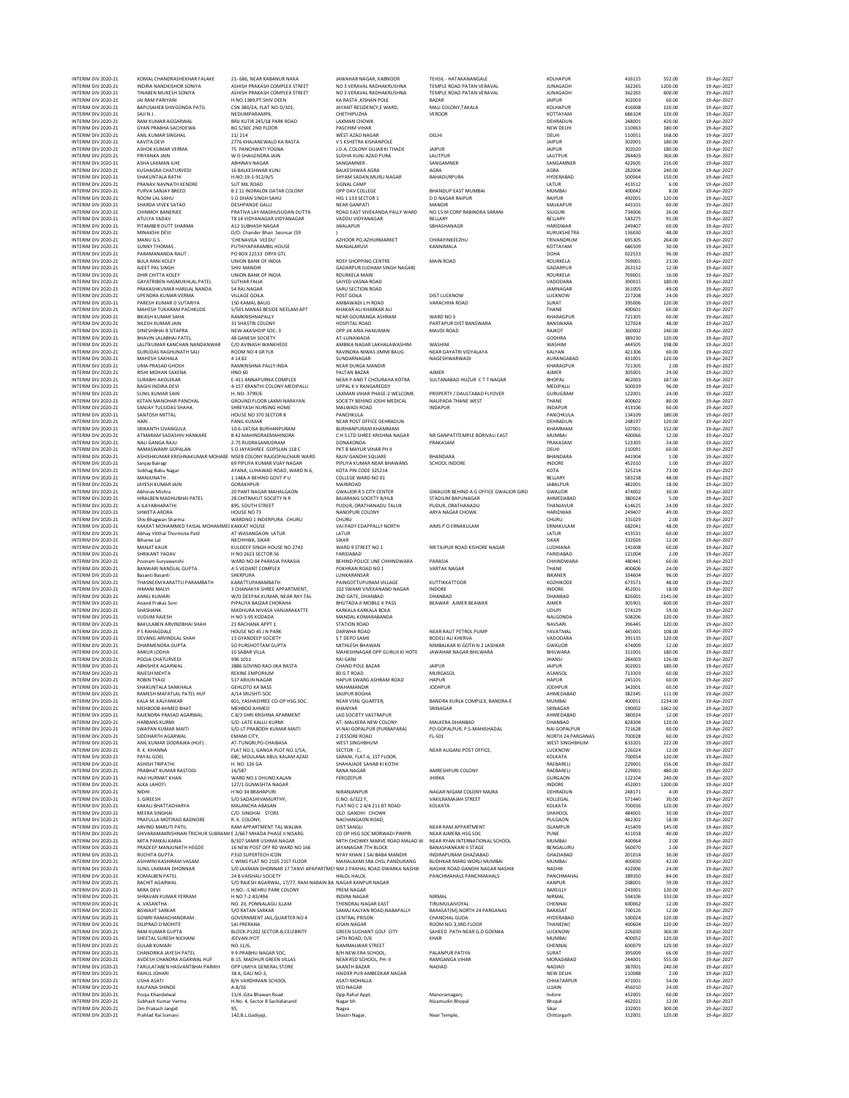| INTERIM DIV 2020-21                        | KOMAL CHANDRASHEKHAR FALAKE                                                          | 21-686, NEAR KABANUR NAKA                                                                      | JAWAHAR NAGAR, KABNOOR                                         | TEHSIL - HATAKANANGALE                                     | KOLHAPUR                          | 416115           | 552.00             | 19-Apr-202               |
|--------------------------------------------|--------------------------------------------------------------------------------------|------------------------------------------------------------------------------------------------|----------------------------------------------------------------|------------------------------------------------------------|-----------------------------------|------------------|--------------------|--------------------------|
| INTERIM DIV 2020-21                        | INDIRA NANDKISHOR SONIYA                                                             | ASHISH PRAKASH COMPLEX STREET                                                                  | NO 3 VERAVAL RADHAKRUSHNA                                      | TEMPLE ROAD PATAN VERAVAL                                  | <b>JUNAGADH</b>                   | 362265           | 1200.00            | 19-Apr-202               |
| INTERIM DIV 2020-21                        | <b>TINABEN MUKESH SONIYA</b>                                                         | ASHISH PRAKASH COMPLEX STREET                                                                  | NO 3 VERAVAL RADHAKRUSHNA                                      | TEMPLE ROAD PATAN VERAVAL                                  | JUNAGADH                          | 362265           | 600.00             | 19-Apr-202               |
| INTERIM DIV 2020-21                        | JAI RAM PARIYANI                                                                     | H.NO.1389, PT.SHIV DEEN                                                                        | KA RASTA , KISHAN POLE                                         | BAZAR                                                      | <b>JAIPUR</b>                     | 302003           | 60.00              | 19-Apr-202               |
| INTERIM DIV 2020-21<br>INTERIM DIV 2020-21 | BAPUSAHEB SHIVGONDA PATIL<br>SAJI N J.                                               | CSN 380/2A, FLAT NO-D/101.<br>NEDUMPARAMPIL                                                    | JAYANT RESIDENCY.E WARD.<br>CHETHIPUZHA                        | MALI COLONY, TAKALA<br>VEROOR                              | KOLHAPUR<br>KOTTAYAM              | 416008<br>686104 | 120.00<br>120.00   | 19-Apr-202<br>19-Apr-202 |
| INTERIM DIV 2020-21                        | RAM KUMAR AGGARWAL                                                                   | BRIJ KUTIR 245/18 PARK ROAD                                                                    | LAXMAN CHOWK                                                   |                                                            | DEHRADUN                          | 248001           | 420.00             | 19-Apr-202               |
| INTERIM DIV 2020-21                        | <b>GYAN PRABHA SACHDEWA</b>                                                          | BG 5/30C 2ND FLOOR                                                                             | PASCHIM VIHAR                                                  |                                                            | NEW DELHI                         | 110063           | 180.00             | 19-Apr-202               |
| INTERIM DIV 2020-21                        | ANIL KUMAR SINGHAL                                                                   | 11/214                                                                                         | WEST AZAD NAGAR                                                | DELHI                                                      | DELHI                             | 110051           | 168.00             | 19-Apr-202               |
| INTERIM DIV 2020-21                        | <b>KAVITA DEVI</b><br>ASHOK KUMAR VERMA                                              | 2776 KHAJANEWALO KA RASTA                                                                      | V S KSHETRA KISHANPOLE                                         |                                                            | <b>JAIPUR</b>                     | 302001           | 180.00             | 19-Apr-202               |
| INTERIM DIV 2020-21<br>INTERIM DIV 2020-21 | PRIYANKA JAIN                                                                        | 75 PANCHWATI YOGNA<br>W O SHAILENDRA JAIN                                                      | J.D.A. COLONY GUJAR KI THADE<br>SUDHA KUNJ AZAD PURA           | <b>JAIPUR</b><br>LALITPUR                                  | <b>JAIPUR</b><br>LALITPUR         | 302020<br>284403 | 180.00<br>360.00   | 19-Apr-202<br>19-Apr-202 |
| INTERIM DIV 2020-21                        | ASHA LAXMAN ILHE                                                                     | <b>ABHINAV NAGAR</b>                                                                           | SANGAMNER                                                      | SANGAMNER                                                  | SANGAMNER                         | 422605           | 216.00             | 19-Apr-202               |
| INTERIM DIV 2020-21                        | KUSHAGRA CHATURVEDI                                                                  | 16 BALKESHWAR KUNJ                                                                             | <b>BALKESHWAR AGRA</b>                                         | AGRA                                                       | AGRA                              | 282004           | 240.00             | 19-Apr-202               |
| INTERIM DIV 2020-21                        | SHAKUNTALA RATHI                                                                     | H.NO:19-1-912/A/5                                                                              | SHYAM SADAN, MURLI NAGAR                                       | BAHADURPURA                                                | HYDERABAD                         | 500064           | 150.00             | 19-Apr-202               |
| INTERIM DIV 2020-21                        | PRANAV NAVNATH KENDRE                                                                | SUT MIL ROAD                                                                                   | SIGNAL CAMP                                                    |                                                            | LATUR                             | 413512           | 6.00               | 19-Apr-202               |
| INTERIM DIV 2020-21<br>INTERIM DIV 2020-21 | PURVA SANJAY BREED<br>ROOM LAL SAHU                                                  | <b>B 2 11 INDRALOK DATAR COLONY</b><br>S O DHAN SINGH SAHU                                     | OPP DAV COLLEGE<br>HIG 1 133 SECTOR 1                          | <b>BHANDUP EAST MUMBAI</b><br>D D NAGAR RAIPUR             | MUMBAI<br>RAIPUR                  | 400042<br>492001 | 8.00<br>120.00     | 19-Apr-202<br>19-Apr-202 |
| INTERIM DIV 2020-21                        | SHARDA VIVEK SATAO                                                                   | <b>DESHPANDE GALLI</b>                                                                         | <b>NEAR GANPATI</b>                                            | MANDIR                                                     | MALKAPUR                          | 443101           | 60.00              | 19-Apr-202               |
| INTERIM DIV 2020-21                        | CHINMOY BANERJEE                                                                     | PRATIVA LAY MADHUSUDAN DUTTA                                                                   | ROAD EAST VIVEKANDA PALLY WARD                                 | NO 15 M CORP RABINDRA SARANI                               | <b>SILIGURI</b>                   | 734006           | 26.00              | 19-Apr-202               |
| INTERIM DIV 2020-21                        | ATULYA YADAV                                                                         | T8 14 VIDYANAGAR VIDYANAGAR                                                                    | VADDU VIDYANAGAR                                               | BELLARY                                                    | BELLARY                           | 583275           | 91.00              | 19-Apr-202               |
| INTERIM DIV 2020-21                        | PITAMBER DUTT SHARMA                                                                 | A12 SUBHASH NAGAR                                                                              | <b>JWALAPUR</b>                                                | SBHASHANAGR                                                | <b>HARIDWAR</b>                   | 249407           | 60.00              | 19-Apr-202               |
| INTERIM DIV 2020-21<br>INTERIM DIV 2020-21 | MINAKSHI DEVI<br>MANU G.S.                                                           | D/O: Chander Bhan Seonsar (59<br>'CHENAVILA VEEDU'                                             | AZHOOR PO, AZHURMARKET                                         | CHIRAYINKEEZHU                                             | KURUKSHETRA<br>TRIVANDRUM         | 136030<br>695305 | 48.00<br>264.00    | 19-Apr-202<br>19-Apr-202 |
| INTERIM DIV 2020-21                        | SUNNY THOMAS                                                                         | PUTHIYAPARAMBIL HOUSE                                                                          | MANJALARUVI                                                    | KANNIMALA                                                  | KOTTAYAM                          | 686509           | 30.00              | 19-Apr-202               |
| INTERIM DIV 2020-21                        | PARAMANANDA RAUT.                                                                    | PO BOX 22533 ORYX GTL                                                                          |                                                                |                                                            | DOHA                              | 022533           | 96.00              | 19-Apr-202               |
| INTERIM DIV 2020-21                        | <b>BULA RANI KOLEY</b>                                                               | UNION BANK OF INDIA                                                                            | <b>ROSY SHOPPING CENTRE</b>                                    | MAIN ROAD                                                  | <b>ROURKELA</b>                   | 769001           | 23.00              | 19-Apr-202               |
| INTERIM DIV 2020-21<br>INTERIM DIV 2020-21 | AJEET PAL SINGH                                                                      | SHIV MANDIR                                                                                    | GADARPUR (UDHAM SINGH NAGAR)                                   |                                                            | GADARPUR                          | 263152           | 12.00              | 19-Apr-202<br>19-Apr-202 |
| INTERIM DIV 2020-21                        | DHIR CHITTA KOLEY<br>GAYATRIBEN HASMUKHLAL PATEL                                     | UNION BANK OF INDIA<br>SUTHAR FALIA                                                            | ROURKELA MAIN<br>SAIYED VASNA ROAD                             |                                                            | ROURKELA<br>VADODARA              | 769001<br>390015 | 16.00<br>180.00    | 19-Apr-202               |
| INTERIM DIV 2020-21                        | PRAKASHKUMAR HARILAL NANDA                                                           | 54 RAJ NAGAR                                                                                   | SARU SECTION ROAD                                              |                                                            | JAMNAGAR                          | 361005           | 49.00              | 19-Apr-202               |
| INTERIM DIV 2020-21                        | <b>UPENDRA KUMAR VERMA</b>                                                           | VILLAGE GOILA                                                                                  | POST GOILA                                                     | <b>DIST LUCKNOW</b>                                        | LUCKNOW                           | 227208           | 24.00              | 19-Apr-202               |
| INTERIM DIV 2020-21                        | PARESH KUMAR D SUTARIYA                                                              | 150 KAMAL BAUG                                                                                 | AMBAWADI L H ROAD                                              | VARACHHA ROAD                                              | SURAT                             | 395006           | 120.00             | 19-Apr-202               |
| INTERIM DIV 2020-21                        | MAHESH TUKARAM PACHKUDE                                                              | 5/501 MANAS BESIDE NEELAM APT                                                                  | KHAKAR ALI KHARKAR ALI                                         |                                                            | THANE                             | 400601           | 60.00              | 19-Apr-202               |
| INTERIM DIV 2020-21<br>INTERIM DIV 2020-21 | <b>BIKASH KUMAR SAHA</b><br>NILESH KUMAR JAIN                                        | RAMKRISHNAPALLY<br>31 SHASTRI COLONY                                                           | NEAR GOURANGA ASHRAM<br>HOSPITAL ROAD                          | WARD NO 3<br>PARTAPUR DIST BANSWARA                        | KHARAGPUR<br>BANSWARA             | 721305<br>327024 | 60.00<br>48.00     | 19-Apr-202<br>19-Apr-202 |
| INTERIM DIV 2020-21                        | <b>DINESHBHAI B SITAPRA</b>                                                          | NEW AKASHDIP SOC-3                                                                             | OPP JIK ARIA HANUMAN                                           | MAVDI ROAD                                                 | RAJKOT                            | 360002           | 240.00             | 19-Apr-202               |
| INTERIM DIV 2020-21                        | <b>BHAVIN LALABHAI PATEL</b>                                                         | 48 GANESH SOCIETY                                                                              | AT-LUNAWADA                                                    |                                                            | <b>GODHRA</b>                     | 389230           | 120.00             | 19-Apr-202               |
| INTERIM DIV 2020-21                        | LALITKUMAR KANCHAN NANDANWAR                                                         | C/O AVINASH WANKHEDE                                                                           | AMBIKA NAGAR LAKHALAWASHIM                                     | WASHIM                                                     | <b>WASHIM</b>                     | 444505           | 198.00             | 19-Apr-202               |
| INTERIM DIV 2020-21                        | <b>GURUDAS RAGHUNATH SALI</b>                                                        | ROOM NO 4 GR FLR                                                                               | RAVINDRA NIWAS JIMMI BAUG                                      | NEAR GAYATRI VIDYALAYA                                     | KALYAN                            | 421306           | 60.00              | 19-Apr-202               |
| INTERIM DIV 2020-21<br>INTERIM DIV 2020-21 | MAHESH SAKHALA<br><b>UMA PRASAD GHOSH</b>                                            | 4 14 8 2<br>RAMKRISHNA PALLY INDA                                                              | SUNDARNAGAR<br>NEAR DURGA MANDIR                               | NAGESHWARWADI                                              | AURANGARAD<br>KHARAGPUR           | 431001<br>721305 | 120.00<br>2.00     | 19-Apr-202<br>19-Apr-202 |
| INTERIM DIV 2020-21                        | RISHI MOHAN SAXENA                                                                   | <b>HNO 60</b>                                                                                  | PALTAN BAZAR                                                   | <b>AJMER</b>                                               | AJMER                             | 305001           | 29.00              | 19-Apr-202               |
| INTERIM DIV 2020-21                        | SURABHI AKOLEKAR                                                                     | E-411 ANNAPURNA COMPLEX                                                                        | NEAR P AND T CHOURAHA KOTRA                                    | SULTANABAD HUZUR CTT NAGAR                                 | <b>BHOPAL</b>                     | 462003           | 187.00             | 19-Apr-202               |
| INTERIM DIV 2020-21                        | <b>BAGHI INDIRA DEVI</b>                                                             | 4-157 KRANTHI COLONY MEDIPALLI                                                                 | UPPAL K V RANGAREDDY                                           |                                                            | MEDIPALLI                         | 500039           | 96.00              | 19-Apr-202               |
| INTERIM DIV 2020-21                        | SUNIL KUMAR SAIN                                                                     | H. NO-3799/6                                                                                   | LAXMAN VIHAR PHASE-2 WELCOME                                   | PROPERTY / DAULTABAD FLYOVER                               | GURUGRAM                          | 122001           | 24.00              | 19-Apr-202               |
| INTERIM DIV 2020-21<br>INTERIM DIV 2020-21 | KETAN MANOHAR PANCHAL<br>SANJAY TULSIDAS SHAHA                                       | GROUND FLOOR LAXMI NARAYAN<br>SHREYASH NURSING HOME                                            | SOCIETY BEHIND JOSHI MEDICAL<br>MALWADI ROAD                   | <b>NAUPADA THANE WEST</b><br><b>INDAPUR</b>                | THANE<br>INDAPUR                  | 400602<br>413106 | 80.00<br>60.00     | 19-Apr-202<br>19-Apr-202 |
| INTERIM DIV 2020-21                        | SANTOSH MITTAL                                                                       | HOUSE NO 370 SECTOR 8                                                                          | PANCHKULA                                                      |                                                            | PANCHKULA                         | 134109           | 180.00             | 19-Apr-202               |
| INTERIM DIV 2020-21                        | HARI.                                                                                | PANIL KUMAR                                                                                    | NEAR POST OFFICE DEHRADUN                                      |                                                            | DEHRADUN                          | 248197           | 120.00             | 19-Apr-202               |
| INTERIM DIV 2020-21                        | SRIKANTH SIVANGULA                                                                   | 10-6-147/6A BURHANPURAM                                                                        | <b>BURHANPURAM KHAMMAM</b>                                     |                                                            | KHAMMAM                           | 507001           | 152.00             | 19-Apr-202               |
| INTERIM DIV 2020-21                        | ATMARAM SADASHIV HANKARE                                                             | <b>B 42 MAHINDRAEMAHINDRA</b>                                                                  | C H S LTD SHREE KRISHNA NAGAR                                  | NR GANPATITEMPLE BORIVALI EAST                             | <b>MUMBAI</b>                     | 400066           | 12.00              | 19-Apr-202               |
| INTERIM DIV 2020-21<br>INTERIM DIV 2020-21 | NALI GANGA RAJU<br>RAMASWAMY GOPALAN                                                 | 2-75 RUDRASAMUDRAM<br>S O JAYASHREE GOPSLAN 118 C                                              | DONAKONDA<br>PKT B MAYUR VIHAR PH II                           | PRAKASAM                                                   | PRAKASAM<br>DELHI                 | 523305<br>110091 | 24.00<br>60.00     | 19-Apr-202<br>19-Apr-202 |
| INTERIM DIV 2020-21                        | ASHISHKUMAR KRISHNAKUMAR MOHABE MSEB COLONY RAJGOPALCHARI WARD                       |                                                                                                | RAJIV GANDHI SQUARE                                            | <b>BHANDARA</b>                                            | <b>BHANDARA</b>                   | 441904           | 1.00               | 19-Apr-202               |
| INTERIM DIV 2020-21                        | Sanjay Bairagi                                                                       | 69 PIPLIYA KUMAR VIJAY NAGAR                                                                   | PIPLIYA KUMAR NEAR BHAWANS                                     | SCHOOL INDORE                                              | INDORE                            | 452010           | 1.00               | 19-Apr-202               |
| INTERIM DIV 2020-21                        | Sobhag Babu Nagar                                                                    | AYANA, LUHAWAD ROAD, WARD N.6,                                                                 | KOTA PIN CODE 325214                                           |                                                            | <b>KOTA</b>                       | 325214           | 73.00              | 19-Apr-202               |
| INTERIM DIV 2020-21                        | MANJUNATH.                                                                           | 1 148A A BEHIND GOVT P U                                                                       | COLLEGE WARD NO 01                                             |                                                            | BELLARY                           | 583238           | 48.00              | 19-Apr-202               |
| INTERIM DIV 2020-21<br>INTERIM DIV 2020-21 | JAYESH KUMAR JAIN<br>Abhinav Mishra                                                  | GORAKHPUR<br>20 PANT NAGAR MAHALGAON                                                           | MAINROAD<br><b>GWALIOR R S CITY CENTER</b>                     | GWALIOR BEHIND A G OFFICE GWALIOR GIRD                     | <b>JABALPUR</b><br><b>GWALIOR</b> | 482001<br>474002 | 18.00<br>30.00     | 19-Apr-202<br>19-Apr-202 |
| INTERIM DIV 2020-21                        | HIRALBEN MADHUBHAI PATEL                                                             | 28 CHITRAKUT SOCIETY N R                                                                       | <b>BAJARANG SOCIETY B/HLB</b>                                  | STADIUM BAPUNAGAR                                          | AHMEDABAD                         | 380024           | 5.00               | 19-Apr-202               |
| INTERIM DIV 2020-21                        | A ILAYABHARATHI                                                                      | 895, SOUTH STREET                                                                              | PUDUR, ORATHANADU TALUK                                        | PUDUR, ORATHANADU                                          | THANJAVUR                         | 614625           | 24.00              | 19-Apr-202               |
| INTERIM DIV 2020-21                        | SHWETA ARORA                                                                         | HOUSE NO 73                                                                                    | NANDPURI COLONY                                                | ARYA NAGAR CHOWK                                           | <b>HARIDWAR</b>                   | 249407           | 49.00              | 19-Apr-202               |
| INTERIM DIV 2020-21                        | Shiv Bhagwan Sharma                                                                  | WARDNO 1 INDERPURA CHURU                                                                       | CHURU                                                          |                                                            | CHURU                             | 331029           | 2.00               | 19-Apr-202               |
| INTERIM DIV 2020-21<br>INTERIM DIV 2020-21 | KAKKAT MOHAMMED FAISAL MOHAMMEI KAKKAT HOUSE<br>Abhay Vitthal Thormote Patil         | AT WASANGAON LATUR                                                                             | VAI PADY EDAPPALLY NORTH<br>LATUR                              | AIMS P O ERNAKULAM                                         | ERNAKULAM<br>LATUR                | 682041<br>413531 | 48.00<br>60.00     | 19-Apr-202<br>19-Apr-202 |
| INTERIM DIV 2020-21                        | <b>Biharee Lal</b>                                                                   | NECHHWA, SIKAR                                                                                 | SIKAR                                                          |                                                            | <b>SIKAR</b>                      | 332026           | 12.00              | 19-Apr-202               |
| INTERIM DIV 2020-21                        | MANJIT KAUR                                                                          | KULDEEP SINGH HOUSE NO 2743                                                                    | WARD 9 STREET NO 1                                             | NR TAJPUR ROAD KISHORE NAGAR                               | LUDHIANA                          | 141008           | 60.00              | 19-Apr-202               |
| INTERIM DIV 2020-21                        | SHRIKANT YADAV                                                                       | H NO 2623 SECTOR 56                                                                            | FARIDABAD                                                      |                                                            | <b>FARIDABAD</b>                  | 121004           | 2.00               | 19-Apr-202               |
| INTERIM DIV 2020-21                        | Poonam Suryawanshi                                                                   | WARD NO 04 PARASIA PARASIA                                                                     | BEHIND POLICE LINE CHHINDWARA                                  | PARASIA                                                    | CHHINDWARA                        | 480441           | 60.00              | 19-Apr-202               |
| INTERIM DIV 2020-21<br>INTERIM DIV 2020-21 | BANWARI NANDLAL GUPTA.<br>Basanti Basanti                                            | A 5 VEDANT COMPLEX<br>SHERPURA                                                                 | POKHRAN ROAD NO 1<br>LUNKARANSAR                               | <b>VARTAK NAGAR</b>                                        | THANE<br><b>BIKANER</b>           | 400606<br>334604 | 24.00<br>96.00     | 19-Apr-202<br>19-Apr-202 |
| INTERIM DIV 2020-21                        | THASNEEM KARATTU PARAMBATH                                                           | KARATTUPARAMBATH                                                                               | PAINGOTTUPURAM VILLAGE                                         | KUTTIKKATTOOR                                              | KOZHIKODE                         | 673571           | 48.00              | 19-Apr-202               |
| INTERIM DIV 2020-21                        | <b>HIMANI MALVI</b>                                                                  | 3 CHANAKYA SHREE APPARTMENT,                                                                   | 102 SWAMI VIVEKANAND NAGAR                                     | INDORE                                                     | INDORE                            | 452001           | 18.00              | 19-Apr-202               |
| INTERIM DIV 2020-21                        | ANNU KUMARI                                                                          | W/O DEEPAK KUMAR, NEAR RAY TAL                                                                 | 2ND GATE, DHANBAD                                              | DHANBAD                                                    | DHANBAD                           | 826001           | 1141.00            | 19-Apr-202               |
| INTERIM DIV 2020-21                        | Anand Prakas Soni                                                                    | PIPALIYA BAJZAR CHORAHA                                                                        | BHUTADA JI MOBILE K PASS                                       | BEAWAR AJMER BEAWAR                                        | AJMER                             | 305901           | 600.00             | 19-Apr-202               |
| INTERIM DIV 2020-21<br>INTERIM DIV 2020-21 | <b>SHASHANK</b><br><b>VUDUM RAJESH</b>                                               | MADHURA NIVASA VANJARAKATTE<br>H NO 3-95 KODADA                                                | KARKALA KARKALA BOLA<br>MANDAL KOMARABANDA                     |                                                            | <b>UDUPI</b><br>NALGONDA          | 574129<br>508206 | 59.00<br>120.00    | 19-Apr-202<br>19-Apr-202 |
| INTERIM DIV 2020-21                        | BAKULABEN ARVINDBHAI SHAH                                                            | 21 RACHANA APPT 1                                                                              | STATION ROAD                                                   |                                                            | NAVSARI                           | 396445           | 120.00             | 19-Apr-202               |
| INTERIM DIV 2020-21                        | P S RAHAGDALE                                                                        | HOUSE NO 45 J N PARK                                                                           | DARWHA ROAD                                                    | NEAR RAUT PETROL PUMP                                      | YAVATMAL                          | 445001           | 108.00             | 19-Apr-202               |
| INTERIM DIV 2020-21                        | DEVANG ARVINDLAL SHAH                                                                | 13 GYANDEEP SOCIETY                                                                            | S T DEPO SAME                                                  | <b>BODELI ALI KHERVA</b>                                   | VADODARA                          | 391135           | 120.00             | 19-Apr-202               |
| INTERIM DIV 2020-21                        | DHARMENDRA GUPTA                                                                     | SO PURSHOTTAM GUPTA                                                                            | MITHLESH BHAWAN                                                | NIMBALKAR KI GOTH N 2 LASHKAR                              | GWALIOR                           | 474009           | 12.00              | 19-Apr-202               |
| INTERIM DIV 2020-21<br>INTERIM DIV 2020-21 | ANKUR LODHA<br>POOJA CHATURVEDI                                                      | 10 SARAR VILLA<br>996 1011                                                                     | MAHESHNAGAR OPP GURUJI KI HOTE<br>RAI GANJ                     | JAWAHAR NAGAR BHILWARA                                     | BHILWARA<br><b>JHANSI</b>         | 311001<br>284003 | 180.00<br>126.00   | 19-Apr-202<br>19-Apr-202 |
| INTERIM DIV 2020-21                        | ABHISHEK AGARWAL.                                                                    | 3886 GOVIND RAO JIKA RASTA                                                                     | CHAND POLE BAZAR                                               | <b>JAIPUR</b>                                              | <b>JAIPUR</b>                     | 302001           | 180.00             | 19-Apr-202               |
| INTERIM DIV 2020-21                        | RAJESH MEHTA                                                                         | <b>REXINE EMPORIUM</b>                                                                         | 80 G T ROAD                                                    | MURGASOL                                                   | ASANSOL                           | 713303           | 60.00              | 19-Apr-202               |
| INTERIM DIV 2020-21                        | <b>ROBIN TYAGI</b>                                                                   | 517 ARJUN NAGAR                                                                                | HAPUR SWARG ASHRAM ROAD                                        | <b>HAPUR</b>                                               | <b>HAPUR</b>                      | 245101           | 60.00              | 19-Apr-202               |
| INTERIM DIV 2020-21                        | SHAKUNTALA SANKHALA                                                                  | <b>GEHLOTO KA BASS</b>                                                                         | MAHAMANDIR                                                     | <b>JODHPUR</b>                                             | <b>JODHPUR</b>                    | 342001           | 60.00              | 19-Apr-202               |
| INTERIM DIV 2020-21                        | RAMESH MAFATLAL PATEL HUF<br>KALA M. KALYANKAR                                       | A/14 SRUSHTI SOC                                                                               | SAUPUR BOGHA                                                   |                                                            | AHMEDABAD                         | 382345           | 111.00             | 19-Apr-202<br>19-Apr-202 |
| INTERIM DIV 2020-21<br>INTERIM DIV 2020-21 | MEHROOR AHMED RHAT                                                                   | 601, YASHASHREE CO-OP HSG.SOC<br>MEHBOO AHMED                                                  | <b>NEAR VSNL QUARTER</b><br><b>KHANYAR</b>                     | BANDRA KURLA COMPLEX, BANDRA-E<br>SRINAGAR                 | MUMBAI<br>SRINAGAR                | 400051<br>190002 | 2234.00<br>1662.00 | 19-Apr-2027              |
| INTERIM DIV 2020-21                        | RAJENDRA PRASAD AGARWAL                                                              | C 8/3 SHRI KRISHNA APARMENT                                                                    | <b>LAD SOCIETY VASTRAPUR</b>                                   |                                                            | AHMEDABAD                         | 380024           | 12.00              | 19-Apr-202               |
| INTERIM DIV 2020-21                        | HARBANS KURMI                                                                        | S/O- LATE KALLU KURMI                                                                          | AT- MALKERA NEW COLONY                                         | MALKERA DHANBAD                                            | DHANBAD                           | 828304           | 120.00             | 19-Apr-202               |
| INTERIM DIV 2020-21                        | SWAPAN KUMAR MAITI                                                                   | S/O-LT PRABODH KUMAR MAITI                                                                     | VI-NAI GOPALPUR (PURBAPARA)                                    | PO-GOPALPUR, P.S-MAHISHADAL                                | NAI GOPALPUR                      | 721628           | 60.00              | 19-Apr-202               |
| INTERIM DIV 2020-21                        | SIDDHARTH AGARWAL<br>ANIL KUMAR DODRAJKA (HUF).                                      | EMAMI CITY,<br>AT-TUNGRI, PO-CHAIBASA                                                          | 2 JESSORE ROAD                                                 | FL-501                                                     | NORTH 24 PARGANAS                 |                  |                    | 19-Apr-202               |
| INTERIM DIV 2020-21<br>INTERIM DIV 2020-21 |                                                                                      |                                                                                                |                                                                |                                                            |                                   | 700028           | 60.00              |                          |
|                                            | R. K. KHANNA                                                                         |                                                                                                | WEST SINGHBHUM                                                 | NEAR ALIGANI POST OFFICE.                                  | WEST SINGHBHUM<br><b>LUCKNOW</b>  | 833201<br>226024 | 222.00<br>12.00    | 19-Apr-202               |
| INTERIM DIV 2020-21                        | PAYAL GOEL                                                                           | FLAT NO.1, GANGA PLOT NO.1/5A,<br>68C, MOULANA ABUL KALAM AZAD                                 | SECTOR - C,<br>SARANI, FLAT-6, 1ST FLOOR,                      |                                                            |                                   |                  | 120.00             | 19-Apr-202               |
| INTERIM DIV 2020-21                        | <b>ASHISH TRIPATHI</b>                                                               | H. NO. 126 GA                                                                                  | SHAHAJADE SAHAB KI KOTHI                                       |                                                            | KOLKATA<br>RAEBARELI              | 700054<br>229001 | 156.00             | 19-Apr-202<br>19-Apr-202 |
| INTERIM DIV 2020-21                        | PRABHAT KUMAR RASTOGI                                                                | 16/587                                                                                         | <b>RANA NAGAR</b>                                              | AMRESHPURI COLONY                                          | RAEBARELI                         | 229001           | 480.00             | 19-Apr-202               |
| INTERIM DIV 2020-21                        | HAJI HURMAT KHAN                                                                     | WARD NO.1 DHUND KALAN                                                                          | FEROZEPUR                                                      | <b>JHIRKA</b>                                              | GURGAON                           | 122104           | 240.00             | 19-Apr-202               |
| INTERIM DIV 2020-21                        | ALKA LAHOTI                                                                          | 127/1 GUMASHTA NAGAR                                                                           |                                                                |                                                            | <b>INDORE</b>                     | 452001           | 1200.00            | 19-Apr-202               |
| INTERIM DIV 2020-21                        | NIDHI.<br>S. GIREESH                                                                 | H NO 34 BRAHAPURI<br>S/O SADASHIVAMURTHY.                                                      | NIRANJANPUR<br>D.NO. 6/322 F.                                  | NAGAR NIGAM COLONY MAJRA<br><b>VAKILRAMAIAH STREET</b>     | DEHRADUN<br>KOLLEGAL              | 248171           | 4.00<br>30.00      | 19-Apr-202<br>19-Apr-202 |
| INTERIM DIV 2020-21<br>INTERIM DIV 2020-21 | KAKALI BHATTACHARYA                                                                  | MALANCHA ARASAN                                                                                | FLAT NO C 2 4/4 211 BT ROAD                                    | KOLKATA                                                    | KOLKATA                           | 571440<br>700036 | 120.00             | 19-Apr-202               |
| INTERIM DIV 2020-21                        | MEERA SINGHAI                                                                        | C/O SINGHAI STORS                                                                              | OLD GANDHI CHOWK                                               |                                                            | SHAHDOL                           | 484001           | 30.00              | 19-Apr-202               |
| INTERIM DIV 2020-21                        | PRAFULLA MOTIRAO BADNORE                                                             | R. K. COLONY,                                                                                  | NACHANGAON ROAD,                                               |                                                            | PULGAON                           | 442302           | 18.00              | 19-Apr-202               |
| INTERIM DIV 2020-21                        | ARVIND MARUTI PATIL                                                                  | RAM APPARTMENT TAL WALWA                                                                       | <b>DIST SANGLI</b>                                             | NEAR RAM APPARTMENT                                        | <b>ISLAMPUR</b>                   | 415409           | 145.00             | 19-Apr-202               |
| INTERIM DIV 2020-21<br>INTERIM DIV 2020-21 | SHIVARAMAKRISHNAN TRICHUR SUBRAM/ E 2/667 MHADA PHASE II NISARG<br>MITA PANKAJ KARIA | B/107 SAMIR USHMA NAGAR                                                                        | CO OP HSG SOC MORWADI PIMPRI<br>MITH CHOWKY MARVE ROAD MALAD W | NEAR AJMERA HSG SOC<br>NEAR RYAN INTERNATIONAL SCHOOL      | PUNE<br>MUMBAI                    | 411018<br>400064 | 40.00<br>2.00      | 19-Apr-202<br>19-Apr-202 |
| INTERIM DIV 2020-21                        | PRADEEP MANJUNATH HEGDE                                                              | 16 NEW POST OFF RD WARD NO 166                                                                 | JAYANAGAR 7TH BLOCK                                            | <b>BANASHANKARI II STAGE</b>                               | BENGALURU                         | 560070           | 2.00               | 19-Apr-202               |
| INTERIM DIV 2020-21                        | <b>RUCHITA GUPTA</b>                                                                 | P310 SUPERTECH ICON                                                                            | NYAY KHAN 1 SAI BABA MANDIR                                    | INDIRAPURAM GHAZIABAD                                      | GHAZIABAD                         | 201014           | 30.00              | 19-Apr-202               |
| INTERIM DIV 2020-21                        | ASHWINI KASHIRAM VASAM                                                               | C WING FLAT NO 2105 21ST FLOOR                                                                 | MAHALAXMI SRA CHSL PANDURANG                                   | BUDHKAR MARG WORLI MUMBAI                                  | MUMBAI                            | 400030           | 42.00              | 19-Apr-202               |
| INTERIM DIV 2020-21<br>INTERIM DIV 2020-21 | SUNIL LAXMAN DHONNAR<br><b>KOMALBEN PATEL</b>                                        | S/0 LAXMAN DHONNAR 17 TANVI APAPARTMEI NM 2 PAKHAL ROAD DWARKA NASHIK<br>24 B VAISHALI SOCIETY | HALOL HALOL                                                    | NASHIK ROAD GANDHI NAGAR NASHIK<br>PANCHMAHALS PANCHMAHALS | NASHIK<br>PANCHMAHAL              | 422006<br>389350 | 24.00<br>84.00     | 19-Apr-202<br>19-Apr-202 |
| INTERIM DIV 2020-21                        | <b>RACHIT AGARWAL</b>                                                                | S/O RAJESH AGARWAL, 17/77, RAM NARAIN BA NAGAR KANPUR NAGAR                                    |                                                                |                                                            | <b>KANPUR</b>                     | 208001           | 59.00              | 19-Apr-202               |
| INTERIM DIV 2020-21                        | MIRA DEVI                                                                            | H.NO.:-5 NEHRU PARK COLONY                                                                     | PREM NAGAR                                                     |                                                            | BAREILLY                          | 243001           | 120.00             | 19-Apr-202               |
| INTERIM DIV 2020-21                        | SHRAVAN KUMAR YERRAM                                                                 | H NO 7-2-83/49A                                                                                | <b>INDIRA NAGAR</b>                                            | NIRMAL                                                     | NIRMAL                            | 504106           | 333.00             | 19-Apr-202               |
| INTERIM DIV 2020-21                        | A. VASANTHA.                                                                         | NO. 20. PONNALAGU ILLAM                                                                        | THENDRAL NAGAR EAST                                            | TIRUMULAIVOYAL                                             | CHENNAI                           | 600062           | 12.00              | 19-Apr-202               |
| INTERIM DIV 2020-21                        | <b>BISWAJIT SARKAR</b>                                                               | S/O RATAN SARKAR                                                                               | SAMAJ KALYAN ROAD, NABAPALLY                                   | BARASAT(M), NORTH 24 PARGANAS                              | BARASAT                           | 700126           | 12.00              | 19-Apr-202               |
| INTERIM DIV 2020-21<br>INTERIM DIV 2020-21 | GOWRI RAMACHANDRAM.<br>DILIPRAO D MOHITE                                             | GOVERNMENT JAIL, QUARTER NO 4<br>SAI PRERANA                                                   | <b>CENTRAL PRISON</b><br><b>KISAN NAGAR</b>                    | CHANCHAL GUDA<br>ROOM NO-3.3RD FLOOR                       | <b>HYDERABAD</b><br>THANE(W)      | 500024<br>400604 | 120.00<br>120.00   | 19-Apr-202<br>19-Apr-202 |
| INTERIM DIV 2020-21                        | <b>RAM KUMAR GUPTA</b>                                                               | BLOCK-P1202 SECTOR-B,CELEBRITY                                                                 | GREEN SUCHANT GOLF CITY                                        | SAHEED PATH NEAR G.D GOENKA                                | LUCKNOW                           | 226030           | 360.00             | 19-Apr-202               |
| INTERIM DIV 2020-21                        | SHEETAL SURESH NICHANI                                                               | JEEVAN JYOT                                                                                    | 14TH ROAD, D/6                                                 | KHAR                                                       | MUMBAI                            | 400052           | 120.00             | 19-Apr-202               |
| INTERIM DIV 2020-21                        | <b>GULAB KUMARI</b>                                                                  | NO.11/6                                                                                        | NAMMALWAR STREET                                               |                                                            | CHENNAI                           | 600079           | 120.00             | 19-Apr-202               |
| INTERIM DIV 2020-21                        | CHANDRIKA JAYESH PATEL                                                               | 99-PRABHU NAGAR SOC,                                                                           | B/H NEW ERA SCHOOL                                             | PALANPUR PATIYA                                            | SURAT                             | 395009           | 66.00              | 19-Apr-202               |
| INTERIM DIV 2020-21<br>INTERIM DIV 2020-21 | AVDESH CHANDRA AGARWAL HUF<br>TARULATABEN HASVANTBHAI PARIKH                         | <b>B-15, MADHUR GREEN VILLAS</b>                                                               | NEAR RSD SCHOOL, PH- II<br>SAANTH BAZAR                        | RAMGANGA VIHAR<br>NADIAD                                   | MORADABAD<br><b>NADIAD</b>        | 244001<br>387001 | 555.00<br>240.00   | 19-Apr-202<br>19-Apr-202 |
| INTERIM DIV 2020-21                        | RAHUL JOHARI                                                                         | OPP UMIYA GENERAL STORE<br>38 A, GALI NO-3                                                     | HAIDER PUR AMBEDKAR NAGAR                                      |                                                            | NEW DELHI                         | 110088           | 2.00               | 19-Apr-202               |
| INTERIM DIV 2020-21                        | <b>USHA ASATI</b>                                                                    | <b>B/H VARDHMAN SCHOOL</b>                                                                     | <b>ASATI MOHALLA</b>                                           |                                                            | CHHATARPUR                        | 471001           | 54.00              | 19-Apr-202               |
| INTERIM DIV 2020-21                        | KALPANA SHINDE                                                                       | $A-8/16$                                                                                       | <b>VED NAGAR</b>                                               |                                                            | UJJAIN                            | 456010           | 24.00              | 19-Apr-202               |
| INTERIM DIV 2020-21<br>INTERIM DIV 2020-21 | Pooja Khandelwal<br>Subhash Kumar Verma                                              | 11/4, Gita Bhawan Road                                                                         | Opp.Rahul Appt.                                                | Manoramaganj                                               | Indore<br>Bhopal                  | 452001           | 60.00              | 19-Apr-202               |
| INTERIM DIV 2020-21                        | Om Prakash Jangid                                                                    | H.No. 4, Sector B Sachidanand                                                                  | Nagar bh                                                       | Nizamudin Bhopa                                            | Sikar                             | 462021<br>332001 | 12.00<br>300.00    | 19-Apr-202               |
| INTERIM DIV 2020-21                        | Prahlad Rai Somani                                                                   | 142, B.L. Gadiyaji,                                                                            | Nagva<br>Shastri Nagar,                                        | Near Temple,                                               | Chittorgarh                       | 312001           | 120.00             | 19-Apr-202<br>19-Apr-202 |

| JI<br>J<br>Δ<br>ı<br>ı<br>н             |
|-----------------------------------------|
| JNAGADH<br>NPUR                         |
| .<br>OLHAPUR<br>OTTAYAM                 |
| EHRADUN                                 |
| EW DELHI<br>ELHI                        |
| <b>IPUR</b>                             |
| <b>IPUR</b>                             |
| LITPUR<br>ANGAMNER                      |
| GRA                                     |
| YDERABAD<br>١Ī<br><b>UR</b>             |
| <b>IUMBAI</b>                           |
| AIPUR<br><b>IALKAPUR</b>                |
| LIGURI                                  |
| ELLARY                                  |
| LLL<br>ARIDWAR<br>URUKSHETR             |
| RIVANDRUM                               |
| OTTAYAM<br>OHA                          |
| OURKELA<br>ADARPUR                      |
| OURKELA                                 |
| ADODARA                                 |
| <b>MNAGAR</b><br><b>JCKNOW</b>          |
| JRAT<br>HANE                            |
| HARAGPUR                                |
| ANSWARA                                 |
| <b>AJKOT</b>                            |
| ODHRA<br><b>ASHIM</b>                   |
| ALYAN                                   |
| URANGABA<br>D<br>HARAGPUR               |
| <b>IMER</b>                             |
| .<br>HOPAL                              |
| <b>EDIPALLI</b><br>URUGRAM              |
| HANE                                    |
| <b>IDAPUR</b><br>ANCHKULA               |
| EHRADUN                                 |
| HAMMAM<br><b>IUMBAI</b>                 |
| RAKASAM                                 |
| ELHI                                    |
| HANDARA<br>IDORE                        |
| <b>DTA</b>                              |
| ELLARY<br><b>BALPUR</b>                 |
| WALIOR                                  |
| HMEDABAI<br>HANJAVUR<br>AD              |
| ARIDWAR                                 |
| HURU                                    |
| RNAKULAM<br>ATUR                        |
| KAR                                     |
| <b>JDHIANA</b><br>ARIDABAD              |
| HHINDWAR                                |
| HANE<br>KANER                           |
| OZHIKODE                                |
| <b>IDORE</b><br>HANBAD                  |
| <b>IMER</b>                             |
| DUPI                                    |
| <b>ALGONDA</b>                          |
| AVSARI<br>AVATMAL                       |
| ADODARA<br>WALIOR                       |
| HILW/<br><b>IRA</b>                     |
| <b>IANSI</b><br>UPUR                    |
| SANSOI<br>APUR                          |
| <b>OHPUR</b>                            |
| HMEDAB<br>AD                            |
| <b>IUMBAI</b>                           |
| àП<br>ú.<br>r<br>HMEDABAD               |
| HANBAD                                  |
| AI GOPALPUR<br>ORTH 24 PARG<br>đ<br>IAS |
| <b>EST SINGHBHUM</b>                    |
| .<br>)ر<br>KNOW<br>DLKATA               |
| AEBARELI                                |
| AEBAREL<br>J<br>URGAON                  |
| IDORE                                   |
| EHRADI<br>JN                            |
| DLLEGAL<br>OLKATA                       |
| HAHDOL                                  |
| <b>ULGAON</b><br>LAMPUR                 |
| UNE                                     |
| <b>IUMBAI</b><br>ENGALURI               |
| HAZIABAD                                |
| <b>IUMBAI</b>                           |
| ASHIK<br>ANCHMAHAI                      |
| ANPUR                                   |
|                                         |
| AREILLY                                 |
| <b>IRMAL</b><br><b>HENNAI</b>           |
| ARASAT                                  |
| YDERABA<br>íD<br>HANE(W)                |
| <b>JCKNOW</b>                           |
| <b>IUMBAI</b>                           |
| HENNAI                                  |
| JRAT<br>IORADABAD                       |
| ADIAD<br>EW DELHI                       |
| HHATARPL<br>JR                          |
| JJAIN<br>dore                           |
| <br>hopal<br>kai                        |

| 15                  | 552.00                                                |
|---------------------|-------------------------------------------------------|
| 65                  | 200.00<br>600.00                                      |
| O3                  | 60.00                                                 |
|                     | 00.00<br>120.00<br>120.00<br>420.00                   |
|                     |                                                       |
|                     |                                                       |
| n1                  | 168.00<br>180.00                                      |
| 20<br>03            | .oo<br>180                                            |
|                     | 100.00<br>360.00<br>216.00<br>240.00                  |
|                     |                                                       |
| 64<br>1             | 150.00<br>6.00                                        |
| $\frac{1}{42}$      | $\frac{1}{\alpha}$<br>8                               |
| 01<br>01            | $20.00$<br>$50.00$                                    |
| 06                  |                                                       |
| 75<br>07            | 91.00<br>60.00                                        |
| 30                  | 18.00                                                 |
| OS                  | 264.00<br>30.00                                       |
| 33                  | 96.00                                                 |
| 01<br>52            | $\frac{3.00}{2.00}$                                   |
| 01                  | 16.00                                                 |
| .<br>15<br>os       | 10.00<br>80.00<br>49.00<br>24.00<br>20.00             |
| 08                  |                                                       |
| 06<br>01            |                                                       |
| os                  | 60.00<br>60.00                                        |
|                     | .oo                                                   |
| 02<br>30            | 240.00<br>240.00<br>120.00<br>198.00                  |
| os                  |                                                       |
| 06<br>01            | 60.00                                                 |
| os                  | $20.00$<br>$2.00$                                     |
| n1                  | 29.00<br>87.00                                        |
| 39                  | $96.00$<br>$24.00$<br>$80.00$                         |
| 01<br>02            |                                                       |
| 06                  | 60.00                                                 |
| 09                  | 180.00<br>20.00                                       |
|                     | 152.00                                                |
| 01<br>66            | $\frac{12.00}{24.00}$<br>$\mathbf{1}$                 |
| OS<br>91            | 60.00                                                 |
| 04                  | 1.00<br>1.00<br>3.00<br>8.00                          |
| 14                  |                                                       |
| 38                  |                                                       |
| 01<br>02            | $\frac{18.00}{30.00}$                                 |
|                     | .oo                                                   |
| 07                  |                                                       |
|                     | 24.00<br>049.00<br>2.00                               |
| 41<br>31            | 18.00                                                 |
| 26                  | 60.00<br>12.00                                        |
| 08<br>04            | $60.00$<br>$2.00$<br>$60.00$                          |
| .<br>41             |                                                       |
| 06<br>04            | 24.00<br>96.00                                        |
| 7<br>$\overline{1}$ | 8.00                                                  |
| 01                  | 18.00<br>41.00                                        |
| 01                  | 600.00                                                |
|                     | 59.00<br>120.00<br>120.00<br>108.00<br>12.00<br>12.00 |
|                     |                                                       |
| 01<br>35            |                                                       |
| nq                  |                                                       |
| 01                  |                                                       |
| 03                  | 100.00<br>126.00<br>180.00<br>60.00                   |
| 03<br>01            |                                                       |
| 01                  | 60.00                                                 |
| 45<br>51            | 111.00                                                |
| n2                  | 2234.00                                               |
| 24<br>04            | 1662.00                                               |
| 28                  | 120.00<br>60.00                                       |
| 28<br>$_{01}$       | 60.00                                                 |
| .<br>24             | 222.00<br>12.00                                       |
| 5<br>4<br>n1        | 120.00                                                |
| 01                  | 156.00<br>480.00                                      |
| 04                  | 240.00                                                |
| 01<br>$\frac{1}{2}$ | 1200.00                                               |
| 40                  | 30.00                                                 |
| 36<br>01            | 20.00<br>30.00<br>18.00                               |
| $_{02}$             |                                                       |
| 09<br>18            | 15.00<br>ć                                            |
| 64                  | $\frac{40.00}{2.00}$                                  |
| 70<br>14            | 2.00                                                  |
| 30                  | $\frac{1}{30.00}$                                     |
| 06<br>50            | 24.00<br>84.00                                        |
| 01                  | 59.00<br>120.00                                       |
| 01<br>06            |                                                       |
| 62                  | 333.00<br>333.00<br>12.00<br>12.00                    |
| 26<br>$^{24}$       |                                                       |
| 04                  | 120.00<br>120.00                                      |
| 30                  | 360.00                                                |
| 52<br>-<br>79       | 120.00<br>120.00                                      |
| 09                  | 66.00                                                 |
| 01<br>01            | 555.00<br>240.00                                      |
| 88                  | 2.00                                                  |
| 01<br>10            | 54.00<br>24.00                                        |
| 01                  | $60.00$<br>$12.00$                                    |
| $\frac{1}{21}$      |                                                       |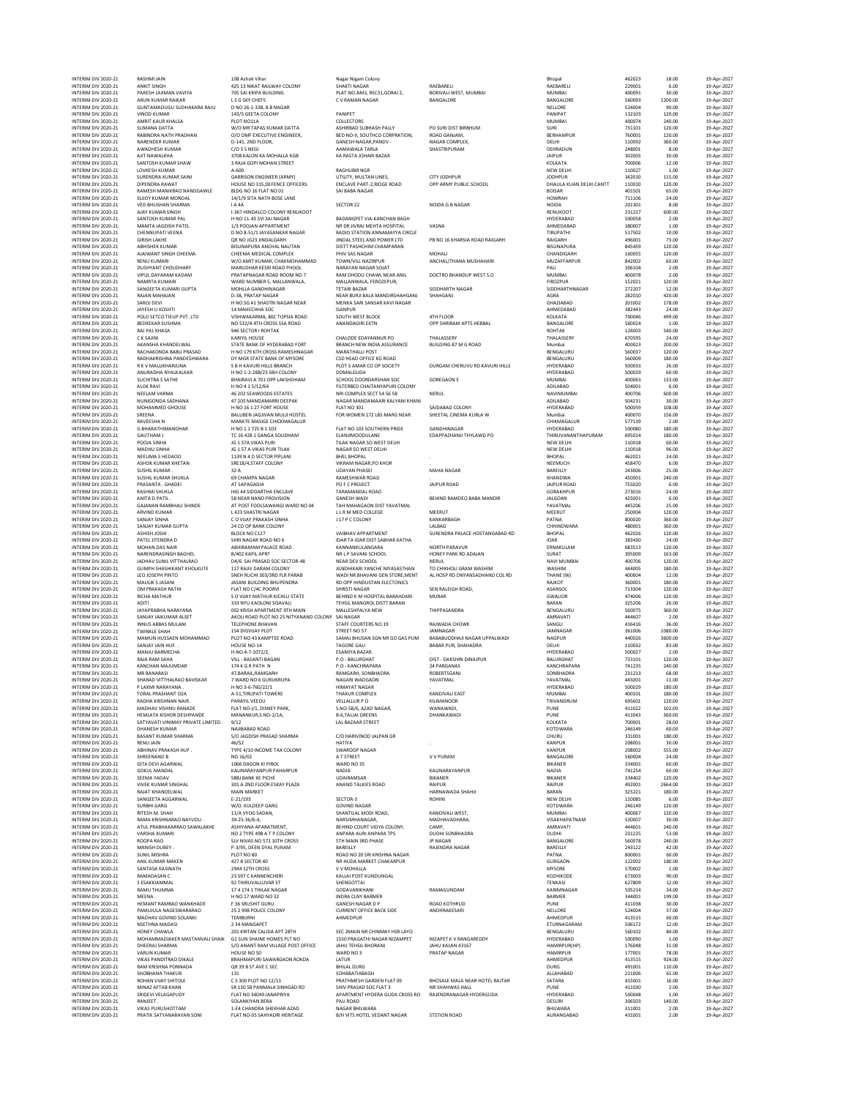| INTERIM DIV 2020-21                        | <b>ANKIT SINGH</b>                                 | 425 13 NIKAT RAILWAY COLONY                                                 | <b>SHAKTI NAGAR</b>                                         | RAEBARELI                      | RAEBARELI                      | 229001           | 6.00             | 19-Apr-2027                |
|--------------------------------------------|----------------------------------------------------|-----------------------------------------------------------------------------|-------------------------------------------------------------|--------------------------------|--------------------------------|------------------|------------------|----------------------------|
| INTERIM DIV 2020-21                        | PARESH LAXMAN VAVIYA                               | 705 SAI KRIPA BUILDING                                                      | PLAT.NO.AM3, RSC31,GORAI 2,                                 | BORIVALI WEST, MUMBAI          | <b>MUMBAI</b>                  | 400091           | 30.00            | 19-Apr-2027                |
| INTERIM DIV 2020-21<br>INTERIM DIV 2020-21 | ARUN KUMAR RAIKAR<br>GUNTAMADUGU SUDHAKARA RAJU    | L S G SKY CHEFS<br>D NO 26-1-338, B B NAGAR                                 | C V RAMAN NAGAR                                             | BANGALORE                      | BANGALORE<br>NELLORE           | 560093<br>524004 | 1200.00<br>90.00 | 19-Apr-2027<br>19-Apr-2027 |
| INTERIM DIV 2020-21                        | <b>VINOD KUMAR</b>                                 | 143/5 GEETA COLONY                                                          | PANIPET                                                     |                                | PANIPAT                        | 132103           | 120.00           | 19-Apr-2027                |
| INTERIM DIV 2020-21                        | AMRIT KAUR KHALSA                                  | PLOT NO11A                                                                  | COLLECTORS                                                  |                                | MUMBAI                         | 400074           | 240.00           | 19-Apr-2027                |
| INTERIM DIV 2020-21                        | SUMANA DATTA                                       | W/O MR TAPAS KUMAR DATTA                                                    | ASHIRBAD SUBHASH PALLY                                      | PO SURI DIST BIRBHUM           | SURI                           | 731101           | 120.00           | 19-Apr-2027                |
| INTERIM DIV 2020-21                        | RABINDRA NATH PRADHAN                              | O/O DMF EXECUTIVE ENGINEER,                                                 | BED NO-II, SOUTHCO CORPRATION,                              | ROAD GANJAM,                   | BERHAMPUR                      | 760001           | 120.00           | 19-Apr-2027                |
| INTERIM DIV 2020-21                        | NARENDER KUMAR                                     | D-145, 2ND FLOOR,                                                           | GANESH NAGAR, PANDV -                                       | NAGAR COMPLEX,                 | DELHI                          | 110092           | 360.00           | 19-Apr-2027                |
| INTERIM DIV 2020-21                        | AWADHESH KUMAR                                     | C/O S S NEGI                                                                | AAMAWALA TARLA                                              | SHASTRIPURAM                   | DEHRADUN                       | 248001           | 8.00             | 19-Apr-2027                |
| INTERIM DIV 2020-21<br>INTERIM DIV 2020-21 | AJIT NAWALKHA<br>SANTOSH KUMAR SHAW                | 3708 KALON KA MOHALLA KGB<br>3 RAJA GOPI MOHAN STREET                       | KA RASTA JOHARI BAZAR                                       |                                | <b>JAIPUR</b><br>KOLKATA       | 302003<br>700006 | 30.00<br>12.00   | 19-Apr-2027<br>19-Apr-2027 |
| INTERIM DIV 2020-21<br>INTERIM DIV 2020-21 | LOVKESH KUMAR<br>SURENDRA KUMAR SAINI              | A-600                                                                       | <b>RAGHURIR NGR</b><br>UTILITY, MULTAN LINES,               | CITY JODHPUR                   | NEW DELHI<br><b>JODHPUR</b>    | 110027           | 1.00<br>115.00   | 19-Apr-2027                |
| INTERIM DIV 2020-21                        | DIPENDRA RAWAT<br>RAMESH MANIKRAO NANDGAWLE        | <b>GARRISON ENGINEER (ARMY)</b><br>HOUSE NO 315, DEFENCE OFFICERS           | ENCLAVE PART-2, RIDGE ROAD                                  | OPP ARMY PUBLIC SCHOOL         | DHAULA KUAN DELHI CANTT        | 342010<br>110010 | 120.00           | 19-Apr-2027<br>19-Apr-2027 |
| INTERIM DIV 2020-21<br>INTERIM DIV 2020-21 | SUJOY KUMAR MONDAL                                 | BLDG NO 16 FLAT NO 01<br>14/1/9 SITA NATH BOSE LANE                         | SAI BABA NAGAR                                              |                                | <b>BOISAR</b><br><b>HOWRAH</b> | 401501<br>711106 | 65.00<br>24.00   | 19-Apr-2027<br>19-Apr-2027 |
| INTERIM DIV 2020-21<br>INTERIM DIV 2020-21 | <b>VED BHUSHAN SHARMA</b><br>AJAY KUMAR SINGH      | <b>IA4A</b><br>I-367 HINDALCO COLONY RENUKOOT                               | SECTOR 22                                                   | NOIDA G B NAGAR                | NOIDA<br>RENUKOOT              | 201301<br>231217 | 8.00<br>600.00   | 19-Apr-2027<br>19-Apr-2027 |
| INTERIM DIV 2020-21                        | SANTOSH KUMAR PAL                                  | H NO 11-43 SVI SAI NAGAR                                                    | BADANGPET VIA-KANCHAN BAGH                                  | VASNA                          | HYDERABAD                      | 500058           | 2.00             | 19-Apr-2027                |
| INTERIM DIV 2020-21                        | MAMTA JAGDISH PATEL                                | 1/3 POOJAN APPARTMENT                                                       | NR DR JIVRAJ MEHTA HOSPITAL                                 |                                | AHMEDABAD                      | 380007           | 1.00             | 19-Apr-2027                |
| INTERIM DIV 2020-21                        | CHENNUPATI VEENA                                   | D NO 8-51/1 JAYASANKAR NAGAR                                                | RADIO STATION ANNAMAYYA CIRCLE                              | PB NO 16 KHARSIA ROAD RAIGARH  | TIRUPATHI                      | 517502           | 10.00            | 19-Apr-2027                |
| INTERIM DIV 2020-21                        | <b>GIRISH LAKHE</b>                                | OR NO JG23 JINDALGARH                                                       | JINDAL STEEL AND POWER LTD                                  |                                | RAIGARH                        | 496001           | 73.00            | 19-Apr-2027                |
| INTERIM DIV 2020-21                        | <b>ABHISHEK KUMAR</b>                              | <b>RISLINAPLIRA ANCHAL NALITAN</b>                                          | DISTT PASHCHIM CHAMPARAN                                    | MOHALI                         | <b>BISUNAPURA</b>              | 845459           | 120.00           | 19-Apr-2027                |
| INTERIM DIV 2020-21                        | AJAIWANT SINGH CHEEMA                              | CHEEMA MEDICAL COMPLEX                                                      | PHIV SAS NAGAR                                              |                                | CHANDIGARH                     | 160055           | 120.00           | 19-Apr-2027                |
| INTERIM DIV 2020-21                        | <b>RENU KUMARI</b>                                 | W/O AMIT KUMAR, CHAKMOHAMMAD                                                | TOWN/VILL NAZIRPUR                                          | ANCHAL/THANA MUSHAHARI         | MUZAFFARPUR                    | 842002           | 60.00            | 19-Apr-2027                |
| INTERIM DIV 2020-21                        | <b>DUSHYANT CHOUDHARY</b>                          | MARUDHAR KESRI ROAD PHOOL                                                   | NARAYAN NAGAR SOJAT                                         |                                | PALI                           | 306104           | 2.00             | 19-Apr-2027                |
| INTERIM DIV 2020-21                        | VIPUL DAYARAM KADAM                                | PRATAPNAGAR ROAD ROOM NO 7                                                  | RAM DHODU CHAWL NEAR ANIL                                   | DOCTRO BHANDUP WEST S.O        | MUMBAI                         | 400078           | 2.00             | 19-Apr-2027                |
| INTERIM DIV 2020-21                        | NAMRTA KUMARI                                      | WARD NUMBER 5, MALLANWALA,                                                  | MALLANWALA, FEROZEPUR,                                      |                                | <b>FIROZPUR</b>                | 152021           | 120.00           | 19-Apr-2027                |
| INTERIM DIV 2020-21                        | SANGEETA KUMARI GUPTA                              | MOHLLA GANDHINAGAR                                                          | <b>TETARI BAZAR</b>                                         | SIDDHARTH NAGAR                | SIDDHARTHNAGAR                 | 272207           | 12.00            | 19-Apr-2027                |
| INTERIM DIV 2020-21                        | RAJAN MAHAJAN                                      | D-38, PRATAP NAGAR                                                          | NEAR BURJI BALA MANDIRSHAHGANJ                              | SHAHGANJ                       | AGRA                           | 282010           | 420.00           | 19-Apr-2027                |
| INTERIM DIV 2020-21                        | SAROJ DEVI                                         | H NO SG 41 SHASTRI NAGAR NEAR                                               | MENKA SARI SANSAR KAVI NAGAR                                |                                | GHAZIABAD                      | 201002           | 178.00           | 19-Apr-2027                |
| INTERIM DIV 2020-21                        | JAYESH U KOSHTI                                    | 14 MAHECHHA SOC                                                             | <b>ISANPUR</b>                                              |                                | AHMEDABAD                      | 382443           | 24.00            | 19-Apr-2027                |
| INTERIM DIV 2020-21                        | POLO SETCO TIEUP PVT. LTD                          | VISHWAKARMA, 86C TOPSIA ROAD                                                | SOUTH WEST BLOCK                                            | 4TH FLOOR                      | KOLKATA                        | 700046           | 499.00           | 19-Apr-2027                |
| INTERIM DIV 2020-21                        | <b>BEDKEKAR SUSHMA</b>                             | NO 532/A 4TH CROSS SSA ROAD                                                 | <b>ANANDAGIRI EXTN</b>                                      | OPP SHRIRAM APTS HEBBAL        | BANGALORE                      | 560024           | 1.00             | 19-Apr-2027                |
| INTERIM DIV 2020-21<br>INTERIM DIV 2020-21 | RAJ PAL KHASA<br>C K SAJINI                        | 946 SECTOR I ROHTAK<br>KARIYIL HOUSE                                        | CHALODE EDAYANNUR PO                                        | THALASSERY                     | ROHTAK<br>THALASSERY           | 124003<br>670595 | 540.00<br>24.00  | 19-Apr-2027<br>19-Apr-2027 |
| INTERIM DIV 2020-21                        | AKANSHA KHANDELWAL                                 | STATE BANK OF HYDERABAD FORT                                                | BRANCH NEW INDIA ASSURANCE                                  | <b>BUILDING 87 M G ROAD</b>    | Mumbai                         | 400023           | 200.00           | 19-Apr-2027                |
| INTERIM DIV 2020-21                        | RACHAKONDA BABU PRASAD                             | H NO 179 6TH CROSS RAMESHNAGAR                                              | <b>MARATHALLI POST</b>                                      |                                | BENGALURU                      | 560037           | 120.00           | 19-Apr-2027                |
| INTERIM DIV 2020-21                        | RADHAKRISHNA PANDESHWARA                           | DY MGR STATE BANK OF MYSORE                                                 | CSD HEAD OFFICE KG ROAD                                     | DURGAM CHERUVU RD KAVURI HILLS | BENGALURU                      | 560009           | 180.00           | 19-Apr-2027                |
| INTERIM DIV 2020-21                        | R K V MALLIKHARJUNA                                | S B H KAVURI HILLS BRANCH                                                   | PLOT 5 AMAR CO OP SOCIETY                                   |                                | <b>HYDERABAD</b>               | 500033           | 26.00            | 19-Apr-2027                |
| INTERIM DIV 2020-21                        | ANURADHA NYALKALKAR                                | H NO 1-2-288/25 SBH COLONY                                                  | DOMALGUDA                                                   | GOREGAON E                     | HYDERABAD                      | 500029           | 60.00            | 19-Apr-2027                |
| INTERIM DIV 2020-21                        | SUCHITRA S SATHE                                   | BHAIRAVI A 701 OPP LAKSHDHAM                                                | SCHOOL DOORDARSHAN SOC                                      |                                | MUMBAI                         | 400063           | 133.00           | 19-Apr-2027                |
| INTERIM DIV 2020-21                        | <b>ALOK RAVI</b>                                   | H NO 4 1 5/12/64                                                            | FILTERBED CHAITANYAPURI COLONY                              | NERUL                          | ADILABAD                       | 504001           | 6.00             | 19-Apr-2027                |
| INTERIM DIV 2020-21                        | NEELAM VARMA                                       | 46 202 SEAWOODS ESTATES                                                     | NRI COMPLEX SECT 54 56 58                                   |                                | NAVIMUMBAI                     | 400706           | 600.00           | 19-Apr-2027                |
| INTERIM DIV 2020-21                        | NUNIGONDA SADHANA                                  | 47 205 MANDAMARRI DEEPAK                                                    | NAGAR MANDAMAARI KALYANI KHANI                              | SAIDABAD COLONY                | ADILABAD                       | 504231           | 30.00            | 19-Apr-2027                |
| INTERIM DIV 2020-21                        | MOHAMMED GHOUSE                                    | H NO 16 1 27 FORT HOUSE                                                     | FLAT NO 301                                                 |                                | HYDERABAD                      | 500059           | 108.00           | 19-Apr-2027                |
| INTERIM DIV 2020-21<br>INTERIM DIV 2020-21 | SREENA.<br>RAVEESHA N                              | BALUBEN JAGJIVAN MULJI HOSTEL<br>MARATE MASIGE CHICKMAGALUR                 | FOR WOMEN 172 LBS MARG NEAR                                 | SHEETAL CINEMA KURLA W         | Mumbai<br>CHIKMAGALUR          | 400070<br>577139 | 156.00<br>2.00   | 19-Apr-2027<br>19-Apr-2027 |
| INTERIM DIV 2020-21                        | <b>G BHARATHIMANOHAR</b>                           | H NO 1 1 725 B 1 103                                                        | FLAT NO 103 SOUTHERN PRIDE                                  | <b>GANDHINAGAR</b>             | HYDERABAD                      | 500080           | 180.00           | 19-Apr-2027                |
| INTERIM DIV 2020-21                        | <b>GAUTHAM J</b>                                   | TC 16 428 1 GANGA SOUDHAM                                                   | ELANJIMOODULANE                                             | EDAPPAZHANJI THYLAWD PO        | THIRUVANANTHAPURAM             | 695014           | 180.00           | 19-Apr-2027                |
| INTERIM DIV 2020-21                        | POOJA SINHA                                        | JG 1 57A VIKAS PURI                                                         | TILAK NAGAR SO WEST DELHI                                   |                                | NEW DELHI                      | 110018           | 60.00            | 19-Apr-2027                |
| INTERIM DIV 2020-21                        | MADHU SINHA                                        | JG 1 57 A VIKAS PURI TILAK                                                  | NAGAR SO WEST DELHI                                         |                                | NEW DELHI                      | 110018           | 96.00            | 19-Apr-2027                |
| INTERIM DIV 2020-21                        | NEELIMA S HEDAOO                                   | 1139 N 4 D SECTOR PIPLANI                                                   | <b>BHEL BHOPAL</b>                                          |                                | BHOPAL                         | 462021           | 24.00            | 19-Apr-2027                |
| INTERIM DIV 2020-21                        | ASHOK KUMAR KHETAN                                 | SRE18/4.STAFF COLONY                                                        | VIKRAM NAGAR.PO KHOR                                        |                                | NEEMUCH                        | 458470           | 6.00             | 19-Apr-2027                |
| INTERIM DIV 2020-21                        | <b>SUSHIL KUMAR</b>                                | 32 A                                                                        | <b>UDAYAN PHASEI</b>                                        | MAHA NAGAR                     | BAREILLY                       | 243006           | 25.00            | 19-Apr-2027                |
| INTERIM DIV 2020-21                        | SUSHIL KUMAR SHUKLA                                | 69 CHAMPA NAGAR                                                             | RAMESHWAR ROAD                                              |                                | KHANDWA                        | 450001           | 240.00           | 19-Apr-2027                |
| INTERIM DIV 2020-21                        | PRASANTA . GHADEI                                  | AT SAPAGADIA                                                                | PO F C PROJECT                                              | <b>JAJPUR ROAD</b>             | JAJPUR ROAD                    | 755020           | 6.00             | 19-Apr-2027                |
| INTERIM DIV 2020-21                        | RASHMI SHUKLA                                      | HIG 44 SIDDARTHA ENCLAVE                                                    | TARAMANDAL ROAD                                             |                                | GORAKHPUR                      | 273016           | 24.00            | 19-Apr-2027                |
| INTERIM DIV 2020-21                        | ANITA D PATIL.                                     | 58 NEAR NAND PROVISION                                                      | <b>GANESH WADI</b>                                          | BEHIND RAMDEO BABA MANDIR      | <b>JALGOAN</b>                 | 425001           | 6.00             | 19-Apr-2027                |
| INTERIM DIV 2020-21                        | GAJANAN RAMBHAU SHINDE                             | AT POST FOOLSAWANGI WARD NO 04                                              | TAH MAHAGAON DIST YAVATMAL                                  |                                | YAVATMAL                       | 445206           | 25.00            | 19-Apr-2027                |
| INTERIM DIV 2020-21                        | ARVIND KUMAR                                       | L 423 SHASTRI NAGAR                                                         | LLRM MED COLLEGE                                            | MEERUT                         | MEERUT                         | 250004           | 120.00           | 19-Apr-2027                |
| INTERIM DIV 2020-21                        | SANJAY SINHA                                       | C O VIJAY PRAKASH SINHA                                                     | J 17 P C COLONY                                             | KANKARBAGH                     | PATNA                          | 800020           | 360.00           | 19-Apr-2027                |
| INTERIM DIV 2020-21                        | SANJAY KUMAR GUPTA                                 | 24 CO OP BANK COLONY<br>BLOCK NO C127                                       |                                                             | LALBAG                         | CHHINDWARA                     | 480001           | 360.00           | 19-Apr-2027                |
| INTERIM DIV 2020-21<br>INTERIM DIV 2020-21 | ASHISH JOSHI<br>PATEL JITENDRA D                   | SHRI NAGAR ROAD NO 6                                                        | VAIBHAV APPARTMENT<br><b>IDAR TA IDAR DIST SABHAR KATHA</b> | SURENDRA PALACE HOSTANGABAD RD | BHOPAL<br><b>IDAR</b>          | 462026<br>383430 | 120.00<br>24.00  | 19-Apr-2027<br>19-Apr-2027 |
| INTERIM DIV 2020-21                        | MOHAN DAS NAIR                                     | ABHIRAMAM PALACE ROAD                                                       | KANNANKULANGARA                                             | NORTH PARAVUR                  | ERNAKULAM                      | 683513           | 120.00           | 19-Apr-2027                |
| INTERIM DIV 2020-21                        | NARENDRASINGH BAGHEL                               | B/402 KAPIL APRT                                                            | NR L P SAVANI SCHOOL                                        | HONEY PARK RD ADAJAN           | SURAT                          | 395009           | 163.00           | 19-Apr-2027                |
| INTERIM DIV 2020-21                        | JADHAV SUNIL VITTHALRAO                            | D4/6 SAI PRASAD SOC SECTOR-48                                               | NEAR DEV SCHOOL                                             | NERUL                          | NAVI MUMBAI                    | 400706           | 120.00           | 19-Apr-2027                |
| INTERIM DIV 2020-21                        | GUMPH SHASHIKANT KHOLKUTE                          | 117 RAJIV DARAM COLONY                                                      | JILNDHIKARI YANCHE NIYASASTHAN                              | TO CHIKHOLI GRAM WASHIM        | WASHIM                         | 444005           | 180.00           | 19-Apr-2027                |
| INTERIM DIV 2020-21                        | LEO JOSEPH PINTO                                   | SNEH RUCHI 303/3RD FLR PARAB                                                | WADI NR BHAVANI GEN STORE, MENT                             | AL HOSP RD DNYANSADHAND COL RD | THANE (W)                      | 400604           | 12.00            | 19-Apr-2027                |
| INTERIM DIV 2020-21                        | MAULIK S JASANI                                    | JASANI BUILDING BHUPENDRA                                                   | RD OPP HINDUSTAN ELECTONICS                                 |                                | RAJKOT                         | 360001           | 180.00           | 19-Apr-2027                |
| INTERIM DIV 2020-21                        | OM PRAKASH RATHI                                   | FLAT NO C/4C POORVI                                                         | <b>SHRISTI NAGAR</b>                                        | SEN RALEIGH ROAD,              | ASANSOL                        | 713304           | 120.00           | 19-Apr-2027                |
| INTERIM DIV 2020-21                        | <b>RICHA MATHUR</b>                                | S O VIJAY MATHUR KICHLU STATE                                               | BEHIND K M HOSPITAL BARAHDARI                               | <b>MURAR</b>                   | <b>GWALIOR</b>                 | 474006           | 120.00           | 19-Apr-2027                |
| INTERIM DIV 2020-21                        | <b>ADITI</b>                                       | 333 NYU KAOLONI SISAVALI                                                    | TEHSIL MANGROL DISTT BARAN                                  | THIPPASANDRA                   | BARAN                          | 325206           | 26.00            | 19-Apr-2027                |
| INTERIM DIV 2020-21                        | JAYAPRABHA NARAYANA                                | 002 KRISH APARTMENT 9TH MAIN                                                | MALLESHPALYA NEW                                            |                                | BENGALURU                      | 560075           | 360.00           | 19-Apr-2027                |
| INTERIM DIV 2020-21<br>INTERIM DIV 2020-21 | SANJAY JAIKUMAR ALSET<br>INNUS ABBAS MULANI        | AKOLI ROAD PLOT NO 25 NITYANAND COLONY SAI NAGAR<br><b>TELEPHONE BHAVAN</b> | STAFF COURTERS NO.19                                        | RAJWADA CHOWK                  | AMRAVATI<br>SANGLI             | 444607<br>416416 | 2.00<br>36.00    | 19-Apr-2027<br>19-Apr-2027 |
| INTERIM DIV 2020-21                        | <b>TWINKLE SHAH</b>                                | 154 DIGVIJAY PLOT                                                           | STREET NO 57                                                | JAMNAGAR                       | JAMNAGAR                       | 361006           | 1080.00          | 19-Apr-2027                |
| INTERIM DIV 2020-21                        | MAMUN HUSSAEN MOHAMMAD                             | PLOT NO 43 KAMPTEE ROAD                                                     | SAMAJ BHUSAN SGN NR GO GAS PUM                              | BABABUDDHAJI NAGAR UPPALWADI   | <b>NAGPUR</b>                  | 440026           | 3600.00          | 19-Apr-2027                |
| INTERIM DIV 2020-21                        | SANJAY JAIN HUF.                                   | HOUSE NO-14                                                                 | <b>TAGORE GALI</b>                                          | <b>BABAR PUR, SHAHADRA</b>     | DELHI                          | 110032           | 83.00            | 19-Apr-2027                |
| INTERIM DIV 2020-21                        | MANJU BARMECHA                                     | H.NO.4-7-1072/2,                                                            | ESAMIYA BAZAR.                                              |                                | HYDERABAD                      | 500027           | 2.00             | 19-Apr-2027                |
| INTERIM DIV 2020-21                        | RAJA RAM SAHA                                      | VILL - BASANTI BAGAN                                                        | P.O - BALURGHAT                                             | DIST - DAKSHIN DINAJPUR        | BALURGHAT                      | 733101           | 120.00           | 19-Apr-2027                |
| INTERIM DIV 2020-21                        | KANCHAN MAJUMDAR                                   | 174 K G R PATH N                                                            | P.O - KANCHRAPARA                                           | 24 PARGANAS                    | KANCHRAPARA                    | 741235           | 240.00           | 19-Apr-2027                |
| INTERIM DIV 2020-21                        | MR RANARASI                                        | 47.BARAIL.RAMGARH                                                           | RAMGARH, SONRHADRA                                          | ROBERTSGANJ                    | SONBHADRA                      | 231213           | 68.00            | 19-Apr-2027                |
| INTERIM DIV 2020-21                        | SHARAD VITTHALRAO BAVISKAR                         | 7 WARD NO 6 GURUKRUPA                                                       | NAGARI WADGAON                                              | YAVATMAL                       | YAVATMAL                       | 445001           | 11.00            | 19-Apr-2027                |
| INTERIM DIV 2020-21                        | P LAXMI NARAYANA.                                  | H NO 3-6-760/22/1                                                           | <b>HIMAYAT NAGAR</b>                                        | KANDIVALL FAST                 | HYDERABAD                      | 500029           | 180.00           | 19-Apr-2027                |
| INTERIM DIV 2020-21                        | TORAL PRASHANT OZA                                 | A-51.TIRUPATI TOWERS                                                        | <b>THAKUR COMPLEX</b>                                       |                                | <b>MUMBAI</b>                  | 400101           | 180.00           | 19-Apr-2027                |
| INTERIM DIV 2020-21                        | RADHA KRISHNAN NAIR                                | PARAYIL VEEDU                                                               | <b>VELLALLUR PO</b>                                         | KILIMANOOR                     | TRIVANDRUM                     | 695601           | 120.00           | 19-Apr-2027                |
| INTERIM DIV 2020-21                        | MADHAV VISHNU RANADE                               | FLAT NO-I/1, DISNEY PARK,                                                   | S.NO-58/6, AZAD NAGAR,                                      | WANAWADI,                      | PUNE                           | 411022           | 102.00           | 19-Apr-2027                |
| INTERIM DIV 2020-21                        | HEMLATA KISHOR DESHPANDE                           | MANANKUR, S.NO-2/1A,                                                        | <b>B-6.TALIAI GREENS</b>                                    | DHANKAWADI                     | PUNE                           | 411043           | 360.00           | 19-Apr-2027                |
| INTERIM DIV 2020-21                        | SATYAVATI VINIMAY PRIVATE LIMITED                  | 9/12                                                                        | <b>LAL BAZAAR STREET</b>                                    |                                | KOLKATA                        | 700001           | 28.00            | 19-Apr-2027                |
| INTERIM DIV 2020-21<br>INTERIM DIV 2020-21 | <b>DHANESH KUMAR</b><br><b>BASANT KUMAR SHARMA</b> | NAJIBABAD ROAD<br>S/O JAGDISH PRASAD SHARMA                                 | C/O HARIVINOD JALPAN GR                                     |                                | KOTDWARA<br>CHURU              | 246149<br>331001 | 60.00<br>180.00  | 19-Apr-2027<br>19-Apr-2027 |
| INTERIM DIV 2020-21                        | <b>RENU JAIN</b>                                   | 46/52                                                                       | HATIYA                                                      |                                | <b>KANPUR</b>                  | 208001           | 30.00            | 19-Apr-2027                |
| INTERIM DIV 2020-21                        | ABHINAV PRAKASH HUF.                               | TYPE 4/10 INCOME TAX COLONY                                                 | SWAROOP NAGAR                                               |                                | <b>KANPUR</b>                  | 208002           | 555.00           | 19-Apr-2027                |
| INTERIM DIV 2020-21                        | SHREENAND B                                        | NO 16/02                                                                    | A T STREET                                                  | V V PURAM                      | BANGALORE                      | 560004           | 24.00            | 19-Apr-2027                |
| INTERIM DIV 2020-21                        | <b>GITA DEVI AGARWAL</b>                           | 1066 DAGON KI PIROL                                                         | WARD NO 35                                                  |                                | BIKANER                        | 334001           | 60.00            | 19-Apr-2027                |
| INTERIM DIV 2020-21                        | <b>GOKUL MANDAL</b>                                | KALINARAYANPUR PAHARPUR                                                     | <b>NADIA</b>                                                | KALINARAYANPUR                 | <b>NADIA</b>                   | 741254           | 60.00            | 19-Apr-2027                |
| INTERIM DIV 2020-21                        | SEEMA YADAV                                        | SBBJ BANK KE PICHE                                                          | <b>UDAIRAMSAR</b>                                           | <b>BIKANER</b>                 | BIKANER                        | 334402           | 120.00           | 19-Apr-2027                |
| INTERIM DIV 2020-21                        | <b>VIVEK KUMAR SINGHAL</b>                         | 301 A 2ND FLOOR ESKAY PLAZA                                                 | ANAND TALKIES ROAD                                          | RAIPUR                         | RAIPUR                         | 492001           | 2664.00          | 19-Apr-2027                |
| INTERIM DIV 2020-21                        | RAJAT KHANDELWAL                                   | <b>MAIN MARKET</b>                                                          |                                                             | HARNAWADA SHAHJI               | BARAN                          | 325221           | 180.00           | 19-Apr-2027                |
| INTERIM DIV 2020-21                        | SANGEETA AGGARWAL                                  | $E - 21/193$                                                                | SECTOR-3                                                    | <b>ROHINI</b>                  | NEW DELHI                      | 110085           | 6.00             | 19-Apr-2027                |
| INTERIM DIV 2020-21                        | SURBHI GARG                                        | W/O. KULDEEP GARG                                                           | <b>GOVIND NAGAR</b>                                         |                                | KOTDWARA                       | 246149           | 120.00           | 19-Apr-2027                |
| INTERIM DIV 2020-21                        | <b>RITESH M. SHAH</b>                              | 11/A VYOG SADAN,                                                            | SHANTILAL MODI ROAD.                                        | KANDIVALI WEST.                | <b>MUMBAI</b>                  | 400067           | 120.00           | 19-Apr-2027                |
| INTERIM DIV 2020-21                        | RAMA KRISHNARAO NAYUDU.                            | 39-25-36/6-4,                                                               | NARSIMHANAGAR,                                              | MADHAVADHARA,                  | VISAKHAPATNAM                  | 530007           | 30.00            | 19-Apr-2027                |
| INTERIM DIV 2020-21                        | ATUL PRABHAKARRAO SAWALAKHE                        | ASHIYANA APARATMENT,                                                        | BEHIND COURT VIDYA COLONY,                                  | CAMP,                          | AMRAVATI                       | 444601           | 240.00           | 19-Apr-2027                |
| INTERIM DIV 2020-21                        | VARSHA KUMARI                                      | NO 2 TYPE 498 A T P COLONY                                                  | ANPARA AURI ANPARA TPS                                      | DUDHI SONBHADRA                | DUDHI                          | 231225           | 53.00            | 19-Apr-2027                |
| INTERIM DIV 2020-21                        | ROOPA RAO                                          | SLV NIVAS NO 572 10TH CROSS                                                 | <b>5TH MAIN 3RD PHASE</b>                                   | <b>JP NAGAR</b>                | BANGALORE                      | 560078           | 240.00           | 19-Apr-2027                |
| INTERIM DIV 2020-21                        | MANISH DUBEY                                       | P-3/95. DEEN DYAL PURAM                                                     | BAREILLY                                                    | RAJENDRA NAGAR                 | BAREILLY                       | 243122           | 42.00            | 19-Apr-2027                |
| INTERIM DIV 2020-21                        | <b>SUNIL MISHRA</b>                                | PLOT NO 80                                                                  | ROAD NO 20 SRI KRISHNA NAGAR                                |                                | PATNA                          | 800001           | 60.00            | 19-Apr-2027                |
| INTERIM DIV 2020-21                        | ANIL KUMAR MAKEN                                   | 427 B SECTOR 40                                                             | NR HUDA MARKET CHAKARPUR                                    |                                | <b>GURGAON</b>                 | 122002           | 180.00           | 19-Apr-2027                |
| INTERIM DIV 2020-21                        | SANTASA KASINATH                                   | 2944 12TH CROSS                                                             | V V MOHALLA                                                 |                                | <b>MYSORE</b>                  | 570002           | 1.00             | 19-Apr-2027                |
| INTERIM DIV 2020-21                        | RAMADASAN C                                        | 23 597 C KANNENCHERI                                                        | KALLAI POST KUNDUNGAL                                       |                                | KOZHIKODE                      | 673003           | 90.00            | 19-Apr-2027                |
| INTERIM DIV 2020-21                        | S ESAKKIAMMAL                                      | 92 THIRUVALLUVAR ST                                                         | SHENGOTTAI                                                  | RAMAGUNDAM                     | <b>TENKASI</b>                 | 627809           | 12.00            | 19-Apr-2027                |
| INTERIM DIV 2020-21                        | RAMU THUMMA                                        | 1741741 THILAK NAGAR                                                        | <b>GODAVARIKHANI</b>                                        |                                | KARIMNAGAR                     | 505214           | 24.00            | 19-Apr-2027                |
| INTERIM DIV 2020-21                        | MEENA                                              | H NO 17 WARD NO 32                                                          | INDRA CLNY BARMER                                           | ROAD KOTHRUD                   | BARMER                         | 344001           | 199.00           | 19-Apr-2027                |
| INTERIM DIV 2020-21                        | HEMANT RAMRAO WANKHADE                             | F 36 SRUSHIT GURU                                                           | <b>GANESH NAGAR D P</b>                                     |                                | PUNE                           | 411038           | 30.00            | 19-Apr-2027                |
| INTERIM DIV 2020-21                        | PAMUJULA NAGESWARARAO                              | 25 2 998 POLICE COLONY                                                      | <b>CURRENT OFFICE BACK SIDE</b>                             | ANDHRAKESARI                   | NELLORE                        | 524004           | 37.00            | 19-Apr-2027                |
| INTERIM DIV 2020-21                        | MADHAV GOVIND SOLANKI                              | TEMBURNI                                                                    | AHMEDPUR                                                    |                                | AHMEDPUR                       | 413515           | 60.00            | 19-Apr-2027                |
| INTERIM DIV 2020-21<br>INTERIM DIV 2020-21 | NSETHNA MADASI<br>HONEY CHAWLA                     | 2 34 MANGAPET<br>201 KRITAN CALIDA APT 28TH                                 | SEC 2MAIN NR CHINMAY HSR LAYO                               |                                | ETURNAGARAM<br>BENGALURU       | 506172<br>560102 | 12.00<br>84.00   | 19-Apr-2027<br>19-Apr-2027 |
| INTERIM DIV 2020-21                        | MOHAMMADJAKER MASTANVALI SHAIK                     | G1 SUN SHAINE HOMES PLT NO                                                  | 1550 PRAGATHI NAGAR NIZAMPET                                | NIZAPET K V RANGAREDDY         | HYDERABAD                      | 500090           | 1.00             | 19-Apr-2027                |
| INTERIM DIV 2020-21                        | <b>DHEERAJ SHARMA</b>                              | S/O ANANT RAM VILLAGE POST OFFICE                                           | JAHU TEHSIL BHORANJ                                         | JAHU KALAN 43167               | HAMIRPUR(HP)                   | 176048           | 31.00            | 19-Apr-2027                |
| INTERIM DIV 2020-21                        | <b>VARUN KUMAR</b>                                 | HOUSE NO 50                                                                 | WARD NO3                                                    | PRATAP NAGAR                   | <b>HAMIRPUR</b>                | 177001           | 78.00            | 19-Apr-2027                |
| INTERIM DIV 2020-21                        | VIKAS PANDITRAO DIKALE                             | BRAHMAPURI SAWARGAON ROKDA                                                  | LATUR                                                       |                                | AHMEDPUR                       | 413515           | 924.00           | 19-Apr-2027                |
| INTERIM DIV 2020-21                        | RAM KRISHNA PONNADA                                | QR 39 B ST AVE C SEC                                                        | <b>BHILAL DURG</b>                                          |                                | <b>DURG</b>                    | 491001           | 110.00           | 19-Apr-2027                |
| INTERIM DIV 2020-21                        | SHOBHANA THAKUR                                    | 131                                                                         | SOHABATIABAGH                                               |                                | ALLAHABAD                      | 211006           | 61.00            | 19-Apr-2027                |
| INTERIM DIV 2020-21                        | ROHAN VIJAY SHITOLE                                | C S 300 PLOT NO 12/13                                                       | PRATHMESH GARDEN FLAT 09                                    | BHOSALE MALA NEAR HOTEL RAJTAR | SATARA                         | 415001           | 16.00            | 19-Apr-2027                |
| INTERIM DIV 2020-21                        | MINAZ AFTAB KHAN                                   | SR 130 58 PANMALA SINHGAD RD                                                | SHIV PRASAD SOC FLAT 3                                      | NR SHAHWAS HALL                | PUNE                           | 411030           | 2.00             | 19-Apr-2027                |
| INTERIM DIV 2020-21                        | SRIDEVI VELAGAPUDY                                 | FLAT NO 34049 JANAPRIYA                                                     | APARTMENT HYDERA GUDA CROSS RO                              | RAJENDRANAGAR HYDERGUDA        | HYDERABAD                      | 500048           | 1.00             | 19-Apr-2027                |
| INTERIM DIV 2020-21                        | RANJEET.                                           | SOLANKIYAN BERA                                                             | PALI ROAD                                                   |                                | DESURI                         | 306503           | 140.00           | 19-Apr-2027                |
| INTERIM DIV 2020-21                        | VIKAS PURUSHOTTAM                                  | 1-E4 CHANDRA SHEKHAR AZAD                                                   | NAGAR BHILWARA                                              | <b>STSTION ROAD</b>            | BHILWARA                       | 311001           | 2.00             | 19-Apr-2027                |
| INTERIM DIV 2020-21                        | PRATIK SATYANARAYAN SONI                           | FLAT NO-05 SAHYADRI HERITAGE                                                | B/H VITS HOTEL VEDANT NAGAR                                 |                                | AURANGABAD                     | 431001           | 2.00             | 19-Apr-2027                |
|                                            |                                                    |                                                                             |                                                             |                                |                                |                  |                  |                            |

|                | RAEBARELI<br>BORIVALI WEST, MUMBAI<br>BANGALORE                                            |
|----------------|--------------------------------------------------------------------------------------------|
|                | PO SURI DIST BIRBHUM<br>ROAD GANJAM,<br>NAGAR COMPLEX,<br>SHASTRIPLIRAM                    |
|                | CITY JODHPUR<br>OPP ARMY PUBLIC SCHOOL                                                     |
|                | NOIDA G B NAGAR                                                                            |
|                | VASNA                                                                                      |
|                | PB NO 16 KHARSIA ROAD RAIGARH<br>MOHALI                                                    |
|                | ANCHAL/THANA MUSHAHARI                                                                     |
|                | DOCTRO BHANDUP WEST S.O                                                                    |
| $\overline{a}$ | SIDDHARTH NAGAR<br>SHAHGANJ                                                                |
|                | 4TH FLOOR<br>OPP SHRIRAM APTS HEBBAL                                                       |
|                | THALASSERY<br>BUILDING 87 M G ROAD                                                         |
|                | DURGAM CHERUVU RD KAVURI HILLS<br><b>GOREGAON E</b>                                        |
|                | NERUL                                                                                      |
| ٧I             | SAIDABAD COLONY                                                                            |
|                | SHEETAL CINEMA KURLA W<br>GANDHINAGAR                                                      |
|                | EDAPPAZHANJI THYLAWD PO                                                                    |
|                | Ń<br><b>MAHA NAGAR</b>                                                                     |
|                | <b>JAJPUR ROAD</b>                                                                         |
|                | BEHIND RAMDEO BABA MANDIR                                                                  |
|                | MEERUT<br>KANKARBAGH<br>LALBAG                                                             |
|                | SURENDRA PALACE HOSTANGABAD RD<br>NORTH PARAVUR                                            |
|                | HONEY PARK RD ADAJAN<br>NERUL<br>TO CHIKHOLI GRAM WASHIM<br>AL HOSP RD DNYANSADHAND COL RD |
|                | SEN RALEIGH ROAD,<br><b>MURAR</b>                                                          |
|                | THIPPASANDRA                                                                               |
| q              | RAJWADA CHOWK<br>JAMNAGAR<br>BABABUDDHAJI NAGAR UPPALWADI                                  |
|                | BABAR PUR, SHAHADRA                                                                        |
|                | DIST-<br><b>DAKSHIN DINAJPUR</b><br>24 PARGANAS<br>ROBERTSGANJ<br>YAVATMAL                 |
|                | KANDIVALI EAST                                                                             |
|                | KILIMANOOR<br>WANAWADI,<br>DHANKAWADI                                                      |
|                |                                                                                            |
|                | V V PURAM                                                                                  |
|                | KALINARAYANPUR                                                                             |
|                | BIKANER<br>RAIPUR<br>HARNAWADA SHAHJI<br>ROHINI                                            |
|                | KANDIVALI WEST                                                                             |
|                | MADHAVADHARA,<br>CAMP,                                                                     |
|                | DUDHI SONBHADRA<br><b>JP NAGAR</b><br>RAJENDRA NAGAR                                       |
|                |                                                                                            |
|                | RAMAGUNDAM                                                                                 |
|                | <b>ROAD KOTHRUD</b><br>ANDHRAKESARI                                                        |
|                | NIZAPET K V RANGAREDDY                                                                     |
|                | JAHU KALAN 43167<br>PRATAP NAGAR                                                           |
|                |                                                                                            |
| Ó              | BHOSALE MALA NEAR HOTEL RAJTAR<br>NR SHAHWAS HALL<br>RAJENDRANAGAR HYDERGUDA               |
|                |                                                                                            |

| NELLORE<br>PANIPAT<br>MUM<br><b>ABAI</b> |
|------------------------------------------|
|                                          |
|                                          |
| <b>SURI</b>                              |
| BERHAMPUR                                |
| DELHI                                    |
| DEHRADUN                                 |
| JAIPUR                                   |
| KOLKAT<br>ź<br>NEW DELHI                 |
| <b>JODHPUR</b>                           |
| DHAULA KUAN DELHI CANT                   |
| <b>BOISAR</b>                            |
| HOWRAH                                   |
| NOID/                                    |
| RENUKOOT                                 |
| HYDERABAD                                |
| AHMEDABAD                                |
| TIRUPATH<br>łI<br>RAIGARH                |
| <b>BISUNAPURA</b>                        |
| CHANDIGARH                               |
| MUZAFFARPUR                              |
| PAIL                                     |
| MUMBAI                                   |
| <b>FIROZPUR</b>                          |
| SIDDHARTHNAGAR                           |
| AGRA<br>GHAZIABAD                        |
| AHMEDABAD                                |
| KOLKATA                                  |
| BANGALORE                                |
| ROHTAK                                   |
| THAL<br>ASSERY                           |
| Mumbai                                   |
| BENGALURI<br>Ï                           |
| BENGALURU<br>HYDERABAD                   |
| HYDERABAD                                |
| MUMBAI                                   |
| ADILABAD                                 |
| NAVIMUMB<br>Áİ                           |
| ADILABAD                                 |
| HYDERABAD<br>Mumbai                      |
| CHIKMAGALUR                              |
| HYDERABAD                                |
| THIRUVANANTHAPURAM                       |
| NEW DELHI<br>NEW DELHI                   |
|                                          |
| <b>BHOPAL</b>                            |
| NEEMUCH<br>BAREILLY                      |
| KHANDWA                                  |
| JAJPUR ROAD                              |
| GORAKHPL<br>JR                           |
| <b>JALGOAN</b>                           |
| YAVATMAL                                 |
| MEERUT<br>PATNA                          |
| CHHINDWARA                               |
| <b>BHOPAL</b>                            |
| <b>IDAR</b>                              |
| ERNAKULAM                                |
| SURAT                                    |
| NAVI MUMBAI                              |
| WASHIM                                   |
| THANE (W)<br>RAJKOT                      |
|                                          |
|                                          |
| ASANSOL<br><b>GWALIOR</b>                |
| BARAN                                    |
| BENGALURU                                |
| AMRAVATI                                 |
| SANGLI                                   |
| JAMNAGAR                                 |
| NAGPUR                                   |
| DELHI                                    |
| HYDERABAD                                |
| BALURGHAT<br>KANCHRAPAR                  |
| SONBHADRA                                |
| YAVATMAI                                 |
| HYDERABAD                                |
| MUMBAI                                   |
| TRIVANDRUM                               |
| PUNE<br>PUNE                             |
| I<br>KOLI<br>١T                          |
| KOTDWARA                                 |
| CHURU                                    |
| KANPUR                                   |
| KANPUR<br><b>ORF</b>                     |
| BANGALO                                  |
| BIKANER<br>NADIA                         |
| BIKANER                                  |
| RAIPUR                                   |
| BARAN                                    |
| NEW DELHI                                |
| KOTDWARA<br>MUMBAI                       |
| <b>VISAKHAPATNAI</b>                     |
| AMRAVATI                                 |
| DUDHI                                    |
| BANGALORE                                |
| BAREILLY                                 |
| PATNA<br><b>GURGAON</b>                  |
| MYSORE                                   |
| KOZHIKODE                                |
| TENKASI                                  |
| KARIMNAGAR                               |
| BARMER                                   |
| PUNE                                     |
| NELLORE                                  |
| AHMEDPUR<br>ETURNAGARAM                  |
| BENGALURU                                |
| HYDERABAD                                |
| HAMIRPUR(HP)                             |
| HAMIRPUR                                 |
| AHMEDPUR<br>DURG                         |
| ALLAHABAD                                |
| SATARA                                   |
| PUNE                                     |
| HYDERABAD                                |
| DESURI<br>BHILWARA<br>AURANGABAD         |

| $^{123}$                   | 18.0                                                                                                |
|----------------------------|-----------------------------------------------------------------------------------------------------|
| 01<br>191                  | 6.0                                                                                                 |
| .<br>193                   | ı                                                                                                   |
| 04<br>103                  | $\begin{array}{c} 30.0 \\ 200.0 \\ 90.0 \\ 120.0 \\ 240.0 \\ 120.0 \\ \end{array}$                  |
| .<br>374                   |                                                                                                     |
| 101                        |                                                                                                     |
| 01<br>)92                  | 120.0<br>360.0<br>8.0<br>30.0<br>12.0<br>10<br>115.0                                                |
| 01                         |                                                                                                     |
| 03<br>06                   |                                                                                                     |
| )27<br>)10                 |                                                                                                     |
| 10                         |                                                                                                     |
| 501                        | 115.0<br>120.0<br>65.0<br>24.0                                                                      |
| LO6<br>801                 |                                                                                                     |
| 217                        | $8.0$<br>$600.0$<br>2.0                                                                             |
| )58<br>)07                 |                                                                                                     |
| 502<br>)01                 | 1.0                                                                                                 |
|                            |                                                                                                     |
| 159<br>)55                 |                                                                                                     |
| 002                        |                                                                                                     |
| 104<br>)78                 |                                                                                                     |
| $^{121}$                   |                                                                                                     |
| :07<br>)10                 |                                                                                                     |
| 002                        |                                                                                                     |
| 143                        |                                                                                                     |
| - - -<br>)46<br>)24<br>)03 |                                                                                                     |
| 595                        |                                                                                                     |
| 123                        |                                                                                                     |
| 137                        |                                                                                                     |
| 009<br>133                 |                                                                                                     |
| 129                        | $180.0$<br>$26.0$<br>$60.0$<br>$133.0$<br>$6.0$<br>$30.0$<br>$108.0$<br>$156.0$<br>$2.0$<br>$180.0$ |
| 63<br>01                   |                                                                                                     |
| 06                         |                                                                                                     |
| 131                        |                                                                                                     |
| ---<br>)59<br>)70          |                                                                                                     |
| 139                        |                                                                                                     |
| 080                        |                                                                                                     |
| )14<br>)18<br>)18          | $\begin{array}{r} 180.0 \\ 60.0 \\ 96.0 \\ 24.0 \\ 6.0 \\ 25.0 \\ 240.0 \\ \end{array}$             |
|                            |                                                                                                     |
| )21<br> 70                 |                                                                                                     |
| 06<br>01                   |                                                                                                     |
| 120                        |                                                                                                     |
| 16                         |                                                                                                     |
| 01<br>06                   |                                                                                                     |
| 04                         | $6.0$<br>$24.0$<br>$6.0$<br>$25.0$<br>$120.0$<br>$360.0$<br>$360.0$                                 |
| 120<br>01                  |                                                                                                     |
| $^{126}$                   |                                                                                                     |
| 130<br>513                 | 120.0<br>24.0<br>120.0<br>163.0<br>120.0<br>180.0                                                   |
| .<br>200                   |                                                                                                     |
| '06<br>)OS                 |                                                                                                     |
| .<br>04                    |                                                                                                     |
| 01<br>104                  | $\begin{array}{r} 12.0 \\ 180.0 \\ 120.0 \\ 120.0 \\ 26.0 \\ 360.0 \\ \end{array}$                  |
| )06<br>!06                 |                                                                                                     |
| )75                        |                                                                                                     |
| 507                        |                                                                                                     |
| 16                         | 36.0<br>080.0                                                                                       |
| )06<br>)26<br>)32<br>)27   |                                                                                                     |
|                            | 3600.0<br>83.0<br>2.0                                                                               |
|                            |                                                                                                     |
| 101<br>!35                 |                                                                                                     |
| !13                        | 2.0<br>120.0<br>240.0<br>68.0<br>11.0<br>180.0                                                      |
| )01<br>)29                 |                                                                                                     |
| 101<br>501                 | 180.0<br>120.0                                                                                      |
| $^{122}$                   | 102.0<br>360.0                                                                                      |
| 143<br>10                  | 28.0                                                                                                |
| 49                         | 60.0                                                                                                |
| 01                         | 180.0                                                                                               |
| 001<br>002                 | 30.0<br>55.0                                                                                        |
| 04                         | $\overline{0}$                                                                                      |
| 001<br>254                 | 60.0                                                                                                |
| 102                        | $60.0$<br>$20.0$<br>ı                                                                               |
| 01<br>$^{221}$             | 664.0<br>180.0                                                                                      |
| 385                        | 6.0                                                                                                 |
| Į,<br>49<br>67             | 20.0<br>120.0                                                                                       |
| )07                        | 30.0                                                                                                |
| 501                        | 240.0                                                                                               |
| 25<br>)78                  | 53.0<br>240.0                                                                                       |
| $_{122}$                   | 42.0                                                                                                |
| in1<br>002                 | 60.0<br>180.0                                                                                       |
| $\overline{002}$           | $\frac{1}{1.0}$                                                                                     |
| .<br>003<br>809            | 90.0<br>12.0                                                                                        |
| 214                        | 24.0                                                                                                |
| 001                        | 199.0                                                                                               |
| )38<br>04                  | 30.0                                                                                                |
| $\frac{15}{2}$             | 37.0<br>60.0                                                                                        |
| 172<br>102                 | 12.0<br>84.0                                                                                        |
| )90                        | $\frac{4}{1.0}$                                                                                     |
| )48                        | 31.0                                                                                                |
| 001<br>515                 | 78.0<br>$^{4.0}$<br>$\overline{2}$                                                                  |
| 01                         | 110.0                                                                                               |
| 06                         | 61.0<br>16.0                                                                                        |
| )01<br>)30                 | 2.0                                                                                                 |
| )48                        | 1.0                                                                                                 |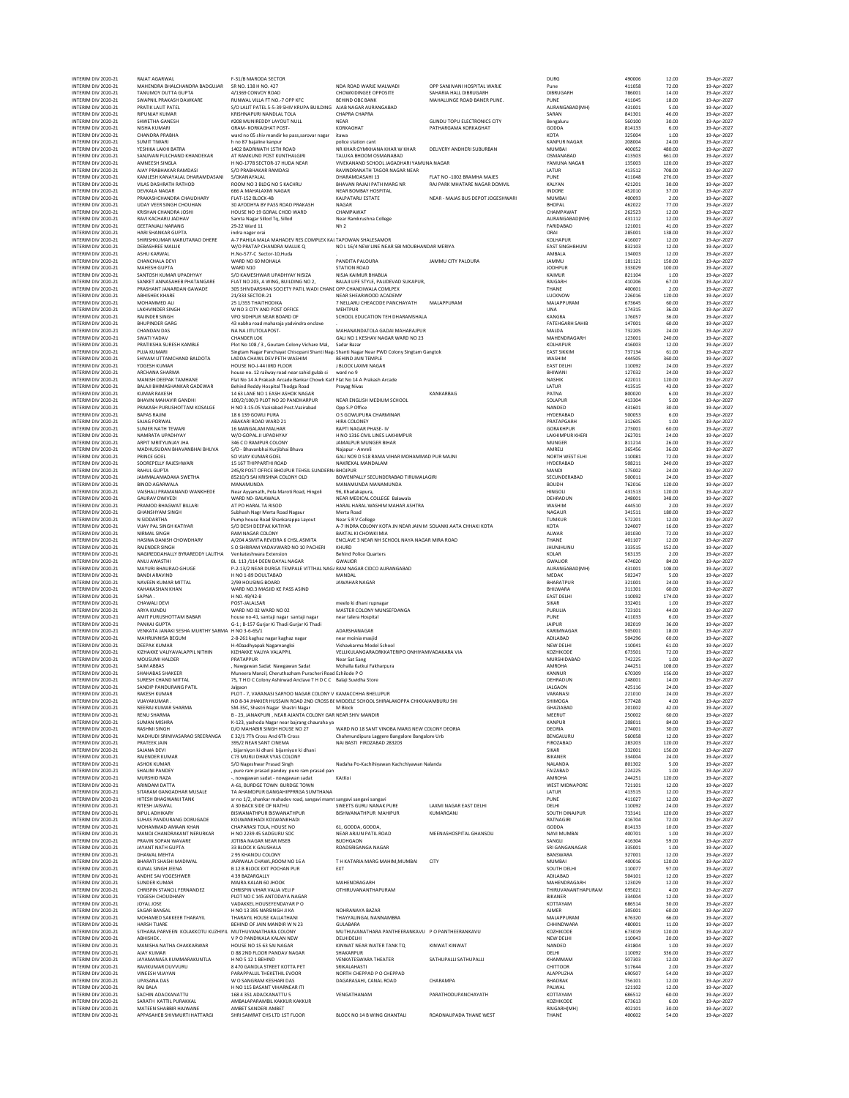| INTERIM DIV 2020-21                        | RAJAT AGARWAL                                              | F-31/B MARODA SECTOR                                                                                   |                                                                             |                                                            | DURG                              | 490006           | 12.00            | 19-Apr-202               |
|--------------------------------------------|------------------------------------------------------------|--------------------------------------------------------------------------------------------------------|-----------------------------------------------------------------------------|------------------------------------------------------------|-----------------------------------|------------------|------------------|--------------------------|
| INTERIM DIV 2020-21                        | MAHENDRA BHALCHANDRA BADGUJAR                              | SR NO. 138 H NO. 427                                                                                   | NDA ROAD WARJE MALWADI                                                      | OPP SANJIVANI HOSPITAL WARJE                               | Pune                              | 411058           | 72.00            | 19-Apr-202               |
| INTERIM DIV 2020-21<br>INTERIM DIV 2020-21 | TANUMOY DUTTA GUPTA<br>SWAPNIL PRAKASH DAWKARE             | 4/1369 CONVOY ROAD<br>RUNWAL VILLA FT NO.-7 OPP KFC                                                    | CHOWKIDINGEE OPPOSITE<br><b>BEHIND OBC BANK</b>                             | SAHARIA HALL DIBRUGARH<br>MAHALUNGE ROAD BANER PUNE.       | DIBRUGARH<br>PUNE                 | 786001<br>411045 | 14.00<br>18.00   | 19-Apr-202<br>19-Apr-202 |
| INTERIM DIV 2020-21                        | PRATIK LALIT PATEL                                         | S/O LALIT PATEL 5-5-39 SHIV KRUPA BUILDING AJAB NAGAR AURANGABAD                                       |                                                                             |                                                            | AURANGABAD(MH)                    | 431001           | 5.00             | 19-Apr-202               |
| INTERIM DIV 2020-21                        | <b>RIPUNJAY KUMAR</b>                                      | KRISHNAPURI NANDLAL TOLA                                                                               | CHAPRA CHAPRA                                                               |                                                            | SARAN                             | 841301           | 46.00            | 19-Apr-202               |
| INTERIM DIV 2020-21<br>INTERIM DIV 2020-21 | SHWETHA GANESH<br>NISHA KUMARI                             | #208 MUNIREDDY LAYOUT NULL<br>GRAM- KORKAGHAT POST-                                                    | <b>NEAR</b><br>KORKAGHAT                                                    | <b>GUNDU TOPU ELECTRONICS CITY</b><br>PATHARGAMA KORKAGHAT | Bengaluru<br>GODDA                | 560100<br>814133 | 30.00<br>6.00    | 19-Apr-202<br>19-Apr-202 |
| INTERIM DIV 2020-21                        | CHANDRA PRABHA                                             | ward no 05 shiv mandir ke pass, sarovar nagar                                                          | itawa                                                                       |                                                            | KOTA                              | 325004           | 1.00             | 19-Apr-202               |
| INTERIM DIV 2020-21                        | <b>SUMIT TIWARI</b>                                        | h no 87 baialine kanpur                                                                                | police station cant                                                         |                                                            | <b>KANPUR NAGAR</b>               | 208004           | 24.00            | 19-Apr-202               |
| INTERIM DIV 2020-21                        | YESHIKA LAKHI BATRA                                        | 1402 BADRINATH 15TH ROAD                                                                               | NR KHAR GYMKHANA KHAR W KHAR<br>TALUKA BHOOM OSMANABAD                      | DELIVERY ANDHERI SUBURBAN                                  | MUMBAI                            | 400052<br>413503 | 480.00           | 19-Apr-202               |
| INTERIM DIV 2020-21<br>INTERIM DIV 2020-21 | SANJIVAN FULCHAND KHANDEKAR<br>AMNEESH SINGLA              | AT RAMKUND POST KUNTHALGIRI<br>H NO-1778 SECTOR-17 HUDA NEAR                                           | VIVEKANAND SCHOOL JAGADHARI YAMUNA NAGAR                                    |                                                            | OSMANABAD<br>YAMUNA NAGAR         | 135003           | 661.00<br>120.00 | 19-Apr-202<br>19-Apr-202 |
| INTERIM DIV 2020-21                        | AJAY PRABHAKAR RAMDASI                                     | S/O PRABHAKAR RAMDASI                                                                                  | RAVINDRANATH TAGOR NAGAR NEAR                                               |                                                            | LATUR                             | 413512           | 708.00           | 19-Apr-202               |
| INTERIM DIV 2020-21                        | KAMLESH KANAYALAL DHARAMDASANI                             | S/OKANAYALAL                                                                                           | DHARAMDASAHI 13                                                             | FLAT NO -1002 BRAMHA MAJES                                 | PUNE                              | 411048           | 276.00           | 19-Apr-202               |
| INTERIM DIV 2020-21                        | VILAS DASHRATH RATHOD                                      | ROOM NO 3 BLDG NO 5 KACHRU                                                                             | BHAVAN RAJAJI PATH MARG NR                                                  | RAJ PARK MHATARE NAGAR DOMVIL                              | KALYAN                            | 421201           | 30.00            | 19-Apr-202               |
| INTERIM DIV 2020-21                        | <b>DEVKALA NAGAR</b>                                       | 666 A MAHALAXMI NAGAR                                                                                  | NEAR BOMBAY HOSPITAL                                                        |                                                            | INDORE                            | 452010           | 37.00            | 19-Apr-202               |
| INTERIM DIV 2020-21<br>INTERIM DIV 2020-21 | PRAKASHCHANDRA CHAUDHARY<br><b>UDAY VEER SINGH CHOUHAN</b> | FLAT-152 BLOCK-4B<br>30 AYODHYA BY PASS ROAD PRAKASH                                                   | KALPATARU ESTATE<br>NAGAR                                                   | NEAR - MAJAS BUS DEPOT JOGESHWARI                          | <b>MUMBAI</b><br><b>BHOPAL</b>    | 400093<br>462022 | 2.00<br>77.00    | 19-Apr-202<br>19-Apr-202 |
| INTERIM DIV 2020-21                        | KRISHAN CHANDRA JOSHI                                      | HOUSE NO 19 GORAL CHOD WARD                                                                            | CHAMPAWAT                                                                   |                                                            | CHAMPAWAT                         | 262523           | 12.00            | 19-Apr-202               |
| INTERIM DIV 2020-21                        | RAVI KACHARU JADHAV                                        | Samta Nagar Sillod To, Sillod                                                                          | Near Ramkrushna College                                                     |                                                            | AURANGABAD(MH)                    | 431112           | 12.00            | 19-Apr-202               |
| INTERIM DIV 2020-21                        | <b>GEETANJALI NARANG</b>                                   | 29-22 Ward 11                                                                                          | Nh <sub>2</sub>                                                             |                                                            | FARIDABAD                         | 121001           | 41.00            | 19-Apr-202               |
| INTERIM DIV 2020-21                        | HARI SHANKAR GUPTA<br>SHIRISHKUMAR MARUTARAO DHERE         | indra nager orai                                                                                       |                                                                             |                                                            | ORAI                              | 285001           | 138.00           | 19-Apr-202               |
| INTERIM DIV 2020-21<br>INTERIM DIV 2020-21 | <b>DEBASHREE MALLIK</b>                                    | A-7 PAHILA MALA MAHADEV RES.COMPLEX KAI TAPOWAN SHALESAMOR<br>W/O PRATAP CHANDRA MALLIK Q              | NO L 16/4 NEW LINE NEAR SBI MOUBHANDAR MERIYA                               |                                                            | KOLHAPUR<br><b>EAST SINGHBHUM</b> | 416007<br>832103 | 12.00<br>12.00   | 19-Apr-202<br>19-Apr-202 |
| INTERIM DIV 2020-21                        | ASHU KARWAL                                                | H.No-577-C Sector-10, Huda                                                                             |                                                                             |                                                            | AMBALA                            | 134003           | 12.00            | 19-Apr-202               |
| INTERIM DIV 2020-21                        | CHANCHALA DEVI                                             | WARD NO 60 MOHALA                                                                                      | PANDITA PALOURA                                                             | JAMMU CITY PALOURA                                         | <b>JAMMU</b>                      | 181121           | 150.00           | 19-Apr-202               |
| INTERIM DIV 2020-21                        | MAHESH GUPTA                                               | WARD N10                                                                                               | <b>STATION ROAD</b>                                                         |                                                            | <b>JODHPUR</b>                    | 333029           | 100.00           | 19-Apr-202               |
| INTERIM DIV 2020-21                        | SANTOSH KUMAR UPADHYAY                                     | S/O KAMESHWAR UPADHYAY NISIZA                                                                          | NISJA KAIMUR BHABUA                                                         |                                                            | KAIMUR                            | 821104           | 1.00             | 19-Apr-202<br>19-Apr-202 |
| INTERIM DIV 2020-21<br>INTERIM DIV 2020-21 | SANKET ANNASAHEB PHATANGARE<br>PRASHANT JANARDAN GAWADE    | FLAT NO 203, A WING, BUILDING NO 2,<br>305 SHIVDARSHAN SOCIETY PATIL WADI CHANI OPP.CHANDIWALA COMLPEX | BALAJI LIFE STYLE, PALIDEVAD SUKAPUR                                        |                                                            | RAIGARH<br>THANE                  | 410206<br>400601 | 67.00<br>2.00    | 19-Apr-202               |
| INTERIM DIV 2020-21                        | <b>ABHISHEK KHARE</b>                                      | 21/333 SECTOR-21                                                                                       | NEAR SHEARWOOD ACADEMY                                                      |                                                            | LUCKNOW                           | 226016           | 120.00           | 19-Apr-202               |
| INTERIM DIV 2020-21                        | MOHAMMED ALI                                               | 25 1/355 THAITHODIKA                                                                                   | 7 NELLARU CHEACODE PANCHAYATH                                               | MALAPPURAM                                                 | MALAPPURAM                        | 673645           | 60.00            | 19-Apr-202               |
| INTERIM DIV 2020-21                        | <b>LAKHVINDER SINGH</b>                                    | W NO 3 CITY AND POST OFFICE                                                                            | MEHTPUR                                                                     |                                                            | UNA                               | 174315           | 36.00            | 19-Apr-202               |
| INTERIM DIV 2020-21                        | RAJINDER SINGH                                             | VPO SIDHPUR NEAR BOARD OF                                                                              | SCHOOL EDUCATION TEH DHARAMSHALA                                            |                                                            | KANGRA                            | 176057           | 36.00            | 19-Apr-202               |
| INTERIM DIV 2020-21<br>INTERIM DIV 2020-21 | <b>BHUPINDER GARG</b><br><b>CHANDAN DAS</b>                | 43 nabha road maharaja yadvindra enclave<br>NA NA JITUTOLAPOST-                                        | MAHANANDATOLA GADAI MAHARAJPUR                                              |                                                            | <b>FATEHGARH SAHIB</b><br>MALDA   | 147001<br>732205 | 60.00<br>24.00   | 19-Apr-202<br>19-Apr-202 |
| INTERIM DIV 2020-21                        | SWATI YADAV                                                | <b>CHANDER LOK</b>                                                                                     | GALI NO 1 KESHAV NAGAR WARD NO 23                                           |                                                            | MAHENDRAGARH                      | 123001           | 240.00           | 19-Apr-202               |
| INTERIM DIV 2020-21                        | PRATIKSHA SURESH KAMBLE                                    | Plot No 108 / 3, Goutam Colony Vichare Mal,                                                            | Sadar Bazar                                                                 |                                                            | KOLHAPUR                          | 416003           | 12.00            | 19-Apr-202               |
| INTERIM DIV 2020-21                        | PUJA KUMARI                                                | Singtam Nagar Panchayat Chisopani Shanti Nag: Shanti Nagar Near PWD Colony Singtam Gangtok             |                                                                             |                                                            | <b>FAST SIKKIM</b>                | 737134           | 61.00            | 19-Apr-202               |
| INTERIM DIV 2020-21                        | SHIVAM UTTAMCHAND BALDOTA<br>YOGESH KUMAR                  | LADDA CHAWL DEV PETH WASHIM                                                                            | BEHIND JAIN TEMPLE                                                          |                                                            | WASHIM                            | 444505           | 360.00           | 19-Apr-202               |
| INTERIM DIV 2020-21<br>INTERIM DIV 2020-21 | <b>ARCHANA SHARMA</b>                                      | HOUSE NO-J-44 IIIRD FLOOR<br>house no. 12 railway road near sahid gulab si                             | J BLOCK LAXMI NAGAR<br>ward no 9                                            |                                                            | <b>EAST DELHI</b><br>BHIWANI      | 110092<br>127032 | 24.00<br>24.00   | 19-Apr-202<br>19-Apr-202 |
| INTERIM DIV 2020-21                        | MANISH DEEPAK TAMHANE                                      | Flat No 14 A Prakash Arcade Bankar Chowk Katl Flat No 14 A Prakash Arcade                              |                                                                             |                                                            | <b>NASHIK</b>                     | 422011           | 120.00           | 19-Apr-202               |
| INTERIM DIV 2020-21                        | BALAJI BHIMASHANKAR GADEWAR                                | Behind Reddy Hospital Thodga Road                                                                      | Prayag Nivas                                                                |                                                            | LATUR                             | 413515           | 43.00            | 19-Apr-202               |
| INTERIM DIV 2020-21                        | <b>KUMAR RAKESH</b>                                        | 14 63 LANE NO 1 EASH ASHOK NAGAR                                                                       |                                                                             | KANKARBAG                                                  | PATNA                             | 800020           | 6.00             | 19-Apr-202               |
| INTERIM DIV 2020-21                        | <b>BHAVIN MAHAVIR GANDHI</b>                               | 100/2/100/3 PLOT NO 20 PANDHARPUR                                                                      | NEAR ENGLISH MEDIUM SCHOOL                                                  |                                                            | SOLAPUR                           | 413304           | 5.00             | 19-Apr-202               |
| INTERIM DIV 2020-21<br>INTERIM DIV 2020-21 | PRAKASH PURUSHOTTAM KOSALGE<br><b>BAPAS RAJINI</b>         | H NO 3-15-05 Vazirabad Post.Vazirabad<br>18.6.139 GOWLLPURA                                            | Opp S.P Office<br>O S GOWLIPURA CHARMINAR                                   |                                                            | NANDED<br><b>HYDERABAD</b>        | 431601<br>500053 | 30.00<br>6.00    | 19-Apr-202<br>19-Apr-202 |
| INTERIM DIV 2020-21                        | SAJAG PORWAL                                               | ABAKARI ROAD WARD 21                                                                                   | HIRA COLONEY                                                                |                                                            | PRATAPGARH                        | 312605           | 1.00             | 19-Apr-202               |
| INTERIM DIV 2020-21                        | SUMER NATH TEWARI                                          | 16 MANGALAM MALHAR                                                                                     | RAPTI NAGAR PHASE- IV                                                       |                                                            | GORAKHPUR                         | 273001           | 60.00            | 19-Apr-202               |
| INTERIM DIV 2020-21                        | NAMRATA UPADHYAY                                           | W/O GOPAL JI UPADHYAY                                                                                  | H NO 1316 CIVIL LINES LAKHIMPUR                                             |                                                            | <b>LAKHIMPUR KHERI</b>            | 262701           | 24.00            | 19-Apr-202               |
| INTERIM DIV 2020-21                        | ARPIT MRITYUNJAY JHA                                       | 346 C D RAMPUR COLONY                                                                                  | JAMALPUR MUNGER BIHAR                                                       |                                                            | MUNGER                            | 811214           | 26.00            | 19-Apr-202               |
| INTERIM DIV 2020-21<br>INTERIM DIV 2020-21 | MADHUSUDAN BHAVANBHAI BHUVA<br>PRINCE GOEL                 | S/O - Bhavanbhai Kuriibhai Bhuva<br>SO VIJAY KUMAR GOEL                                                | Najapur - Amreli<br>GALI NO9 D 518 RAMA VIHAR MOHAMMAD PUR MAJNI            |                                                            | AMRELI<br>NORTH WEST ELHI         | 365456<br>110081 | 36.00<br>72.00   | 19-Apr-202<br>19-Apr-202 |
| INTERIM DIV 2020-21                        | SOOREPELLY RAJESHWARI                                      | <b>15 167 THIPPARTHI ROAD</b>                                                                          | NAKREKAL MANDALAM                                                           |                                                            | HYDERABAD                         | 508211           | 240.00           | 19-Apr-202               |
| INTERIM DIV 2020-21                        | <b>RAHUL GUPTA</b>                                         | 245/8 POST OFFICE BHOJPUR TEHSIL SUNDERN. BHOJPUR                                                      |                                                                             |                                                            | <b>MANDI</b>                      | 175002           | 24.00            | 19-Apr-202               |
| INTERIM DIV 2020-21                        | JAMMALAMADAKA SWETHA                                       | 85210/3 SAI KRISHNA COLONY OLD                                                                         | BOWENPALLY SECUNDERABAD TIRUMALAGIRI                                        |                                                            | SECUNDERABAD                      | 500011           | 24.00            | 19-Apr-202               |
| INTERIM DIV 2020-21                        | <b>BINOD AGARWALA</b>                                      | MANAMUNDA                                                                                              | MANAMUNDA MANAMUNDA                                                         |                                                            | <b>BOUDH</b>                      | 762016           | 120.00           | 19-Apr-202               |
| INTERIM DIV 2020-21                        | VAISHALI PRAMANAND WANKHEDE                                | Near Ayyamath, Pola Maroti Road, Hingoli                                                               | 96, Khadakapura,                                                            |                                                            | <b>HINGOLI</b>                    | 431513           | 120.00           | 19-Apr-202               |
| INTERIM DIV 2020-21<br>INTERIM DIV 2020-21 | <b>GAURAV DWIVEDI</b><br>PRAMOD BHAGWAT BILLARI            | WARD NO- BALAWALA<br>AT PO HARAL TA RISOD                                                              | NEAR MEDICAL COLLEGE Balawala<br>HARAL HARAL WASHIM MAHAR ASHTRA            |                                                            | DEHRADUN<br>WASHIM                | 248001<br>444510 | 348.00<br>2.00   | 19-Apr-202<br>19-Apr-202 |
| INTERIM DIV 2020-21                        | <b>GHANSHYAM SINGH</b>                                     | Subhash Nagr Merta Road Nagaur                                                                         | Merta Road                                                                  |                                                            | <b>NAGAUR</b>                     | 341511           | 180.00           | 19-Apr-202               |
| INTERIM DIV 2020-21                        | N SIDDARTHA                                                | Pump house Road Shankarappa Layout                                                                     | Near S R V College                                                          |                                                            | TUMKUR                            | 572201           | 12.00            | 19-Apr-202               |
| INTERIM DIV 2020-21                        | VIJAY PAL SINGH KATIYAR                                    | S/O DESH DEEPAK KATIYAR                                                                                | A-7 INDRA COLONY KOTA JN NEAR JAIN M SOLANKI AATA CHHAKI KOTA               |                                                            | KOTA                              | 324007           | 16.00            | 19-Apr-202               |
| INTERIM DIV 2020-21                        | NIRMAL SINGH                                               | <b>RAM NAGAR COLONY</b>                                                                                | BAKTAL KI CHOWKI MIA                                                        |                                                            | ALWAR                             | 301030           | 72.00            | 19-Apr-202               |
| INTERIM DIV 2020-21<br>INTERIM DIV 2020-21 | HASINA DANISH CHOWDHARY<br>RAJENDER SINGH                  | A/204 ASMITA REVEIRA 6 CHSL ASMITA<br>S O SHRIRAM YADAVWARD NO 10 PACHERI                              | ENCLAVE 3 NEAR NH SCHOOL NAYA NAGAR MIRA ROAD<br>KHURD                      |                                                            | THANE<br><b>JHUNJHUNU</b>         | 401107<br>333515 | 12.00<br>152.00  | 19-Apr-202<br>19-Apr-202 |
| INTERIM DIV 2020-21                        | NAGIREDDAHALLY BYRAREDDY LALITHA                           | Venkateshwara Extension                                                                                | <b>Behind Police Quarters</b>                                               |                                                            | KOLAR                             | 563135           | 2.00             | 19-Apr-202               |
| INTERIM DIV 2020-21                        | ANUJ AWASTHI                                               | BL 113 /114 DEEN DAYAL NAGAR                                                                           | GWALIOR                                                                     |                                                            | <b>GWALIOR</b>                    | 474020           | 84.00            | 19-Apr-202               |
| INTERIM DIV 2020-21                        | MAYURI BHAURAO GHUGE                                       | P-2-13/2 NEAR DURGA TEMPALE VITTHAL NAG/ RAM NAGAR CIDCO AURANGABAD                                    |                                                                             |                                                            | AURANGABAD(MH)                    | 431001           | 108.00           | 19-Apr-202               |
| INTERIM DIV 2020-21                        | <b>BANDI ARAVIND</b>                                       | H NO 1-89 DOULTABAD                                                                                    | MANDAL                                                                      |                                                            | <b>MEDAK</b>                      | 502247           | 5.00             | 19-Apr-202               |
| INTERIM DIV 2020-21<br>INTERIM DIV 2020-21 | NAVEEN KUMAR MITTAL<br>KAHAKASHAN KHAN                     | 2/99 HOUSING BOARD<br>WARD NO.3 MASJID KE PASS ASIND                                                   | <b>JAWAHAR NAGAR</b>                                                        |                                                            | BHARATPUR<br>BHILWARA             | 321001<br>311301 | 24.00<br>60.00   | 19-Apr-202<br>19-Apr-202 |
| INTERIM DIV 2020-21                        | SAPNA                                                      | H NO. 49/42-B                                                                                          |                                                                             |                                                            | <b>EAST DELHI</b>                 | 110092           | 174.00           | 19-Apr-202               |
| INTERIM DIV 2020-21                        | CHAWALI DEVI                                               | POST-JALALSAR                                                                                          | meelo ki dhani rupnagar                                                     |                                                            | SIKAR                             | 332401           | 1.00             | 19-Apr-202               |
| INTERIM DIV 2020-21                        | ARYA KUNDU                                                 | WARD NO 02 WARD NO 02                                                                                  | MASTER COLONY MUNSEFDANGA                                                   |                                                            | PURULIA                           | 723101           | 44.00            | 19-Apr-202               |
| INTERIM DIV 2020-21<br>INTERIM DIV 2020-21 | AMIT PURUSHOTTAM BABAR<br>PANKAJ GUPTA                     | house no-41, santaji nagar santaji nagar<br>G-1; B-157 Gurjar Ki Thadi Gurjar Ki Thadi                 | near talera Hospital                                                        |                                                            | PUNE<br>JAIPUR                    | 411033<br>302019 | 6.00<br>36.00    | 19-Apr-202<br>19-Apr-202 |
| INTERIM DIV 2020-21                        | VENKATA JANAKI SESHA MURTHY SARMA H NO 3-6-65/1            |                                                                                                        | ADARSHANAGAR                                                                |                                                            | KARIMNAGAR                        | 505001           | 18.00            | 19-Apr-202               |
| INTERIM DIV 2020-21                        | MAHRUNNISA BEGUM                                           | 2-8-261 kaghaz nagar kaghaz nagar                                                                      | near moinia masjic                                                          |                                                            | ADILABAD                          | 504296           | 60.00            | 19-Apr-202               |
| INTERIM DIV 2020-21                        | <b>DEEPAK KUMAR</b>                                        | H-40aadhyapak Nagarnangloi                                                                             | Vishavkarma Model School                                                    |                                                            | NEW DELHI                         | 110041           | 61.00            | 19-Apr-202               |
| INTERIM DIV 2020-21                        | KIZHAKKE VALIYAVALAPPIL NITHIN                             | KIZHAKKE VALIYA VALAPPIL                                                                               | VELLIKULANGARAORKKATERIPO ONHIYAMVADAKARA VIA                               |                                                            | KOZHIKODE                         | 673501           | 72.00            | 19-Apr-202               |
| INTERIM DIV 2020-21<br>INTERIM DIV 2020-21 | MOUSUMI HALDER<br><b>SAIM ABBAS</b>                        | PRATAPPUR<br>. Nawgawan Sadat Nawgawan Sadat                                                           | Near Sat Sang<br>Mohalla Katkui Fakharpura                                  |                                                            | MURSHIDABAD<br>AMROHA             | 742225<br>244251 | 1.00<br>108.00   | 19-Apr-202<br>19-Apr-202 |
| INTERIM DIV 2020-21                        | SHAHABAS SHAKEER                                           | Muneera Manzil, Cheruthazham Puracheri Roac Ezhilode P C                                               |                                                                             |                                                            | KANNUR                            | 670309           | 156.00           | 19-Apr-202               |
| INTERIM DIV 2020-21                        | SURESH CHAND MITTAL                                        | 75, T H D C Colony Ashirwad Anclave T H D C C Balaji Suvidha Store                                     |                                                                             |                                                            | DEHRADUN                          | 248001           | 14.00            | 19-Apr-202               |
| INTERIM DIV 2020-21                        | SANDIP PANDURANG PATIL                                     | Jalgaon                                                                                                |                                                                             |                                                            | <b>JALGAON</b>                    | 425116           | 24.00            | 19-Apr-202               |
| INTERIM DIV 2020-21                        | RAKESH KUMAR                                               | PLOT - 7, VARANASI SARYOO NAGAR COLONY V KAMACCHHA BHELUPUR                                            |                                                                             |                                                            | VARANASI                          | 221010           | 24.00            | 19-Apr-202               |
| INTERIM DIV 2020-21<br>INTERIM DIV 2020-21 | VIJAYAKUMAR<br>NEERAJ KUMAR SHARMA                         | NO 8-34 JHAKIER HUSSAIN ROAD 2ND CROSS BI MIDDELE SCHOOL SHIRALAKOPPA CHIKKAJAMBURU SHI                | M Block                                                                     |                                                            | SHIMOGA                           | 577428<br>201002 | 4.00<br>42.00    | 19-Apr-202               |
| INTERIM DIV 2020-21                        | <b>RENU SHARMA</b>                                         | SM-35C, Shastri Nagar Shastri Nagar<br>B - 23, JANAKPURI, NEAR AJANTA COLONY GAR NEAR SHIV MANDIR      |                                                                             |                                                            | GHAZIABAD<br>MEERUT               | 250002           | 60.00            | 19-Apr-202<br>19-Apr-202 |
| INTERIM DIV 2020-21                        | <b>SUMAN MISHRA</b>                                        | K-123, yashoda Nagar near bajrang chauraha ya                                                          |                                                                             |                                                            | <b>KANPUR</b>                     | 208011           | 84.00            | 19-Apr-202               |
| INTERIM DIV 2020-21                        | <b>RASHMI SINGH</b>                                        | D/O MAHABIR SINGH HOUSE NO 27                                                                          | WARD NO 18 SANT VINOBA MARG NEW COLONY DEORIA                               |                                                            | <b>DEORIA</b>                     | 274001           | 30.00            | 19-Apr-202               |
| INTERIM DIV 2020-21<br>INTERIM DIV 2020-21 | MADHUDI SRINIVASARAO SREERANGA<br>PRATEEK JAIN             | E 32/1 7Th Cross And 6Th Cross<br>395/2 NEAR SANT CINEMA                                               | Chahmundipura Laggere Bangalore Bangalore Urb<br>NAI BASTI FIROZABAD 283203 |                                                            | BENGALURU<br><b>FIROZABAD</b>     | 560058<br>283203 | 12.00<br>120.00  | 19-Apr-202<br>19-Apr-202 |
| INTERIM DIV 2020-21                        | SAJANA DEVI                                                | , bijarniyon ki dhani bijarniyon ki dhani                                                              |                                                                             |                                                            | SIKAR                             | 332001           | 156.00           | 19-Apr-202               |
| INTERIM DIV 2020-21                        | RAJENDER KUMAR                                             | C73 MURLI DHAR VYAS COLONY                                                                             |                                                                             |                                                            | BIKANER                           | 334004           | 24.00            | 19-Apr-202               |
| INTERIM DIV 2020-21                        | ASHOK KUMAR                                                | S/O Nageshwar Prasad Singh                                                                             | Nadaha Po-Kachihiyawan Kachchiyawan Nalanda                                 |                                                            | NALANDA                           | 801302           | 5.00             | 19-Apr-202               |
| INTERIM DIV 2020-21                        | SHALINI PANDEY                                             | , pure ram prasad pandey pure ram prasad pan                                                           |                                                                             |                                                            | FAIZABAD                          | 224225           | 1.00             | 19-Apr-202               |
| INTERIM DIV 2020-21<br>INTERIM DIV 2020-21 | MURSHID RAZA<br>ARINDAM DATTA                              | -, nowgawan sadat - nowgawan sadat<br>A-61, BURDGE TOWN BURDGE TOWN                                    | KAtKoi                                                                      |                                                            | AMROHA<br><b>WEST MIDNAPORE</b>   | 244251<br>721101 | 120.00<br>12.00  | 19-Apr-202<br>19-Apr-202 |
| INTERIM DIV 2020-21                        | SITARAM GANGADHAR MUSALE                                   | TA AHAMDPUR GANGAHIPPRRGA SUMTHANA                                                                     |                                                                             |                                                            | LATUR                             | 413515           | 12.00            | 19-Apr-202               |
| INTERIM DIV 2020-21                        | HITESH BHAGWANJI TANK                                      | sr no 1/2, shankar mahadev road, sangavi mami sangavi sangavi sangavi                                  |                                                                             |                                                            | PUNE                              | 411027           | 12.00            | 19-Apr-202               |
| INTERIM DIV 2020-21                        | RITESH JAISWAL                                             | A 30 BACK SIDE OF NATHU                                                                                | SWEETS GURU NANAK PURE                                                      | <b>LAXMI NAGAR EAST DELHI</b>                              | DELHI                             | 110092           | 24.00            | 19-Apr-202               |
| INTERIM DIV 2020-21                        | <b>BIPUL ADHIKARY</b>                                      | BISWANATHPUR BISWANATHPUR                                                                              | BISHWANATHPUR MAHIPUR                                                       | KUMARGANJ                                                  | SOUTH DINAJPUR                    | 733141           | 120.00           | 19-Apr-202               |
| INTERIM DIV 2020-21<br>INTERIM DIV 2020-21 | SUHAS PANDURANG DORUGADE<br>MOHAMMAD AMAAN KHAN            | KOLWANKHADI KOLWANKHADI<br>CHAPARASI TOLA, HOUSE NO                                                    | 61, GODDA, GODDA,                                                           |                                                            | RATNAGIRI<br>GODDA                | 416704<br>814133 | 72.00<br>10.00   | 19-Apr-202<br>19-Apr-202 |
| INTERIM DIV 2020-21                        | MANOJ CHANDRAKANT NERURKAR                                 | H NO 2239 45 SADGURU SOC                                                                               | NEAR ARJUN PATIL ROAD                                                       | MEENASHOSPITAL GHANSOLI                                    | NAVI MUMBAI                       | 400701           | 1.00             | 19-Apr-202               |
| INTERIM DIV 2020-21                        | PRAVIN SOPAN WAVARE                                        | JOTIBA NAGAR NEAR MSEB                                                                                 | <b>BUDHGAON</b>                                                             |                                                            | SANGLI                            | 416304           | 59.00            | 19-Apr-202               |
| INTERIM DIV 2020-21                        | <b>JAYANT NATH GUPTA</b>                                   | 33 BLOCK K GAUSHALA                                                                                    | ROADSRIGANGA NAGAR                                                          |                                                            | SRI GANGANAGAR                    | 335001           | 1.00             | 19-Apr-202               |
| INTERIM DIV 2020-21                        | DHAWAL MEHTA                                               | 2 95 KHANDU COLONY                                                                                     |                                                                             |                                                            | BANSWARA                          | 327001           | 12.00            | 19-Apr-202               |
| INTERIM DIV 2020-21<br>INTERIM DIV 2020-21 | BHARATI SHASHI MADIWAL<br>KUNAL SINGH JEENA                | JARIWALA CHAWLROOM NO 16 A<br><b>B 12 B BLOCK EXT POCHAN PUR</b>                                       | T H KATARIA MARG MAHIM, MUMBAI<br>EXT                                       | CITY                                                       | <b>MUMBAI</b><br>SOUTH DELHI      | 400016<br>110077 | 120.00<br>97.00  | 19-Apr-202<br>19-Apr-202 |
| INTERIM DIV 2020-21                        | ANDHE SAI YOGESHWER                                        | 439 RAZARGALLY                                                                                         |                                                                             |                                                            | ADILABAD                          | 504101           | 12.00            | 19-Apr-202               |
| INTERIM DIV 2020-21                        | SUNDER KUMAR                                               | MAJRA KALAN 60 JHOOK                                                                                   | MAHENDRAGARH                                                                |                                                            | MAHENDRAGARH                      | 123029           | 12.00            | 19-Apr-202               |
| INTERIM DIV 2020-21                        | CHRISPIN STANCIL FERNANDEZ                                 | CHRISPIN VIHAR VALIA VELI P                                                                            | OTHIRUVANANTHAPURAM                                                         |                                                            | THIRUVANANTHAPURAM                | 695021           | 4.00             | 19-Apr-202               |
| INTERIM DIV 2020-21                        | YOGESH CHOUDHARY                                           | PLOT NO C 145 ANTODAYA NAGAR                                                                           |                                                                             |                                                            | <b>BIKANER</b>                    | 334004           | 12.00            | 19-Apr-202               |
| INTERIM DIV 2020-21                        | JOYAL JOSE                                                 | VADAKKEL HOUSEYENDAYAR P O                                                                             |                                                                             |                                                            | KOTTAYAM                          | 686514           | 30.00            | 19-Apr-202               |
| INTERIM DIV 2020-21<br>INTERIM DIV 2020-21 | SAGAR BANSAL<br>MOHAMED SAKKEER THARAYIL                   | H NO 13 395 NARSINGH JI KA<br>THARAYIL HOUSE KALLATHANI                                                | NOHRANAYA BAZAR<br>THAYYALINGAL NANNAMBRA                                   |                                                            | AJMER<br>MALAPPURAM               | 305001<br>676320 | 60.00<br>66.00   | 19-Apr-202<br>19-Apr-202 |
| INTERIM DIV 2020-21                        | <b>HARSH TUARE</b>                                         | BEHIND OF JAIN MANDIR W N 23                                                                           | <b>GULABARA</b>                                                             |                                                            | CHHINDWARA                        | 480001           | 11.00            | 19-Apr-202               |
| INTERIM DIV 2020-21                        | SITHARA PARVEEN KOLAKKOTU KUZHIYIL MUTHUVANATHARA COLONY   |                                                                                                        | MUTHUVANATHARA PANTHEERANKAVU P O PANTHEERANKAVU                            |                                                            | KOZHIKODE                         | 673019           | 120.00           | 19-Apr-202               |
| INTERIM DIV 2020-21                        | ABHISHEK.                                                  | V P O PANDWALA KALAN NEW                                                                               | DELHIDELHI                                                                  |                                                            | NEW DELHI                         | 110043           | 20.00            | 19-Apr-202               |
| INTERIM DIV 2020-21                        | MANISHA NATHA CHAKKARWAR                                   | HOUSE NO 15 63 SAI NAGAR                                                                               | KINWAT NEAR WATER TANK TO                                                   | KINWAT KINWAT                                              | NANDED                            | 431804           | 1.00             | 19-Apr-202               |
| INTERIM DIV 2020-21<br>INTERIM DIV 2020-21 | AJAY KUMAR<br>JAYAMANASA KUMMARAKUNTLA                     | D 88 2ND FLOOR PANDAV NAGAR<br>H NO 5 12 1 BEHIND                                                      | SHAKARPUR<br><b>VENKATESWARA THEATER</b>                                    | SATHUPALLI SATHUPALLI                                      | DELHI<br>KHAMMAM                  | 110092<br>507303 | 336.00<br>12.00  | 19-Apr-202<br>19-Apr-202 |
| INTERIM DIV 2020-21                        | RAVIKUMAR DUVVURU                                          | 8 470 GANDLA STREET KOTTA PET                                                                          | SRIKALAHASTI                                                                |                                                            | CHITTOOR                          | 517644           | 2.00             | 19-Apr-202               |
| INTERIM DIV 2020-21                        | VINEESH VUAYAN                                             | PARAPPALLIL THEKETHIL EVOOR                                                                            | NORTH CHEPPAD P O CHEPPAD                                                   |                                                            | ALAPPUZHA                         | 690507           | 54.00            | 19-Apr-202               |
| INTERIM DIV 2020-21                        | <b>UPASANA DAS</b>                                         | W O SANGRAM KESHARI DAS                                                                                | DAGARASAHI, CANAL ROAD                                                      | CHARAMPA                                                   | <b>BHADRAK</b>                    | 756101           | 12.00            | 19-Apr-202               |
| INTERIM DIV 2020-21                        | RAJ BALA                                                   | H NO 115 BASANT VIHARNEAR ITI                                                                          |                                                                             |                                                            | PALWAL                            | 121102<br>686512 | 12.00<br>60.00   | 19-Apr-202               |
|                                            |                                                            |                                                                                                        |                                                                             |                                                            |                                   |                  |                  | 19-Apr-202               |
| INTERIM DIV 2020-21                        | SACHIN ADACKANATTU                                         | 168 4 351 ADACKANATTU 5                                                                                | VENGATHANAM                                                                 | PARATHODUPANCHAYATH                                        | KOTTAYAM                          |                  |                  |                          |
| INTERIM DIV 2020-21<br>INTERIM DIV 2020-21 | SARATH KATTIL PURAKKAL<br>MATEEN SHABBIR HAJWANE           | AMBALAPARAMBIL KAKKUR KAKKUR<br>AMBET SANDERI AMBET                                                    |                                                                             |                                                            | KOZHIKODE<br>RAIGARH(MH)          | 673613<br>402101 | 6.00<br>30.00    | 19-Apr-202<br>19-Apr-202 |
| INTERIM DIV 2020-21                        | APPASAHEB SHIVMURTI HATTARGI                               | SHRI SAMRAT CHS LTD 1ST FLOOR                                                                          | BLOCK NO 14 B WING GHANTALI                                                 | ROADNAUPADA THANE WEST                                     | THANE                             | 400602           | 54.00            | 19-Apr-202               |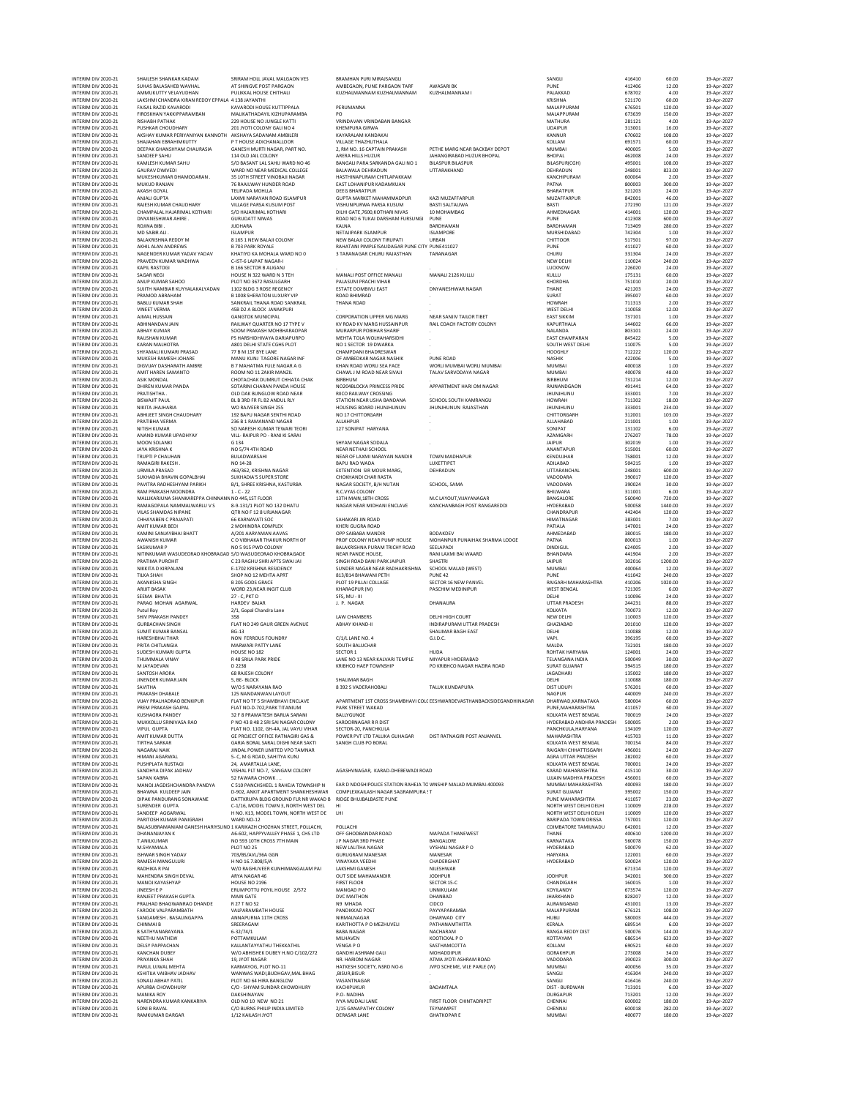INTERIM DIV 2020-21 SHAILESH SHANKAR KADAM SRIRAM HOLL JAVAL MALGAON VES BRAMHAN PURI MIRAJSANGLI SANGLI 416410 60.00 19-Apr-2027

NTERM DIV.202-21 SUHAS BALASHEN MYHAL ATSINNGY-POST-PARGAN MARGANGAN, PURKANGANGANGANG MARGANGANGANGANGANGANGA<br>NTERMON'2020-21 AMMUKUTTYUELAYUDHAN PULIKKAL-HOUSE CHITHALI KUZHAMANNAMANKANGANGANGANGANAMAMAM KUZHALMAMAMAMAM INTERIM DIV 2020-21 LAKSHMI CHANDRA KIRAN REDDY EPPALA 4138 JAYANTHI AN SANTADO DIVERIM SENGHAN SENGHAN SANG 2020 SANTA DIVERIM DIVERIM DIVERIM SANG DIVERIM SANG DIVERIM SANG DIVERIM SANG DIVERIM SANG DIVERIM SANG DIVERIM MTERM ON 2020-21 FIRSOSCHAN KAKIPPARAMBAN MAILIKATHADAYILKUZHAMANA PEMUMANNA PENDAMPARAMBAN MAIAPURAM 675501 120.00 19-Apr-2022<br>INTERM ON 2020-21 FIRSOSCHAN VAKIPPARAMBAN 229 HOUSE NO INGLE KATTI VRINDAVAN RINNOARN BANGAR<br> INTERM DIVADO 1400 11400 NALCOLONY ARERA RUSHUSUNG ARERA MENGIRABADHUZUR BHOPAL BHOPAL BO2008 24.00 19-Apr-202<br>INTERM DIVADO 200-21 KAMLESH KUMARSAHU S∕OBASANTLALSAHUWARD NO46 BANGALIPARA SARKANDA GALINO1 BILASPURICHI SIL INTERM DIV.2022-21 GAURAV DWARD WARD NORANG MENGUKEG BALAWALA DEHANGA HARDA DO DE DEHADUN 202001 82300 19-9-20<br>INTERM DIV.2020-21 MUKESHKUMARDHAMODARAN 35 10TH STREET VINOBAI NAGAR HASTHINAPURAM CHINAPAKAM UTTARAKHAND HAND INTERIM DIV 2020-21 MUKESHKUMAR DHAMDOARAN . 35 10TH STREET VINDEAI MAGAR . HASTHINAPURAM CHITLAPAKKAM . SANCHIPURAM . SANCHIPURAM . SANCHIPURAM . SANCHIPURAM . SANCHIPURAM . SANCHIPURAM . SANCHIPURAM . SANCHIPURAM . SANC MTEM ON THE TELEMANDHILL TELEGRANDHILL DESCRIPTION (NOTHER UNIVERSITY OF BHARTING) 2020-21 ANALY 2020-21 ANALY<br>INTERM DV 2020-21 ANALIGUPTA (ANALY VILLAGE PARSA KUSUM GENTAMANDHIR ANALY MANAMMADPUR KAZIMUZAFARPUR MUZAFARPU INTERIM DIV 2020-21 ROJINA BIBI . JUDHARA KALNA BARDHAMAN BARDHAMAN 713409 280.00 19-Apr-2027 INTERIM DIV 2020-21 MD SABIR ALI . ISLAMPUR NETAJIPARK ISLAMPUR ISLAMPORE MURSHIDABAD 742304 1.00 19-Apr-2027 INTERM DIV.2020-21 BALAKRISHA REDDY M SI SES INEVANGULOONY NG INA PARANGULOONY INTERN SITSO NO 19-AP-2022 1970<br>INTERM DIV.2020-21 AKHILALAN ANDREWS BYD3 PARK ROYALE NAHATAN PIMPLEISAUDAGAR PUNE CITY PUNE411027 PUNE PUNE PU INTERIM DIV 2020-21 NAJAKRISHNA REDDY MAN SLASS INEV BALAII COLONY NEW BALAII COLONY TRUPATI URBAN UNISHNA SUN<br>INTERIM DIV 2020-21 AKHILALAN ANDRENS BYOS PAR ROYALE RAHATAN PIMPLEISAUDAGAR PUNE CITY DUREAI SUN DIV AND SUN<br> INTERIM DIV 2020-21 PRAVEEN KUMAR WADHWA C-IST-6 LAJPAT NAGAR-I NEW DELHI NEW DELHI NEW DELHI 110024 240.00 19-Apr-2027 MTERM ON 2020-21 KAPILANSTON B165 SECTOR AUGAN. HOLD HOLD MANALIPOST OFFICE MANALI 2126 KULLU (MANALI 22600 19-AP-2022)<br>INTERM ON 2020-21 SAGAR NEGI PROTO PROTO PROTO PROTOKO PALASUNI PRACHIVIHAR MANALIPOST OFFICE MANALI P INTERIM DIV 2020-21 BABLU KUMAR SHAH SANKRAIL THANA ROAD SANKRAIL THANA ROAD . HOWRAH 711313 2.00 19-Apr-2027 INTERIM DIV 2020-21 VINEET VERMA 45B D2 A BLOCK JANAKPURI . . WEST DELHI 110058 12.00 19-Apr-2027 INTERM DIV.2022-21 AUAALHUSAIN GONGTOK MUNICIPAL CORPORATION UPPER MGANAG NEAR NEANT ALOG TEASTIKIN (197101 10<br>INTERM DIV.2020-21 ABHINANDAN JAN SALIWAY QUARTER NO 17 – IK ROAD KWANGHUSANIPUR RAILCOACH FACTORY COLONY KAPUR INTERM ON 2020-21 ARIAY KUMAR SOOM PRAKASIM MOHEM MURARIQURA MURARIPUR MENAMENT (NAMARIN 1992)<br>INTERM ON 2020-21 RAUSHAR KUMAR ASSAM DENISIATIE CGHS PUR MENAMENT MONTHATION WORLD AND SECTOR ON THAT AND A S<br>INTERM ON 2020-2 INTERIM DIV 2020-21 ASIK MONDAL CHOTACHAK DUMRUT CHHATA CHAK BIRBHUM . BIRBHUM 731214 12.00 19-Apr-2027 INTERIM ON 2020-21 ABHAY KUMAR SOOM PRAKSHI MOHEMARAONA MOHEMARAONA MENINDRO MEHTATOLA WOLHAHARASIDH (BATATOLA MOHAMARA PANDA 1993-2020)<br>INTERIM DIV 2020-21 KARAN MAHOTRA ASO AND DEHITSTATIGHS ON MENTATOLA WOLHAHARASIDH (B INTERIM DIV 2020-21 PRATISHTHA . OLD DAK BUNGLOW ROAD NEAR RIICO RAILWAY CROSSING . JHUNJHUNU 333001 7.00 19-Apr-2027 INTERIM DIV 2020-21 BISWAJIT PAUL BL B 3RD FR FL B2 ANDUL RLY STATION NEAR USHA BANDANA SCHOOL SOUTH KAMRANGU HOWRAH 711302 18.00 19-Apr-2027 INTERM ON 2020-21 NIKTA INCHANDRES MORAVIER SINCE HOLD HOUSING BOARD HUNDHUNUN HUNDHUNUN RAASTHAN (HUNDHUNUN H<br>INTERM DI 2020-21 ABHUEET SINCE CHANNER SENTH ROAD NO STOLUTORGREH (NOUSING CHANNER CHITTORGARH HUNDHUNUN 2020<br> INTERIM DIV 2020-21 MOON SOLANKI G 134 SHYAM NAGAR SODALA . JAIPUR 302019 1.00 19-Apr-2027 INTERIM DIV 2020-21 JAYA KRISHNA K NO 5/74 4TH ROAD NEAR NETHAJI SCHOOL ANANTAPUR 515001 60.00 19-Apr-2027 INTERIM DIV 2020-21 TRUPTI P CHAUHAN BULADWARSAHI NEAR OF LAXMI NARAYAN NANDIR TOWN MADHAPUR KENDUJHAR 758001 12.00 19-Apr-2027 INTERIM ON 2020-21 NEWITAHAN-INAHARA NO NORMANG MAGA 25 HOUSING BOARD HUNHUNUN RAASTHAN (HUNHUNUN RASTHAN 193001 234.00 19-Apr-2027<br>INTERIM DIV 2020-21 PARTIBLE SINCE AND RAKES SON ARRANG MAGARIRI AND A CHITORGARH (MALIAHA INTERIM DIV 2020-21 URMILA PRASAD 463/362, KRISHNA NAGAR EXTENTION SIR MOUR MARG, DEHRADUN UTTARANCHAL 248001 600.00 19-Apr-2027 INTERIM DIV 2020-21 SUKHADIA BHAVIN GOPALBHAI SUKHADIA'S SUPER STORE CHOKHANDI CHAR RASTA VADODARA 390017 120.00 19-Apr-2027 INTERIM DIV 2020-21 PAVITRA RADHESHYAM PARIKH B/1, SHREE KRISHNA, KASTURBA NAGAR SOCIETY, B/H NUTAN SCHOOL, SAMA VADODARA 390024 30.00 19-Apr-2027 INTERM ON 2020-21 RAM PARASH MOONDRA 1.C-22 - 22 RAKAN DRAM BENGOON BANGARA BUNUARA SIDOO 19-Apr-2022<br>INTERM DV 2020-21 RAMAGER/RAMAN PARASH NG 2012 ISLAM DRAM BENGOON BENGOON HOLD HOT HOT HOT HOT SOO 19-Apr-202<br>INTERM DV INTERIM DIV 2020-21 KAMINI SANJAYBHAI BHATT A/201 AARYAMAN AAVAS OPP SAIBABA MANDIR BODAKDEV AHMEDABAD 380015 180.00 19-Apr-2027 INTERM DIV202-21 AWANSHIKUMAR COVIBHAKATHAKURINKUNG PROFCOLONY MEARUM-HOUSE MOHANPURPUNAHAKSHARMALLODGE PATNA 900013 19.00 19-Apr-2023<br>INTERMIDIV2020-21 SASIKUMARP KOSOLONY NOS915PWDCOLONY BALAKRISHNA-PURAMITRICHYROAD SEEL INTERM ON 2020-21 PAYTIMA RUNCHIC MAR PARTIX PARTIX PARTIX PARTIX THE RESULTING INTERNATIVE COLLOCITY AND THE RESULTING COLLOCITY AND COLLOCITY AND COLLOCITY AND COLLOCITY AND COLLOCITY AND COLLOCITY AND COLLOCITY AND COL MTERM ON 2020-21 PIRATMA PUROLOGY (2.3 MAGHI SHOWAIN SINORD MAGHI PARKIAPUR SHACH SHOTRI MAGHI SHOTRI SHOTRI M<br>INTERM ON 2020-21 TIKKSTAN SURPORT SHOTRI SHOTRI BURGANING SHOTRI PUROLOGY PUROLOGY PUNE AND 2020-21 AND 2020<br>I INTERIM DIV 2020-21 PARAG MOHAN AGARWAL HARDEV BAJAR J. P. NAGAR DHANAURA UTTAR PRADESH 244231 88.00 19-Apr-2027 INTERIM DIV 2020-21 Putul Roy 2/1, Gopal Chandra Lane KOLKATA 700073 12.00 19-Apr-2027 INTERIM DIV 2020-21 SHIV PRAKASH PANDEY 358 LAW CHAMBERS DELHI HIGH COURT NEW DELHI 110003 120.00 19-Apr-2027 INTERIM DIV 2020-21 GURBACHAN SINGH FLAT NO 249 GAUR GREEN AVENUE ABHAY KHAND-II INDIRAPURAM UTTAR PRADESH GHAZIABAD 201010 120.00 19-Apr-2027 INTERIM DIV 2020-21 SUMIT KUMAR BANSAL BG-13 SHALIMAR BAGH EAST DELHI 110088 12.00 19-Apr-2027 INTERIM DIV 2020-21 HARESHBHAI THAR NON FERROUS FOUNDRY C/1/L LANE NO. 4 G.I.D.C. VAPI. 396195 60.00 19-Apr-2027 INTERM ON 2020-21 PRITA-LHITLANDAGIA MARVARIPATTYLANE SOUTH-BALUCHAR HUDA<br>INTERM DIV2020-21 SUDESH VUMALA HOUSE HOLS2 SECTOR SECTOR HUDA<br>INTERM DIV2020-21 THUMMALA VINAY RASSRILA PARTENDE SECTOR LANE NO INFARTABAD TELANGAN INTERIM DIV 2020-21 JINENDER KUMAR JAIN 5, BE- BLOCK SHALIMAR BAGH DELHI DAGH DELHI DELHI DELHI DIOTOR 19-Apr-2027<br>INTERIM DIV 2020-21 SAVITHA 60.00 19-Apr-2027 NYOS NARAYANA RAO 8392 SVADERAHOBALI TALUK KUNDAPURA DIST UDU MTERM DV.2020-21 PRAKSANE NEMANDAWAN LAYOUT PROFINEN AREANGER AREANGERANG MAGEUR ANGOUR ANGOUR ANGOUR AGOOD 240<br>INTERM DV.2020-21 VIJAY PRAHADRAO BENGPUR FLAT NOTH-SSHAMBHAVI ENCLAVE APARTMENT IST CROSS SHAMBHAVI COLI ESHW INTERM ON 2020-21 PREM PRAKSINGAPAL FIAT PO-2022, PREMIXING PARK STRET MAKA PROVIDENT PUNCAMANA 411057 60.00 19-Apr-2022<br>INTERM DIVERSING ANNIKORUJSRINVAS RAO PNO PROVIDENCIA SARA PROVING SARA PORT PROVIDENCIAL PROVIDENCI MTEMAD NOGARAHAMA MAGANANAN MONA MONA MAMARA NA MAGANG NA NAGARAHATHATISGARH AGGOD 2000 19-Apr-2022<br>MTERM DIVERSION PERSIONAL 24, AMARTALIA DIE PROGRESS PORT DIE DIE PROGRESS ON ASAAHTIAR PROGRESS 262.002 60.00<br>MTERM DIVE MTERM DIV202-21 SAPAN MABRA SZÉAWARCHOWK... SZÉAWA MENDEMONDU MENDEMONDU MAJORAN MAJORAN ANGENI A AGODI SAD-7202<br>INTERM DIV2020-21 MANOJAGOISHCHANDRA PANDYA CS10 PANCHOLE I.RAHEIATOWNSHIP EAR DIVOSHIPOUCE STATOWANI PANCHOL NTERIM DIVEROPRIS AND TRANSLAG CHANNEL CHANNEL CONTROLL ON HERO AND THE SERVICE ON THE MOTH WESTDELHINGLY AND TRANSLAG AND SANCHOLD AND SANCHOLD AND SANCHOLD AND SANCHOLD AND SANCHOLD AND SANCHOLD AND SANCHOLD AND SANCHOLD MTERM DIV202-21 BALASUBRAMANIAM GANESH HARIYSUND AGEAR ANG ANG A THE SENGER ON THANG TAMUNADU SALO 19-AP-2022<br>INTERM DIV2020-21 DHANANIAYAN K NOSEM AGEAR ANG A SALONG THANG THANE THANE THANE AGGEO 1200.00 19-Ap-2022<br>INTERM INTERIM DIV 2020-21 ISHWAR SINGH YADAV 703/BS/AVL/36A GGN GURUGRAM MANESAR MANESAR HARYANA 122001 60.00 19-Apr-2027 INTERIM DIV2020-21 RAMESH MANGULURI HNO 16.7.808/5/A WANAKA VEEDHI CHADERGHAT CHADERGHAT HYDERABAD 500024 120.00 19-Apr-2027<br>INTERIM DIV202-21 RADHIKA RAM ON WORGHIWER WINHIMANGALAM PAI LAKSHMI NE NILESHWAR NO HANGURI SATI INTERM ON MANOIKAYANYANY AND HOUSE NOT PIS PIRTICOR SECTOR SECTOR CHANDICARH (190015 19.00 19-Apr-2022)<br>INTERM DIVIDUAL PROVIDENT MANOIC MENOTOR MANOIC DISPOSITION ON DE CHANDIA DE MANOICARHIND (1973) 2000 19-Apr-202<br>INTER INTERIM DIV 2020-21 CHINMAI B SREERAGAM SREERAGAM KARITHOTTA PO MEZHUVELI PATHANAMTHITTA KERALA KERALA 6.00 19-Apr-2027 INTERIM DIV 2020-21 B SATHYANARAYANA 6-32/74/1 BABA NAGAR NACHARAM RANGA REDDY DIST 500076 144.00 19-Apr-2027 NTERM ON 2020-21 DELY PAPPACHAN POTTAMEULAM MEMBERIAN WENGAPO KOLLOWLP O KOLLOWLP (2002)<br>INTERM ON 2020-21 DELY PAPPACHAN WANNAPARTHER AND THE MANAGEMENT ON SASTHAMOOTTA MEMBERIAN COLLOWLEY AND SASTHAMOOTTA<br>INTERM ON 2020 INTERIM DIV 2020-21 NARENDRA KUMAR KANKARIYA OLD NO 10 NEW NO 21 IYYA MUDALI LANE FIRST FLOOR CHINTADRIPET CHENNAI 600002 180.00 19-Apr-2027 INTERIM DIV 2020-21 SONI B RAVAL C/O BURNS PHILIP INDIA LIMITED 2/15 GANAPATHY COLONY TEYNAMPET CHENNAI 600018 282.00 19-Apr-2027 INTERIM DIV 2020-21 RAMKUMAR DARGAR 1/12 KAILASH JYOT DERASAR LANE GHATKOPAR E MUMBAI 400077 180.00 19-Apr-2027

|   | 416410              | 60.00             |
|---|---------------------|-------------------|
|   | 412406<br>678702    | 12.00<br>4.00     |
|   | 521170              | 60.00             |
|   | 676501<br>673639    | 120.00<br>150.00  |
|   | 281121              | 4.00              |
|   | 313001<br>670602    | 16.00<br>108.00   |
|   | 691571              | 60.00             |
|   | 400005<br>462008    | 5.00<br>24.00     |
|   | 495001              | 108.00            |
|   | 248001<br>600064    | 823.00<br>2.00    |
|   | 800003              | 300.00            |
|   | 321203<br>842001    | 24.00<br>46.00    |
|   | 272190              | 121.00            |
|   | 414001<br>412308    | 120.00<br>600.00  |
|   | 713409              | 280.00            |
|   | 742304<br>517501    | 1.00<br>97.00     |
|   | 411027              | 60.00             |
|   | 331304<br>110024    | 24.00<br>240.00   |
|   | 226020              | 24.00             |
|   | 175131<br>751010    | 60.00<br>20.00    |
|   | 421203              | 24.00             |
|   | 395007<br>711313    | 60.00<br>2.00     |
|   | 110058              | 12.00             |
|   | 737101<br>144602    | 1.00<br>66.00     |
|   | 803101              | 24.00             |
|   | 845422<br>110075    | 5.00<br>5.00      |
|   | 712222<br>422006    | 120.00            |
|   | 400018              | 5.00<br>1.00      |
|   | 400078<br>731214    | 48.00             |
|   | 491441              | 12.00<br>64.00    |
|   | 333001<br>711302    | 7.00<br>18.00     |
|   | 333001              | 234.00            |
|   | 312001<br>211001    | 103.00<br>1.00    |
|   | 131102              | 6.00              |
|   | 276207<br>302019    | 78.00<br>1.00     |
|   | 515001              | 60.00             |
|   | 758001<br>504215    | 12.00<br>1.00     |
|   | 248001              | 600.00            |
|   | 390017<br>390024    | 120.00<br>30.00   |
|   | 311001              | 6.00              |
|   | 560040<br>500058    | 720.00<br>1440.00 |
|   | 442404              | 120.00            |
|   | 383001<br>147001    | 7.00<br>24.00     |
|   | 380015              | 180.00            |
|   | 800013<br>624005    | 1.00<br>2.00      |
|   | 441904              | 2.00              |
|   | 302016<br>400064    | 1200.00<br>12.00  |
|   | 411042              | 240.00            |
|   | 410206<br>721305    | 1020.00<br>6.00   |
|   | 110096<br>244231    | 24.00<br>88.00    |
|   | 700073              | 12.00             |
|   | 110003<br>201010    | 120.00<br>120.00  |
|   | 110088              | 12.00             |
|   | 396195<br>732101    | 60.00<br>180.00   |
|   | 124001              | 24.00             |
|   | 500049<br>394515    | 30.00<br>180.00   |
|   | 135002              | 180.00            |
|   | 110088<br>'n<br>201 | 180.00<br>60.OO   |
|   | 440009              | 240.00            |
|   | 580004<br>411057    | 60.00<br>60.00    |
| ł | 700019<br>500005    | 24.00<br>2.00     |
|   | 134109              | 120.00            |
|   | 415703<br>700154    | 11.00<br>84.00    |
|   | 496001              | 24.00             |
|   | 282002<br>700001    | 60.00<br>24.00    |
|   | 415110              | 30.00             |
|   | 456001<br>400093    | 60.00<br>180.00   |
|   | 395002              | 150.00            |
|   | 411057<br>110009    | 23.00<br>228.00   |
|   | 110009              | 120.00            |
|   | 757001<br>642001    | 120.00<br>12.00   |
|   | 400610              | 1200.00<br>150.00 |
|   | 560078<br>500079    | 62.00             |
|   | 122001<br>500024    | 60.00             |
|   | 671314              | 120.00<br>120.00  |
|   | 342001              | 300.00            |
|   | 160015<br>673574    | 1.00<br>120.00    |
|   | 828207              | 12.00             |
|   | 431001<br>676121    | 13.00<br>108.00   |
|   | 580003<br>689514    | 444.00<br>6.00    |
|   | 500076              | 144.00            |
|   | 686514<br>690521    | 623.00<br>60.00   |
|   | 273008              | 34.00             |
|   | 390023<br>400056    | 300.00<br>35.00   |
|   | 416304              | 240.00            |
|   | 416416<br>713101    | 240.00<br>6.00    |
|   | 713201              | 12.00             |
|   | 600002              | 180.00            |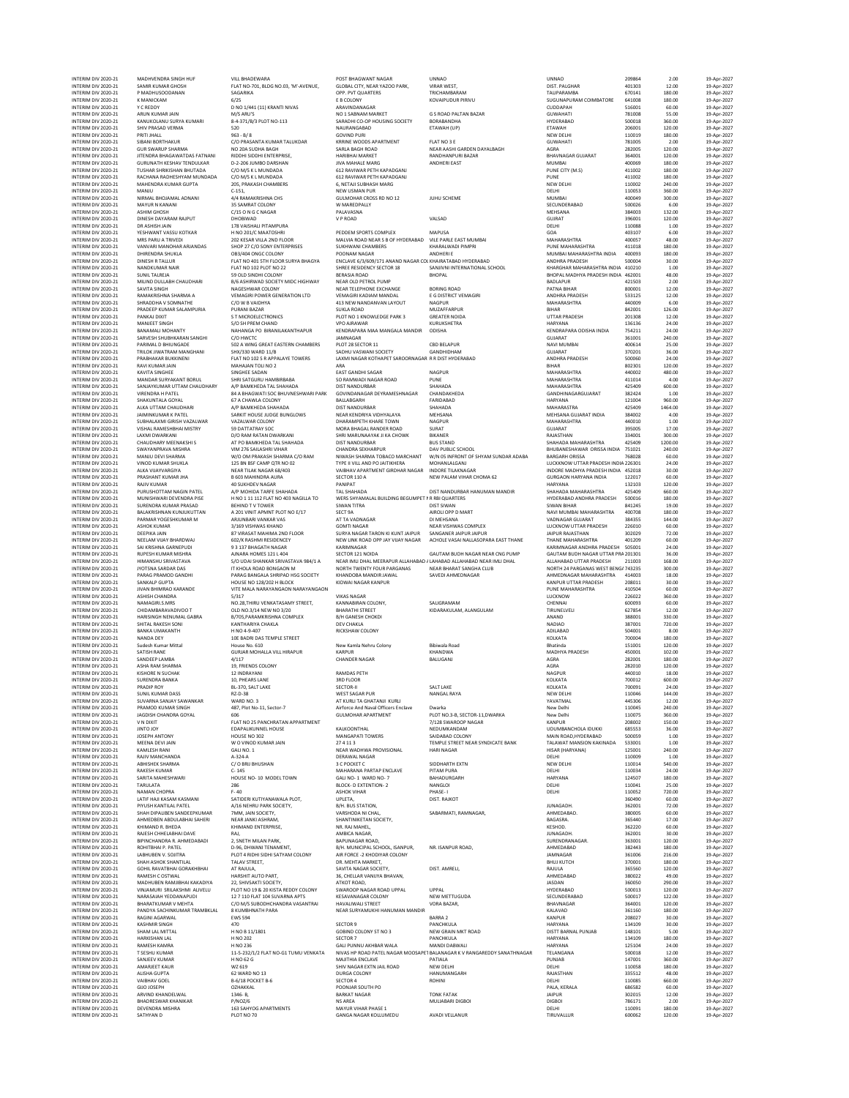INTERIM DIV 2020-21 SATHYAN D PLOT NO 70 GANGA NAGAR KOLLUMEDU AVADI VELLANUR TIRUVALLUR 600062 120.00 19-Apr-2027

| INTERIM DIV 2020-21                        | MADHVENDRA SINGH HUF                                        | VILL BHADEWARA                                                    | POST RHAGWANT NAGAR                                                                      | <b>UNNAO</b>                                                            | <b>UNNAO</b>                                                  | 209864           | 2.00              | 19-Apr-2027                |
|--------------------------------------------|-------------------------------------------------------------|-------------------------------------------------------------------|------------------------------------------------------------------------------------------|-------------------------------------------------------------------------|---------------------------------------------------------------|------------------|-------------------|----------------------------|
| INTERIM DIV 2020-21<br>INTERIM DIV 2020-21 | SAMIR KUMAR GHOSH<br>P MADHUSOODANAN                        | FLAT NO-701, BLDG NO.03, 'M'-AVENUE,<br>SAGARIKA                  | GLOBAL CITY, NEAR YAZOO PARK,<br>OPP. PVT QUARTERS                                       | VIRAR WEST,<br>TRICHAMBARAM                                             | DIST. PALGHAR<br>TALIPARAMBA                                  | 401303<br>670141 | 12.00<br>180.00   | 19-Apr-2027<br>19-Apr-2027 |
| INTERIM DIV 2020-21<br>INTERIM DIV 2020-21 | <b>K MANICKAM</b><br>Y C REDDY                              | 6/25<br>D NO 1/441 (11) KRANTI NIVAS                              | E B COLONY<br>ARAVINDANAGAR                                                              | <b>KOVAIPUDUR PIRIVU</b>                                                | SUGUNAPURAM COIMBATORE<br>CUDDAPAH                            | 641008<br>516001 | 180.00<br>60.00   | 19-Apr-2027<br>19-Apr-2027 |
| INTERIM DIV 2020-21                        | ARUN KUMAR JAIN                                             | M/S ARU'S                                                         | NO 1 SABNAM MARKET                                                                       | G S ROAD PALTAN BAZAR                                                   | <b>GUWAHATI</b>                                               | 781008           | 55.00             | 19-Apr-2027                |
| INTERIM DIV 2020-21<br>INTERIM DIV 2020-21 | KANUKOLANU SURYA KUMARI<br>SHIV PRASAD VERMA                | 8-4-371/B/3 PLOT NO-113<br>520                                    | SARADHI CO-OP HOUSING SOCIETY<br>NAURANGABAD                                             | BORABANDHA<br>ETAWAH (UP)                                               | HYDERABAD<br>ETAWAH                                           | 500018<br>206001 | 360.00<br>120.00  | 19-Apr-2027<br>19-Apr-2027 |
| INTERIM DIV 2020-21                        | PRITI JHALL                                                 | $963 - B/8$                                                       | <b>GOVIND PURI</b>                                                                       |                                                                         | NEW DELHI                                                     | 110019           | 180.00            | 19-Apr-2027                |
| INTERIM DIV 2020-21<br>INTERIM DIV 2020-21 | <b>SIBANI BORTHAKUR</b><br><b>GUR SWARUP SHARMA</b>         | C/O PRASANTA KUMAR TALUKDAR<br>NO 20A SUDHA BAGH                  | <b>KRRINE WOODS APARTMENT</b><br>SARLA BAGH ROAD                                         | FLAT NO 3 E<br>NEAR AASHI GARDEN DAYALBAGH                              | <b>GUWAHATI</b><br>AGRA                                       | 781005<br>282005 | 2.00<br>120.00    | 19-Apr-2027<br>19-Apr-2027 |
| INTERIM DIV 2020-21<br>INTERIM DIV 2020-21 | JITENDRA BHAGAWATDAS FATNANI<br>GURUNATH KESHAV TENDULKAR   | RIDDHI SIDDHI ENTERPRISE.<br>D-2-206 JUMBO DARSHAN                | <b>HARIBHAI MARKET</b>                                                                   | RANDHANPURI BAZAR                                                       | <b>BHAVNAGAR GUJARAT</b>                                      | 364001           | 120.00            | 19-Apr-2027                |
| INTERIM DIV 2020-21                        | TUSHAR SHRIKISHAN BHUTADA                                   | C/O M/S K L MUNDADA                                               | <b>JIVA MAHALE MARG</b><br>612 RAVIWAR PETH KAPADGANJ                                    | <b>ANDHERI EAST</b>                                                     | <b>MUMBAI</b><br>PUNE CITY (M.S)                              | 400069<br>411002 | 180.00<br>180.00  | 19-Apr-2027<br>19-Apr-2027 |
| INTERIM DIV 2020-21<br>INTERIM DIV 2020-21 | RACHANA RADHESHYAM MUNDADA<br>MAHENDRA KUMAR GUPTA          | C/O M/S K L MUNDADA<br>205, PRAKASH CHAMBERS                      | 612 RAVIWAR PETH KAPADGANJ<br>6, NETAJI SUBHASH MARG                                     |                                                                         | PUNE<br>NEW DELHI                                             | 411002<br>110002 | 180.00<br>240.00  | 19-Apr-2027<br>19-Apr-2027 |
| INTERIM DIV 2020-21                        | MANJU                                                       | $C-151$ ,                                                         | NEW USMAN PUR                                                                            |                                                                         | DELHI                                                         | 110053           | 360.00            | 19-Apr-2027                |
| INTERIM DIV 2020-21<br>INTERIM DIV 2020-21 | NIRMAL BHOJAMAL ADNANI<br>MAYUR N KANANI                    | 4/4 RAMAKRISHNA CHS<br>35 SAMRAT COLONY                           | GULMOHAR CROSS RD NO 12<br>W MAREDPALLY                                                  | JUHU SCHEME                                                             | <b>MUMBAI</b><br>SECUNDERABAD                                 | 400049<br>500026 | 300.00<br>6.00    | 19-Apr-2027<br>19-Apr-202  |
| INTERIM DIV 2020-21                        | <b>ASHIM GHOSH</b>                                          | C/15 O N G C NAGAR                                                | PALAVASNA                                                                                |                                                                         | MEHSANA                                                       | 384003           | 132.00            | 19-Apr-2027                |
| INTERIM DIV 2020-21<br>INTERIM DIV 2020-21 | DINESH DAYARAM RAJPUT<br>DR ASHISH JAIN                     | DHOBIWAD<br>178 VAISHALI PITAMPURA                                | V P ROAD                                                                                 | VALSAD                                                                  | <b>GUJRAT</b><br>DELHI                                        | 396001<br>110088 | 120.00<br>1.00    | 19-Apr-2027<br>19-Apr-2021 |
| INTERIM DIV 2020-21                        | YESHWANT VASSU KOTKAR                                       | H NO 201/C MAATOSHRI                                              | PEDDEM SPORTS COMPLEX                                                                    | MAPUSA                                                                  | GOA                                                           | 403107           | 6.00              | 19-Apr-2027                |
| INTERIM DIV 2020-21<br>INTERIM DIV 2020-21 | MRS PARU A TRIVEDI<br>VANVARI MANOHAR ARJANDAS              | 202 KESAR VILLA 2ND FLOOR<br>SHOP 27 C/O SONY ENTERPRISES         | MALVIA ROAD NEAR S B OF HYDERABAD VILE PARLE EAST MUMBAI<br><b>SUKHWANI CHAMBERS</b>     | KHARALWADI PIMPRI                                                       | MAHARASHTRA<br>PUNE MAHARASHTRA                               | 400057<br>411018 | 48.00<br>180.00   | 19-Apr-2027<br>19-Apr-2027 |
| INTERIM DIV 2020-21                        | <b>DHIRENDRA SHUKLA</b>                                     | OB3/404 ONGC COLONY                                               | POONAM NAGAR                                                                             | ANDHERI F                                                               | MUMBAI MAHARASHTRA INDIA                                      | 400093           | 180.00            | 19-Apr-2027                |
| INTERIM DIV 2020-21<br>INTERIM DIV 2020-21 | <b>DINESH R TALLUR</b><br>NANDKUMAR NAIR                    | FLAT NO 401 STH FLOOR SURYA BHAGYA<br>FLAT NO 102 PLOT NO 22      | ENCLAVE 6/3/609/171 ANAND NAGAR COI KHAIRATABAD HYDERABAD<br>SHREE RESIDENCY SECTOR 18   | SANJIVNI INTERNATIONAL SCHOOL                                           | ANDHRA PRADESH<br>KHARGHAR MAHARASHTRA INDIA 410210           | 500004           | 30.00<br>1.00     | 19-Apr-2027<br>19-Apr-2027 |
| INTERIM DIV 2020-21<br>INTERIM DIV 2020-21 | SUNIL TALREJA<br>MILIND DULLABH CHAUDHARI                   | 59 OLD SINDHI COLONY<br>B/6 ASHIRWAD SOCIETY MIDC HIGHWAY         | <b>BERASIA ROAD</b><br>NEAR OLD PETROL PUMP                                              | <b>BHOPAL</b>                                                           | BHOPAL MADHYA PRADESH INDIA 462001<br><b>BADLAPUR</b>         | 421503           | 48.00<br>2.00     | 19-Apr-2027<br>19-Apr-2027 |
| INTERIM DIV 2020-21                        | SAVITA SINGH                                                | NAGESHWAR COLONY                                                  | NEAR TELEPHONE EXCHANGE                                                                  | <b>BORING ROAD</b>                                                      | PATNA BIHAR                                                   | 800001           | 12.00             | 19-Apr-2027                |
| INTERIM DIV 2020-21<br>INTERIM DIV 2020-21 | RAMAKRISHNA SHARMA A<br>SHRADDHA V SOMNATHE                 | VEMAGIRI POWER GENERATION LTD<br>C/O W B VAIDHYA                  | VEMAGIRI KADIAM MANDAL<br>413 NEW NANDANVAN LAYOUT                                       | E G DISTRICT VEMAGIRI<br>NAGPUR                                         | ANDHRA PRADESH<br>MAHARASHTRA                                 | 533125<br>440009 | 12.00<br>6.00     | 19-Apr-2027<br>19-Apr-2027 |
| INTERIM DIV 2020-21                        | PRADEEP KUMAR SALAMPURIA                                    | <b>PURANI BAZAR</b>                                               | SUKLA ROAD                                                                               | <b>MUZAFFARPUR</b>                                                      | <b>BIHAR</b>                                                  | 842001           | 126.00            | 19-Apr-2027                |
| INTERIM DIV 2020-21<br>INTERIM DIV 2020-21 | PANKAJ DIXIT<br>MANJEET SINGH                               | <b>S T MICROELECTRONICS</b><br>S/O SH PREM CHAND                  | PLOT NO 1 KNOWLEDGE PARK 3<br>VPO AJRAWAR                                                | <b>GREATER NOIDA</b><br>KURUKSHETRA                                     | UTTAR PRADESH<br>HARYANA                                      | 201308<br>136136 | 12.00<br>24.00    | 19-Apr-2027<br>19-Apr-2027 |
| INTERIM DIV 2020-21                        | <b>BANAMALI MOHANTY</b>                                     | NAHANGA PO BIRANILAKANTHAPUR                                      | KENDRAPARA MAA MANGALA MANDIR                                                            | ODISHA                                                                  | KENDRAPARA ODISHA INDIA                                       | 754211           | 24.00             | 19-Apr-2027                |
| INTERIM DIV 2020-21<br>INTERIM DIV 2020-21 | SARVESH SHUBHKARAN SANGHI<br>PARIMAL D BHIUNGADE            | C/O HWCTC<br>502 A WING GREAT EASTERN CHAMBERS                    | JAMNAGAR<br>PLOT 28 SECTOR 11                                                            | <b>CBD BELAPUR</b>                                                      | GUJARAT<br>NAVI MUMBAI                                        | 361001<br>400614 | 240.00<br>25.00   | 19-Apr-2027<br>19-Apr-2027 |
| INTERIM DIV 2020-21                        | TRILOK JIWATRAM MANGHANI                                    | SHX/330 WARD 11/R                                                 | SADHU VASWANI SOCIETY                                                                    | <b>GANDHIDHAM</b>                                                       | <b>GUJARAT</b>                                                | 370201           | 36.00             | 19-Apr-2027                |
| INTERIM DIV 2020-21<br>INTERIM DIV 2020-21 | PRABHAKAR BUKKINENI<br>RAVI KUMAR JAIN                      | FLAT NO 102 S R APPALAYE TOWERS<br>MAHAJAN TOLI NO 2              | LAXMI NAGAR KOTHAPET SAROORNAGAR R R DIST HYDERABAD<br>ARA                               |                                                                         | ANDHRA PRADESH<br>BIHAR                                       | 500060<br>802301 | 24.00<br>120.00   | 19-Apr-2027<br>19-Apr-2027 |
| INTERIM DIV 2020-21                        | <b>KAVITA SINGHEE</b>                                       | SINGHEE SADAN                                                     | <b>EAST GANDHI SAGAR</b><br>SO RAMWADI NAGAR ROAD                                        | <b>NAGPUR</b>                                                           | MAHARASHTRA                                                   | 440002           | 480.00            | 19-Apr-2027<br>19-Apr-202  |
| INTERIM DIV 2020-21<br>INTERIM DIV 2020-21 | MANDAR SURYAKANT BORUL<br>SANJAYKUMAR UTTAM CHAUDHARY       | SHRI SATGURU HAMBIRBABA<br>A/P BAMKHEDA TAL SHAHADA               | <b>DIST NANDURBAR</b>                                                                    | PUNE<br>SHAHADA                                                         | MAHARASHTRA<br>MAHARASHTRA                                    | 411014<br>425409 | 4.00<br>600.00    | 19-Apr-2027                |
| INTERIM DIV 2020-21<br>INTERIM DIV 2020-21 | VIRENDRA H PATEL<br>SHAKUNTALA GOYAI                        | 84 A BHAGWATI SOC BHUVNESHWARI PARK<br>67 A CHAWLA COLONY         | GOVINDANAGAR DEYRAMESHNAGAR<br>BALLABGARH                                                | CHANDAKHEDA<br>FARIDABAD                                                | GANDHINAGARGUJARAT<br>HARYANA                                 | 382424<br>121004 | 1.00<br>960.00    | 19-Apr-2027<br>19-Apr-2027 |
| INTERIM DIV 2020-21                        | ALKA UTTAM CHAUDHARI                                        | A/P RAMKHEDA SHAHADA                                              | <b>DIST NANDURBAR</b>                                                                    | SHAHADA                                                                 | <b>MAHARASTRA</b>                                             | 425409           | 1464.00           | 19-Apr-2027                |
| INTERIM DIV 2020-21<br>INTERIM DIV 2020-21 | JAIMINKUMAR K PATEL<br>SUBHALAXMI GIRISH VAZALWAR           | SARKIT HOUSE JUDGE BUNGLOWS<br>VAZALWAR COLONY                    | NEAR KENDRIYA VIDHYALAYA<br>DHARAMPETH KHARE TOWN                                        | MEHSANA<br>NAGPUR                                                       | MEHSANA GUJARAT INDIA<br>MAHARASHTRA                          | 384002<br>440010 | 4.00<br>1.00      | 19-Apr-2027<br>19-Apr-2027 |
| INTERIM DIV 2020-21                        | VISHAL RAMESHBHAI MISTRY                                    | 59 DATTATRAY SOC                                                  | MORA BHAGAL RANDER ROAD                                                                  | SURAT                                                                   | <b>GUJARAT</b>                                                | 395005           | 17.00             | 19-Apr-2027                |
| INTERIM DIV 2020-21<br>INTERIM DIV 2020-21 | LAXMI DWARKANI<br>CHAUDHARY MEENAKSHIS                      | D/O RAM RATAN DWARKANI<br>AT PO BAMKHEDA TAL SHAHADA              | SHRI MARUNAAYAK JI KA CHOWK<br><b>DIST NANDURBAR</b>                                     | <b>BIKANER</b><br><b>BUS STAND</b>                                      | RAJASTHAN<br>SHAHADA MAHARASHTRA                              | 334001<br>425409 | 300.00<br>1200.00 | 19-Apr-2027<br>19-Apr-2027 |
| INTERIM DIV 2020-21                        | SWAYANPRAVA MISHRA                                          | VIM 276 SAILASHRI VIHAR                                           | <b>CHANDRA SEKHARPUR</b>                                                                 | DAV PUBLIC SCHOOL                                                       | BHUBANESHAWAR ORISSA INDIA                                    | 751021           | 240.00            | 19-Apr-2027                |
| INTERIM DIV 2020-21<br>INTERIM DIV 2020-21 | MANJU DEVI SHARMA<br><b>VINOD KUMAR SHUKLA</b>              | W/O OM PRAKASH SHARMA C/O RAM<br>125 BN BSF CAMP QTR NO 02        | NIWASH SHARMA TOBACO MARCHANT<br>TYPE II VILL AND PO JAITIKHERA                          | W/N 05 INFRONT OF SHYAM SUNDAR ADABA<br>MOHANLALGANJ                    | <b>BARGARH ORISSA</b><br>LUCKKNOW UTTAR PRADESH INDIA 226301  | 768028           | 60.00<br>24.00    | 19-Apr-2027<br>19-Apr-2027 |
| INTERIM DIV 2020-21                        | ALKA VIJAYVARGIYA                                           | NEAR TILAK NAGAR 68/403                                           | VAIBHAV APARTMENT GIRDHAR NAGAR                                                          | <b>INDORE TILAKNAGAR</b>                                                | INDORE MADHYA PRADESH INDIA 452018                            |                  | 30.00             | 19-Apr-2027                |
| INTERIM DIV 2020-21<br>INTERIM DIV 2020-21 | PRASHANT KUMAR JHA<br><b>RAJIV KUMAR</b>                    | B 603 MAHINDRA AURA<br><b>40 SUKHDEV NAGAR</b>                    | SECTOR 110 A<br>PANIPAT                                                                  | NEW PALAM VIHAR CHOMA 62                                                | <b>GURGAON HARYANA INDIA</b><br><b>HARYANA</b>                | 122017<br>132103 | 60.00<br>120.00   | 19-Apr-2027<br>19-Apr-2027 |
| INTERIM DIV 2020-21                        | PURUSHOTTAM NAGIN PATEL                                     | A/P MOHIDA TARFE SHAHADA                                          | <b>TAL SHAHADA</b>                                                                       | DIST NANDURBAR HANUMAN MANDIR                                           | SHAHADA MAHARASHTRA                                           | 425409           | 660.00            | 19-Apr-2027                |
| INTERIM DIV 2020-21<br>INTERIM DIV 2020-21 | MUNISHWARI DEVENDRA PISE<br>SURENDRA KUMAR PRASAD           | H NO 1 11 112 FLAT NO 403 NAGILLA TO<br><b>BEHIND TV TOWER</b>    | WERS SHYAMALAL BUILDING BEGUMPET I R RBI QUARTERS<br><b>SIWAN TITRA</b>                  | <b>DIST SIWAN</b>                                                       | HYDERABAD ANDHRA PRADESH<br><b>SIWAN BIHAR</b>                | 500016<br>841245 | 180.00<br>19.00   | 19-Apr-2027<br>19-Apr-2027 |
| INTERIM DIV 2020-21<br>INTERIM DIV 2020-21 | BALAKRISHNAN KUNJUKUTTAN<br>PARMAR YOGESHKUMAR M            | A 201 VINIT APMNT PLOT NO E/17<br>ARJUNBARI VANKAR VAS            | SECT 9A<br>AT TA VADNAGAR                                                                | AIROLI OPP D MART<br>DI MEHSANA                                         | NAVI MUMBAI MAHARASHTRA<br>VADNAGAR GUJARAT                   | 400708<br>384355 | 180.00<br>144.00  | 19-Apr-2027<br>19-Apr-2027 |
| INTERIM DIV 2020-21                        | <b>ASHOK KUMAR</b>                                          | 3/169 VISHWAS KHAND                                               | <b>GOMTI NAGAR</b>                                                                       | NEAR VISHWAS COMPLEX                                                    | LUCKNOW UTTAR PRADESH                                         | 226010           | 60.00             | 19-Apr-2027                |
| INTERIM DIV 2020-21<br>INTERIM DIV 2020-21 | DEEPIKA JAIN<br>NEELAM VIJAY BHARDWAJ                       | 87 VIRASAT MAHIMA 2ND FLOOR<br>602/K RASHMI RESIDENCEY            | SURYA NAGAR TARON KI KUNT JAIPUR<br>NEW LINK ROAD OPP JAY VIJAY NAGAR                    | SANGANER JAIPUR JAIPUR<br>ACHOLE VASAI NALLASOPARA EAST THANE           | JAIPUR RAJASTHAN<br>THANE MAHARASHTRA                         | 302029<br>401209 | 72.00<br>60.00    | 19-Apr-2027<br>19-Apr-2027 |
| INTERIM DIV 2020-21                        | SAI KRISHNA GARNEPUDI                                       | 93 137 BHAGATH NAGAR                                              | KARIMNAGAR                                                                               |                                                                         | KARIMNAGAR ANDHRA PRADESH                                     | 505001           | 24.00             | 19-Apr-2027                |
| INTERIM DIV 2020-21<br>INTERIM DIV 2020-21 | RUPESH KUMAR MISHRA<br>HIMANSHU SRIVASTAVA                  | AJNARA HOMES 121 L 404<br>S/O UDAI SHANKAR SRIVASTAVA 984/1 A     | SECTOR 121 NOIDA<br>NEAR IMLI DHAL MEERAPUR ALLAHABAD / LAHABAD ALLAHABAD NEAR IMLI DHAL | GAUTAM BUDH NAGAR NEAR CNG PUMP                                         | GAUTAM BUDH NAGAR UTTAR PRA 201301<br>ALLAHABAD UTTAR PRADESH | 211003           | 36.00<br>168.00   | 19-Apr-202<br>19-Apr-2027  |
| INTERIM DIV 2020-21                        | JYOTSNA SARDAR DAS                                          | IT KHOLA ROAD BONGAON M                                           | NORTH TWENTY FOUR PARGANAS                                                               | NEAR BHARAT SANGHA CLUB                                                 | NORTH 24 PARGANAS WEST BENG/ 743235                           |                  | 300.00            | 19-Apr-2027                |
| INTERIM DIV 2020-21<br>INTERIM DIV 2020-21 | PARAG PRAMOD GANDHI<br><b>SANKALP GUPTA</b>                 | PARAG BANGALA SHRIPAD HSG SOCIETY<br>HOUSE NO 128/202 H BLOCK     | KHANDOBA MANDIR JAWAL<br>KIDWAI NAGAR KANPUR                                             | SAVEDI AHMEDNAGAR                                                       | AHMEDNAGAR MAHARASHTRA<br><b>KANPUR UTTAR PRADESH</b>         | 414003<br>208011 | 18.00<br>30.00    | 19-Apr-2027<br>19-Apr-2027 |
| INTERIM DIV 2020-21<br>INTERIM DIV 2020-21 | JIVAN BHIMRAO KARANDE<br><b>ASHISH CHANDRA</b>              | VITE MALA NARAYANGAON NARAYANGAON<br>5/317                        | <b>VIKAS NAGAR</b>                                                                       |                                                                         | PUNE MAHARASHTRA<br>LUCKNOW                                   | 410504<br>226022 | 60.00<br>360.00   | 19-Apr-2027<br>19-Apr-2027 |
| INTERIM DIV 2020-21                        | NAMAGIRI.S.MRS                                              | NO.28,THIRU VENKATASAMY STREET,                                   | KANNABIRAN COLONY.                                                                       | SALIGRAMAM                                                              | CHENNAI                                                       | 600093           | 60.00             | 19-Apr-2027                |
| INTERIM DIV 2020-21<br>INTERIM DIV 2020-21 | CHIDAMBARAVADIVOO T<br>HARISINGH NENUMAL GABRA              | OLD NO.3/14 NEW NO 3/20<br>B/705, PARAMKRISHNA COMPLEX            | <b>BHARATHI STREET</b><br><b>B/H GANESH CHOKDI</b>                                       | KIDARAKULAM, ALANGULAM                                                  | TIRUNELVELI<br>ANAND                                          | 627854<br>388001 | 12.00<br>330.00   | 19-Apr-2027<br>19-Apr-2027 |
| INTERIM DIV 2020-21                        | SHITAL RAKESH SONI                                          | KANTHARIYA CHAKLA                                                 | DEV CHAKLA                                                                               |                                                                         | NADIAD                                                        | 387001           | 720.00            | 19-Apr-2027                |
| INTERIM DIV 2020-21<br>INTERIM DIV 2020-21 | <b>BANKA UMAKANTH</b><br>NANDA DEY                          | H NO 4-9-407<br>10E BADRI DAS TEMPLE STREET                       | RICKSHAW COLONY                                                                          |                                                                         | ADILABAD<br>KOLKATA                                           | 504001<br>700004 | 8.00<br>180.00    | 19-Apr-2027<br>19-Apr-2027 |
| INTERIM DIV 2020-21                        | Sudesh Kumar Mittal                                         | House No. 610<br><b>GURJAR MOHALLA VILL HIRAPUR</b>               | New Kamla Nehru Colony                                                                   | Bibiwala Road                                                           | Bhatinda                                                      | 151001           | 120.00            | 19-Apr-2027                |
| INTERIM DIV 2020-21<br>INTERIM DIV 2020-21 | <b>SATISH RANE</b><br>SANDEEP LAMBA                         | 4/117                                                             | <b>KARPUR</b><br><b>CHANDER NAGAR</b>                                                    | KHANDWA<br>BALUGANJ                                                     | MADHYA PRADESH<br>AGRA                                        | 450001<br>282001 | 102.00<br>180.00  | 19-Apr-2027<br>19-Apr-2027 |
| INTERIM DIV 2020-21<br>INTERIM DIV 2020-21 | ASHA RAM SHARMA<br>KISHORE N SUCHAK                         | 19, FRIENDS COLONY<br>12 INDRAYANI                                | RAMDAS PETH                                                                              |                                                                         | AGRA<br>NAGPUR                                                | 282010<br>440010 | 120.00<br>18.00   | 19-Apr-2027<br>19-Apr-2027 |
| INTERIM DIV 2020-21                        | <b>SURENDRA BANKA</b>                                       | 10. PHEARS LANE                                                   | <b>3RD FLOOR</b>                                                                         |                                                                         | KOLKATA                                                       | 700012           | 600.00            | 19-Apr-2027                |
| INTERIM DIV 2020-21<br>INTERIM DIV 2020-21 | PRADIP ROY<br>SUNIL KUMAR DASS                              | BL-370, SALT LAKE<br>RZ-D-38                                      | SECTOR-II<br>WEST SAGAR PUR                                                              | <b>SALT LAKE</b><br>NANGAL RAYA                                         | KOLKATA<br>NEW DELHI                                          | 700091<br>110046 | 24.00<br>144.00   | 19-Apr-2027<br>19-Apr-2027 |
| INTERIM DIV 2020-21                        | SUVARNA SANJAY SAWANKAR                                     | WARD NO. 3                                                        | AT KURLI TA GHATANJI KURLI                                                               |                                                                         | <b>YAVATMAI</b>                                               | 445306           | 12.00             | 19-Apr-2027                |
| INTERIM DIV 2020-21<br>INTERIM DIV 2020-21 | PRAMOD KUMAR SINGH<br>JAGDISH CHANDRA GOYAL                 | 487. Plot No-11. Sector-7<br>606                                  | Airforce And Naval Officers Enclave<br><b>GULMOHAR APARTMENT</b>                         | Dwarka<br>PLOT NO.3-B, SECTOR-11, DWARKA                                | New Delhi<br>New Delhi                                        | 110045<br>110075 | 240.00<br>360.00  | 19-Apr-2027<br>19-Apr-2027 |
| INTERIM DIV 2020-21<br>INTERIM DIV 2020-21 | V N DIXIT<br>JINTO JOY                                      | FLAT NO 25 PANCHRATAN APPARTMENT<br><b>EDAPALIKUNNEL HOUSE</b>    | KALKOONTHAL                                                                              | 7/128 SWAROOP NAGAR<br>NEDUMKANDAM                                      | <b>KANPUR</b><br>UDUMBANCHOLA IDUKKI                          | 208002<br>685553 | 150.00<br>36.00   | 19-Apr-2027<br>19-Apr-202  |
| INTERIM DIV 2020-21                        | JOSEPH ANTONY                                               | HOUSE NO 302                                                      | MANGAPATI TOWERS                                                                         | SAIDABAD COLONY                                                         | MAIN ROAD HYDERARAD                                           | 500059           | 1.00              | 19-Apr-2027                |
| INTERIM DIV 2020-21<br>INTERIM DIV 2020-21 | MEENA DEVI JAIN<br>KAMLESH RANI                             | W O VINOD KUMAR JAIN<br>GALI NO. 1                                | 274113<br>NEAR WADHWA PROVISIONAL                                                        | TEMPLE STREET NEAR SYNDICATE BANK<br><b>HARI NAGAR</b>                  | TALAWAT MANSION KAKINADA<br>HISAR (HARYANA)                   | 533001<br>125001 | 1.00<br>240.00    | 19-Apr-2027<br>19-Apr-202  |
| INTERIM DIV 2020-21                        | RAJIV MANCHANDA                                             | A-324-A                                                           | DERAWAL NAGAR                                                                            |                                                                         | DELHI                                                         | 110009           | 1.00              | 19-Apr-2027                |
| INTERIM DIV 2020-21<br>INTERIM DIV 2020-21 | <b>ABHISHEK SHARMA</b><br><b>RAKESH KUMAR</b>               | C/O BRIJ BHUSHAN<br>$C - 145$                                     | 3 C POCKET C<br>MAHARANA PARTAP ENCLAVE                                                  | SIDDHARTH EXTN<br>PITAM PURA                                            | NEW DELHI<br>DELHI                                            | 110014<br>110034 | 540.00<br>24.00   | 19-Apr-2027<br>19-Apr-2027 |
| INTERIM DIV 2020-21                        | <b>SARITA MAHESHWARI</b>                                    | HOUSE NO- 10 MODEL TOWN                                           | GAILNO-1 WARD NO-7                                                                       | BAHADURGARH                                                             | <b>HARYANA</b>                                                | 124507           | 180.00            | 19-Apr-2027                |
| INTERIM DIV 2020-21<br>INTERIM DIV 2020-21 | TARULATA<br>NAMAN CHOPRA                                    | 286<br>$F - 40$                                                   | BLOCK- D EXTENTION- 2<br><b>ASHOK VIHAR</b>                                              | NANGLOI<br>PHASE-1                                                      | DELHI<br>DELHI                                                | 110041<br>110052 | 25.00<br>720.00   | 19-Apr-2027<br>19-Apr-2027 |
| INTERIM DIV 2020-21                        | LATIF HAJI KASAM KASMANI                                    | SATIDERI KUTIYANAWALA PLOT.                                       | UPLETA.                                                                                  | DIST, RAJKOT                                                            |                                                               | 360490           | 60.00             | 19-Apr-2027                |
| INTERIM DIV 2020-21<br>INTERIM DIV 2020-21 | PIYUSH KANTILAL PATEL<br>SHAH DIPALIBEN SANDEEPKUMAR        | A/16 NEHRU PARK SOCIETY,<br>7MM, JAIN SOCIETY,                    | B/H. BUS STATION,<br>VARSHODA NI CHAL                                                    | SABARMATI, RAMNAGAR,                                                    | JUNAGADH.<br>AHMEDABAD.                                       | 362001<br>380005 | 72.00<br>60.00    | 19-Apr-2027<br>19-Apr-2027 |
| INTERIM DIV 2020-21<br>INTERIM DIV 2020-21 | AHMEDBEN ABDULABHAI SAHERI<br>KHIMAND R. BHEDA              | NEAR JANKI ASHRAM.<br>KHIMAND ENTERPRISE,                         | SHANTINIKETAN SOCIETY,<br>NR. RAJ MAHEL,                                                 |                                                                         | BAGASRA.<br>KESHOD.                                           | 365440<br>362220 | 17.00<br>60.00    | 19-Apr-2027<br>19-Apr-2027 |
| INTERIM DIV 2020-21                        | RAJESH CHHELABHAI DAVE                                      | RAJ.                                                              | AMBICA NAGAR.                                                                            |                                                                         | JUNAGADH.                                                     | 362001           | 30.00             | 19-Apr-2027                |
| INTERIM DIV 2020-21<br>INTERIM DIV 2020-21 | BIPINCHANDRA R. AHMEDABADI<br>ROHITBHAI P. PATEL            | 2, SNETH MILAN PARK,<br>D-96, DHWANI TENAMENT,                    | <b>BAPUNAGAR ROAD</b><br>B/H. MUNICIPAL SCHOOL, ISANPUR,                                 | NR. ISANPUR ROAD,                                                       | SURENDRANAGAR.<br>AHMEDABAD                                   | 363001<br>382443 | 120.00<br>180.00  | 19-Apr-2027<br>19-Apr-2027 |
| INTERIM DIV 2020-21                        | <b>LABHUBEN V. SOJITRA</b>                                  | PLOT 4 RIDHI SIDHI SATYAM COLONY                                  | AIR FORCE -2 KHODIYAR COLONY                                                             |                                                                         | JAMNAGAR                                                      | 361006           | 216.00            | 19-Apr-2027                |
| INTERIM DIV 2020-21<br>INTERIM DIV 2020-21 | SHAH ASHOK SHANTILAL<br>GOHIL RAVATBHAI GORAKHBHAI          | TALAV STREET,<br>AT RAJULA,                                       | DR. MEHTA MARKET,<br>SAVITA NAGAR SOCIETY,                                               | DIST. AMRELI,                                                           | <b>BHUJ KUTCH</b><br>RAJULA                                   | 370001<br>365560 | 180.00<br>120.00  | 19-Apr-2027<br>19-Apr-2027 |
| INTERIM DIV 2020-21                        | RAMESH C OSTWAL                                             | HARSHIT AUTO PART.                                                | 36. CHELLAR VANUYA BHAVAN.                                                               |                                                                         | AHMEDABAD                                                     | 380022           | 49.00             | 19-Apr-2027                |
| INTERIM DIV 2020-21<br>INTERIM DIV 2020-21 | MADHUBEN RAMJIBHAI KAKADIYA<br>VINJAMURI SRILAKSHMI ALIVELU | 22, SHIVSAKTI SOCIETY,<br>PLOT NO 19 & 20 KISTA REDDY COLONY      | ATKOT ROAD,<br>SWAROOP NAGAR ROAD UPPAL                                                  | UPPAL                                                                   | JASDAN<br>HYDERABAD                                           | 360050<br>500013 | 290.00<br>120.00  | 19-Apr-2027<br>19-Apr-2027 |
| INTERIM DIV 2020-21<br>INTERIM DIV 2020-21 | NARASAIAH YEDDANAPUDI<br><b>BHARATKUMAR V MEHTA</b>         | 12 7 110 FLAT 104 SUVARNA APTS<br>C/O M/S SUBODHCHANDRA VASANTRAI | <b>KESAVANAGAR COLONY</b><br>HAVALIWALI STREET                                           | NEW METTUGUDA<br><b>VORA BAZAR</b>                                      | SECUNDERABAD<br>BHAVNAGAR                                     | 500017<br>364001 | 122.00<br>120.00  | 19-Apr-2027<br>19-Apr-202  |
| INTERIM DIV 2020-21                        | PANDYA SACHINKUMAR TRAMBKLAL                                | 8 KUMBHNATH PARA                                                  | NEAR SURYAMUKHI HANUMAN MANDIR                                                           |                                                                         | KALAVAD                                                       | 361160           | 180.00            | 19-Apr-2027                |
| INTERIM DIV 2020-21<br>INTERIM DIV 2020-21 | RAGINI AGARWAL<br><b>KASHMIR SINGH</b>                      | <b>EWS 594</b><br>470                                             | <b>SECTOR 9</b>                                                                          | <b>BARRA 2</b><br>PANCHKULA                                             | <b>KANPUR</b><br><b>HARYANA</b>                               | 208027<br>134109 | 30.00<br>30.00    | 19-Apr-2027<br>19-Apr-2027 |
| INTERIM DIV 2020-21                        | SHAM LAL MITTAL                                             | H NO B 11/1801                                                    | GOBIND COLONY ST NO 3                                                                    | NEW GRAIN MKT ROAD                                                      | DISTT BARNAL PUNJAB                                           | 148101           | 5.00              | 19-Apr-2027                |
| INTERIM DIV 2020-21<br>INTERIM DIV 2020-21 | HARKISHAN LAL<br><b>RAMESH KAMRA</b>                        | H NO 202<br>H NO 236                                              | SECTOR 7<br>GALI PUNNU AKHBAR WALA                                                       | PANCHKULA<br>MANDI DABWALI                                              | HARYANA<br>HARYANA                                            | 134109<br>125104 | 180.00<br>24.00   | 19-Apr-2027<br>19-Apr-2027 |
| INTERIM DIV 2020-21                        | <b>T SESHU KUMAR</b>                                        | 11-5-232/1/2 FLAT NO-G1 TUMU VENKATA                              |                                                                                          | NIVAS HP ROAD PATEL NAGAR MOOSAPE1 BALANAGAR K V RANGAREDDY SANATHNAGAR | TELANGANA                                                     | 500018           | 12.00             | 19-Apr-2027                |
| INTERIM DIV 2020-21<br>INTERIM DIV 2020-21 | SANJEEV KUMAR<br>AMARJEET KAUR                              | H NO 62 G<br>WZ 619                                               | MAJITHIA ENCLAVE<br>SHIV NAGAR EXTN JAIL ROAD                                            | PATIALA<br>NEW DELHI                                                    | PUNJAB<br>DELHI                                               | 147001<br>110058 | 360.00<br>180.00  | 19-Apr-2027<br>19-Apr-2027 |
| INTERIM DIV 2020-21<br>INTERIM DIV 2020-21 | ALISHA GUPTA<br>VAIBHAV GOEL                                | 62 WARD NO 13<br>B-6/18 POCKET B-6                                | DURGA COLONY<br>SECTOR 4                                                                 | HANUMANGARH<br><b>ROHINI</b>                                            | RAJASTHAN<br>DELHI                                            | 335512<br>110085 | 48.00<br>660.00   | 19-Apr-2027<br>19-Apr-2027 |
| INTERIM DIV 2020-21                        | <b>GUO JOSEPH</b>                                           | OZHAKKAL                                                          | POONJAR SOUTH PO                                                                         |                                                                         | PALA, KERALA                                                  | 686582           | 60.00             | 19-Apr-2027                |
| INTERIM DIV 2020-21<br>INTERIM DIV 2020-21 | ARVIND KHANDELWAL<br><b>BHADRESWAR KHANIKAR</b>             | 1346-B,<br>P/NOZ/6                                                | <b>BARKAT NAGAR</b><br><b>NS AREA</b>                                                    | <b>TONK FATAK</b><br>MULIABARI DIGBOI                                   | JAIPUR<br><b>DIGBOI</b>                                       | 302015<br>786171 | 12.00<br>2.00     | 19-Apr-2027<br>19-Apr-2027 |
| INTERIM DIV 2020-21                        | DEVENDRA MISHRA                                             | 163 SAHYOG APARTMENTS                                             | MAYUR VIHAR PHASE 1                                                                      |                                                                         | DELHI                                                         | 110091           | 180.00            | 19-Apr-2027                |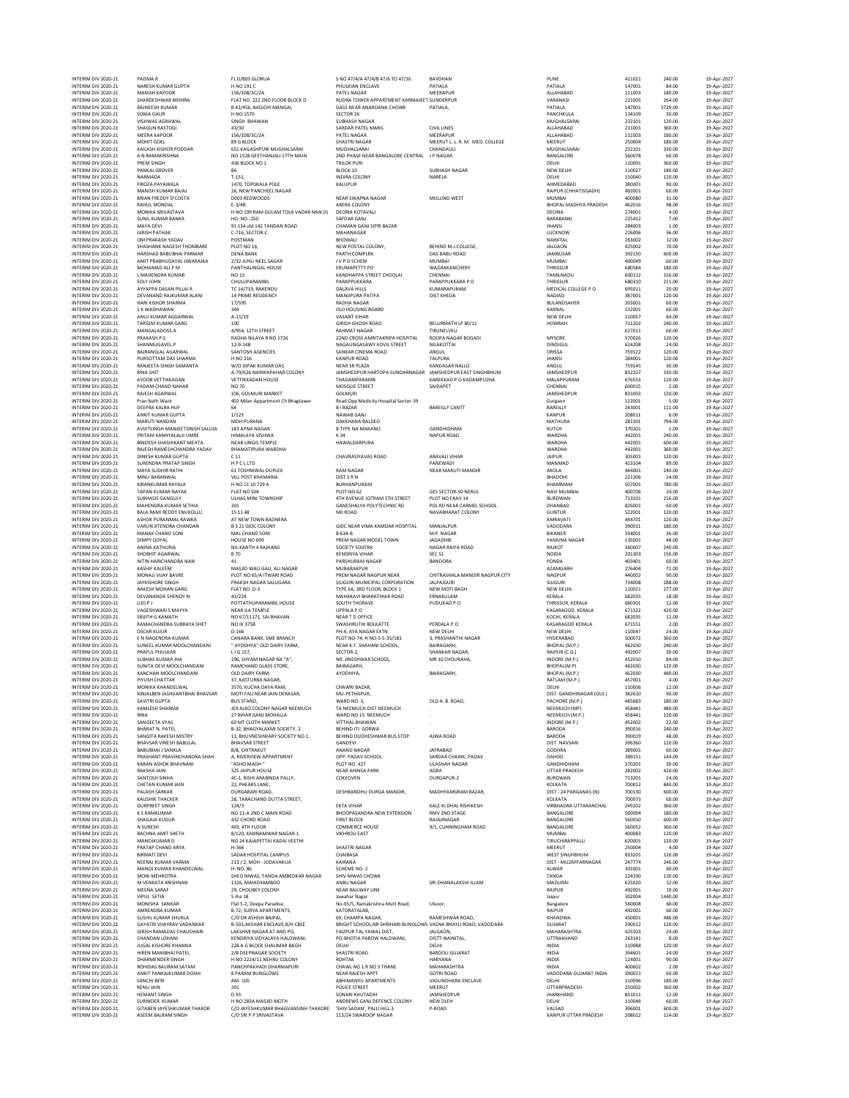INTERIM DIV 2020-21 PADMA R FL D/803 GLORUA S NO 47/4/A 47/4/B 47/6 TO 47/16 BAVDHAN PUNE 411021 240.00 19-Apr-2027 INTERIM DIVO202-21 NARSHKUMARGUPTA HNO 191C HOLLO PHULKIAN ENCLAVE PATIALA PATIALA PATIALA PATIALA 147001 84.00 19-Apr-2022<br>INTERIM DIVO202-21 MANISH APPORT SENDRIGIZZA PATELINAGAR MEENAPUR MEENAPUR NEENGERIM ALLAHABAD 211 INTERIM DIV 2020-21 SAIRDESH KUMAR PATING PATING BAZTAR APPROXIMENT KARANGET SUNDER VARIABLE SUNDER VARAANGA PATING<br>INTERIM DIV 2020-21 RANNEESH KUMAR HIND 1579.00 19-Apr-2027<br>INTERIM DIV 2020-21 VISHWAS AGRAWAL SING BAGIC INTERIM DIV 2020-21 SONIA GAUR H NO 1570 SECTOR 26 PANCHKULA 134109 30.00 19-Apr-2027 INTERIM DIV 2020-21 VISHWAS AGRAWAL SINGH BHAWAN SUBHASH NAGAR MUGHALSARAI 232101 120.00 19-Apr-2027 INTERIM DIV 2020-21 SHAGUN RASTOGI 43/30 SARDAR PATEL MARG CIVIL LINES ALLAHABAD 211001 360.00 19-Apr-2027 INTERIM DIV 2020-21 MEERA KAPOOR 15-AFADOOR 156/2022<br>INTERIM DIV 2020-21 MOHIT GOEL 154/07-2027 1990-2027 SHASTRI SHASTRI SHASTRI MEERUT L.R. MED. COLLEGE MEERUT 20001 19-Apr-2027 19-Apr-2027<br>INTERIM DIV 2020-21 MOHIT GOEL INTERIM DIV 2020-21 KAILASH KISHOR PODDAR 651 KAILASHPURI MUGHALSARAI MUGHALSARAI CHANDAULI MUGHALSARAI 232101 330.00 19-Apr-2027 INTERIM DIV 2020-21 A N RAMAKRISHNA NO 1528 GEETHANJALI 17TH MAIN 2ND PHASE NEAR BANGALORE CENTRAL J P NAGAR BANGALORE 560078 60.00 19-Apr-2027 INTERIM DIV 2020-21 PREM SINGH 436 BLOCK NO 1 TRILOK PURI DELHI 110091 360.00 19-Apr-2027 INTERIM DIV 2020-21 PANKAJ GROVER 86 BLOCK-10 SUBHASH NAGAR NEW DELHI 110027 180.00 19-Apr-2027 INTERIM DIV 2020-21 NARMADA T-151, INDIRA COLONY NARELA DELHI 110040 120.00 19-Apr-2027 INTERM ON 2020-21 FIROZA MANUSHANA MOLE 1470, TOPONALA POLE AND MANUPUR (ALUPUR AND ANNEDADAD 199001 90.00 19-Apr-2022<br>INTERM ON 2020-21 BANNEHEDV DYCOTA DOD REUNOODS NAMEN-HARAR MAGAR MULUND WEST MUNDAM MORMAN MORO 31.00 INTERIM DIV 2020-21 MAYA DEVI 91 134 old 142 TANDAN ROAD CHAMAN GANJ SIPRI BAZAR JHANSI 284003 1.00 19-Apr-2027 INTERIM DIV 2020-21 GIRISH PATHAK C-716, SECTOR-C MAHANAGAR LUCKNOW 226006 56.00 19-Apr-2027 INTERIM DIV 2020-21 OM PARASH YADAV POSTMAN BHOWALI DIV BHOWALI NAINITAL 263002 12.00 19-Apr-2027<br>INTERIM DIV 2020-21 SHASHANK NAGESH THOMBARE PLOT NO 16, NEW POSTAL COLONY, BEHIND M.L.COLLEGE, INTERIM DIV 2020-21 HARSHAD BABUBHAI PARMAR DENA BANK PARTH COMPLRX DAS BABU ROAD JAMBUSAR 392150 600.00 19-Apr-2027 INTERIM DIV 2020-21 AMIT PRABHUDAYAL JIWARAJKA 2/32 JUHU NEEL SAGAR JV P D SCHEM MUMBAI METERIM DIV 2020-21 AMIT PRABHUDAYAL JIWARAJKA 2/32 JUHU NEEL SAGAR J SENDERIM PO THE SENDER OF DRIFIALING AND SAGAR SENDERIM CHENNA MTERM ON 2020-21 IMAHENDRA KUMAR PANTHALINGAL HOUSE ERUMAPETTYPO CHENNA CHENN (HENSUR THRISSUR 1980-54 1980-202<br>INTERM ON 2020-21 LOMAHENDRA KUMAR CHULIJPARAMBIL PARAPPUKKAR (AND PARAPPUKKAR PONDER) PARAPPUS THRISSUR PERI<br> INTERIM DIV 2020-21 S K WADHAWAN 349 OLD HOUSING BOARD KARNAL 132001 60.00 19-Apr-2027 INTERIM DIV 2020-21 ANUJ KUMAR AGGARWAL A-11/19 VASANT VIHAR NEW DELHI 110057 84.00 19-Apr-2027 INTERIM DIV 2020-21 TARSEM KUMAR GARG 100 GIRISH GHOSH ROAD BELURMATH LP 80/11 HOWRAH 711202 240.00 19-Apr-2027 INTERIM DIV 2020-21 MANGALADOSS.A 4/954, 12TH STREET RAHMAT NAGAR TIRUNELVELI 627011 60.00 19-Apr-2027 INTERIM DIV 2020-21 PRAKASH.P.S RADHA NILAYA R NO 1726 22ND CROSS AMRITAKRIPA HOSPITAL ROOPA NAGAR BOGADI MYSORE 570026 120.00 19-Apr-2027 INTERIM DIV 2020-21 SHANMUGAVEL.P 12-9-14B NAGALINGASAWY KOVIL STREET NILAKOTTAI DINDIGUL 624208 24.00 19-Apr-2027 INTERIM DIV 2020-21 BAJRANGLAL AGARWAL SANTOSH AGENCIES SANKAR CINEMA ROAD ANGUL ORISSA 759122 120.00 19-Apr-2027 INTERIM DIV 2020-21 PURSOTTAM DAS SHARMA H NO 216 KANPUR ROAD TALPURA JHANSI 284001 120.00 19-Apr-2027 INTERIM DIV 2020-21 RANJEETA SINGH SAMANTA W/O DIPAK KUMAR DAS NEAR SR PLAZA KANDASAR NALLO ANGUL 759145 30.00 19-Apr-2027 INTERIM DIV 2020-21 RINA SHIT A-79/626 NARWAPAHAR COLONY JAMSHEDPUR HARTOPA SUNDARNAGAR JAMSHEDPUR EAST SINGHBHUM JAMSHEDPUR 832107 330.00 19-Apr-2027 INTERIM DIV 2020-21 TANSEM KUMAR GARRI 1992 - 2000 19-Apr-2022<br>INTERIM DIV 2020-21 MANGALADOSS.A 1009 - 19-APR-2027<br>INTERIM DIV 2020-21 PRAKASHATPS RADHAMARAMENT AND THE ROOPS AMATTAKER PROPER RADHAMAT MALAPPURAM (NYSORE 1 INTERIM DIV 2020-21 PADAM CHAND NAHAR NO 70 MOSQUE STREET SAIDAPET CHENNAI 600015 2.00 19-Apr-2027 INTERIM DIV 2020-21 RAJESH AGARWAL 106, GOLMURI MARKET GOLMURI JAMSHEDPUR 831003 120.00 19-Apr-2027 INTERIM DIV 2020-21 Pran Nath Wazir 402 Milan Appartment Ch Bhagtawer Road Opp Medicity Hospital Sector-39 Gurgaon 122001 5.00 19-Apr-2027 MTERM ON 2020-21 DEFANKALNA HUF SAN DENGANDAN BARELLY CANTT (METERM ON 2020-21 DANIT DAS 19-AP-2022)<br>INTERM ON 2020-21 ANRITTNANDAN UPTA MOHPURAMA MAGAR BAYCHANABALDEO (METHAM AMPURANDI AMPURANDI 2008011 1.00 19-AP-2022<br>IN INTERIM DIV 2020-21 DINESH KUMAR GUPTA C 11 CHAVRASIYAVAS ROAD ARAVALI VIHAR JAIPUR 305001 120.00 19-Apr-2027 INTERIM DIV 2020-21 SURENDRA PRATAP SINGH HP C LLTD DAN PANEWADI PANEWADI PANEWADI MANMAD 423104 89.00 19-Apr-2027 INTERIM DIV 2020-21 MAYA SUDHIR RATHI 61 TOSHNIWAL DUPLEX RAM NAGAR NEAR MARUTI MANDIR AKOLA 444001 240.00 19-Apr-2027 INTERM ON MONUMARANWANA MILLOGTKHAMARA DISTSRING DESTRESS (NEW BHANDONI 2013) 2013 - 2010 19-Apr-2022<br>INTERM DIVIDENCE REAR PROGRESS PROGRESS (NEW PROGRESS PROGRESS PROGRESS PROGRESS PROGRESS PROGRESS PROGRESS PA<br>INTERM DI INTERIM DIV 2020-21 ASHOK PURANMAL RAWKA AT NEW TOWN BADNERA AMRAVATI 444701 120.00 19-Apr-2027 INTERIM DIV 2020-21 VARUN JITENDRA CHANDAN B 3 21 GIDC COLONY GIDC NEAR VIMA KAMDAR HOSPITAL MANJALPUR VADODARA 390011 180.00 19-Apr-2027 INTERIM DIV 2020-21 MANAK CHAND SONI MAL CHAND SONI 8-634-B M.P. NAGAR BIKANER 334001 36.00 19-Apr-2027 INTERIM DV 2020-21 KRANK MARKAMA BAYAK HAD HOLI 7294 BURHARING BAYANG GES SECTOR-SONERUL MANIMAMA SOVODI 780,000 19-Apr-2027<br>INTERIM DV 2020-21 SUBHARING SCHOL ULHAS MINITOWNSHIP AT AVENUE DITAGORE TO POLICION DAN SELECTOR INTERIM DIV 2020-21 ANJNA KATHURIA NIL KANTH 4 RAJHANS SOCIETY SOJITRA NAGAR RAIYA ROAD RAJKOT 360007 240.00 19-Apr-2027 INTERIM DIV 2020-21 SHOBHIT AGARWAL B 70 KENDRIYA VIHAR SEC 51 NOIDA 201303 156.00 19-Apr-2027 INTERIM DIV 2020-21 NITIN HARICHANDRA NAIK 41 PARSHURAM NAGAR BANDORA PONDA 403401 60.00 19-Apr-2027 INTERM DIV202-21 KASHIFALEEM MASID WAGGA MELIGALA, ALINGARAR MENDAKPUR (HITRASHALA MANDIR NAGPUR TY AAGPUR 200<br>INTERM DIV202-21 MONALIVILIK AVIEE PRATYDIAGAR PERMANGAR PERMANGARAARANGPUR CHITRASHALA MANDIR NAGPUR VAGARA 2<br> INTERIM DIV 2020-21 DEVANANDA SHENOY N 41/224 MAHAKAVI BHARATHIAR ROAD ERNAKULAM KERALA 682035 18.00 19-Apr-2027 INTERIM DIV 2020-21 LIJO P J POTTATHUPARAMBIL HOUSE SOUTH THORAVE PUDUKAD P O THRISSUR, KERALA 680301 12.00 19-Apr-2027 INTERIM DIV 2020-21 VAGESHWARI S MAYYA NEAR ILA TEMPLE UPPALA P O KASARAGOD, KERALA 671322 420.00 19-Apr-2027 INTERIM DIV 2020-21 SIGREM TAGRAWAL SING MEAR (NEW YORK) AND REAL AND THE SAND CONDRA CONDRA CONDRA CONDRA CONDR<br>INTERIM DIV 2020-21 NOTHAL AND ANNE MASSID WILLGALLALI NAGAR MAGNER AND REAL AND REAL AND REAL AND CONDRA CON INTERM ON 2020-21 PAMACHANDRA SUBRAYA SHET POLICY DAS SWASHIRITHI PERIM PROVIDENT PROVIDE RANGAROO KERALA 671551 2.00 19-Apr-2022<br>INTERM ON 2020-21 OSCAR KUJUR MANDRA CANARA ARANÇISME PLAT PROVIDENT PROVIDENT PROVIDENT PR INTERM DIVONIGA KHANDELWALA NASTA SETO, KUCHA DI SENDA KURA KURA KURA SENDA DEN DELIHI DIDOG 19-AP-2022<br>INTERM DIVOZOD-21 KINJALBEN JASHANTBHAIBHAISAR MOTIFALINEARIJAIN DEN PETHAPUR, NASTA DISTORANDHINAGAR (GUJ) 3825610 90 INTERIM DIV 2020-21 SAVITRI GUPTA BUS STAND, WARD NO. 3, OLD A. B. ROAD, PACHORE (M.P.) 465683 180.00 19-Apr-2027 MTERM ON 2020-21 KINALES SHARMA IS A LEO 19 ANCHOLOGY MAGALIA (MAP 2022)<br>INTERM ON 2020-21 RINA (SANGER VIRTEN SCHEM AND THE SERVICE IN THE SANGE ON THE SANGE ON THE SANGER ON THE SAN<br>INTERM ON 2020-21 BHARM IN PAIR (SANGE INTERIM DIV 2020-21 SANTOSH SINHA 4C-1, RISHI ARABINDA PALLY, COKEOVEN DURGAPUR-2 BURDWAN 713201 24.00 19-Apr-2027 INTERIM DIV 2020-21 CHETAN KUMAR JAIN 22, PHEARS LANE, KOLKATA 700012 840.00 19-Apr-2027 INTERIM DIV 2020-21 CHETAN KUMARIAIN 2002 (1990-2022)<br>INTERIM DIVORGEN ENGENERIM DURGABARI DURGA DEN ENTANGEMENT DURGA MANDIR, MADHYAMGRAM BAZAR, DIST -24 PARGANAS<br>INTERIM DIVORGEN THACKER DESTAND DUTTA STREET, DESHBANDHU INTERIM DIV 2020-21 KAUSHIK THACKER 28, TARACHAND DUTTA STREET, KOLKATA 700073 60.00 19-Apr-2027 INTERIM DIV 2020-21 GURPREET SINGH 124/3 EKTA VIHAR KALE KI DHAL RISHIKESH VIRBHADRA UTTARANCHAL 249202 360.00 19-Apr-2027 INTERIM DIV 2020-21 K S RAMKUMAR NO 11-A 2ND C MAIN ROAD BHOOPASANDRA NEW EXTENSION RMV 2ND STAGE BANGALORE 560094 180.00 19-Apr-2027 INTERIM DIV 2020-21 SHAILAJA KUDUR 432 CHORD ROAD FIRST BLOCK RAJAJINAGAR BANGALORE 560010 600.00 19-Apr-2027 INTERIM DIV 2020-21 N SURESH 403, 4TH FLOOR COMMERCE HOUSE 9/1, CUNNINGHAM ROAD BANGALORE 560052 360.00 19-Apr-2027 INTERIM DIV 2020-21 RACHNA AMIT SHETH 8/120, KANNAMWAR NAGAR-1 VIKHROLI EAST MUMBAI 400083 120.00 19-Apr-2027 INTERIM DIV 2020-21 MANOJKUMAR DIV NO 24 KAJAPETTAI KADAI VEETHI<br>INTERIM DIV 2020-21 PRATAP CHAND ARYA 14-366 N-4-3627 SHASTRI SHASTRI NAGAR SHASTRI NAGAR SHASTRI NAGA 2000 19-Apr-2027<br>INTERIM DIV 2020-21 PRATAP CHAND ARYA INTERIM DIV 2020-21 BIRMATI DEVI SADAR HOSPITAL CAMPUS CHAIBASA WEST SINGHBHUM 833201 120.00 19-Apr-2027 INTERM ON 2020-21 NANOI KUMAR VARMA VAN 2137, MOH-JODAVAKUA KARMA SCHEME NO. 2017 - MUZZEFARM ON 2020-21 MANOI KUMAR VARMA VARMA VARMA VARMA VARMA VARMA VARMA VARMA VARMA VARMA VARMA VARMA VARMA VARMA VARMA VARMA VARMA VA INTERIM DV 2020-21 MARIN RANDELWAR HAND (11. NO. 56<br>
INTERNATIV 2020-21 MONI KIENAR ENCLAYRASHAN 1126, ANHELON WEAR RANDELWAR CHOW, ANNO 1994-2022<br>INTERNATIV VADEO IN VENICA ANSIEMAL SEE CONDUCTIVE RESERVATION (NEW ARANT MTERM ON 2020-21 GHANDAN LOHANI LAKSHM NAGAR TANDO FOLY PARTAIN POLY ANGLON, PARTAINING PARTAIN MAHANSA 425531<br>INTERM ON 2020-21 CHANDAN LOHANI 228 A G BLOCK SHALIMAR BAGH DELHI DELHI DELHI MAHANSATTRA (A MAHANSATTRA 1008<br> INTERIM DIV2020-21 SANCHIBERI – AM-105 – ABHIMANYU APARTMENTS VASUNDHARA ENCLAVE – DELHI – 110096 180.00 19-Apr-2022<br>INTERM DIV202-21 RENU AM – 201 – POLICE PREET MEERUT – MEERUT – UTTARPRADESH – 25000 – 19-Apr-2022<br>INTERM INTERIM DIV 2020-21 SURINDER KUMAR H NO 283A MASJID MOTH ANDREWS GANJ DEFENCE COLONY NEW DLEH DELHI DELHI DELHI 110049 60.00 19-Apr-2027 INTERIM DIV 2020-21 GITABEN JAYESHKUMAR THAKOR BHAGVANSINH THAKORE "SHIV SADAN", PADAD - P-ROAD - PADAD', PALL<br>INTERIM DIV 2020-21 ASEEM BAILAM SINGH - C/OSIN P-SRIVASTAVA 113/24 SWAROOP NAGAR - PADAD - VALSAD - VALSAD - V INTERIM DIV 2020-21 ASEEM BALRAM SINGH C/O SRI P P SRIVASTAVA 113/24 SWAROOP NAGAR KANPUR UTTAR PRADESH 208012 114.00 19-Apr-2027